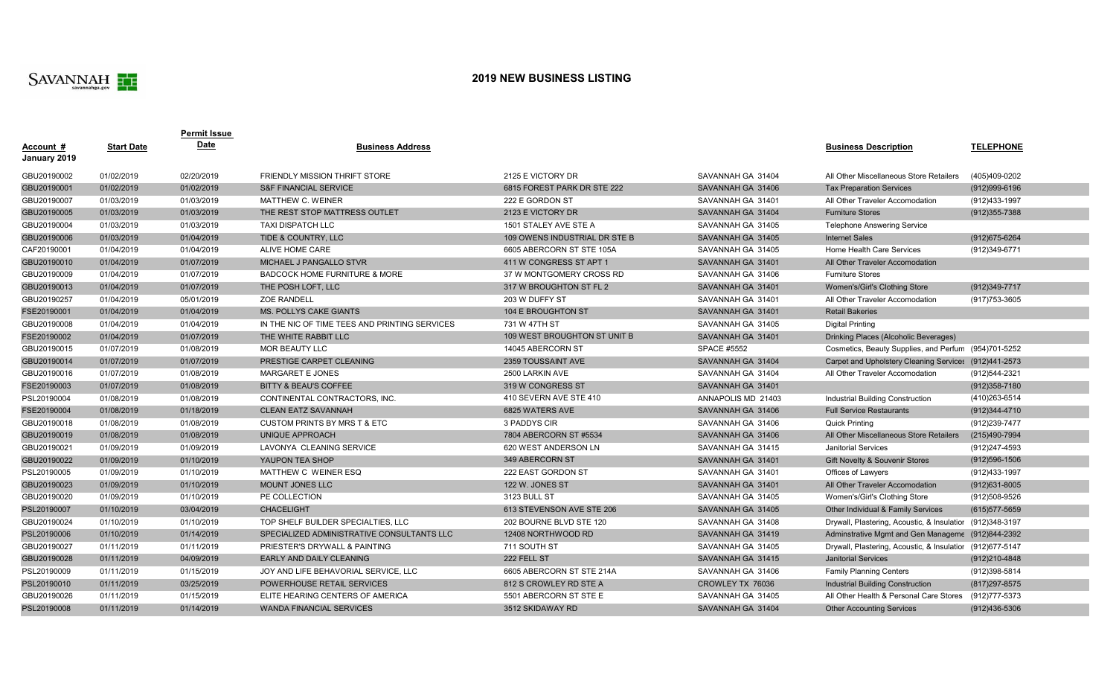

## **2019 NEW BUSINESS LISTING**

|                  |                   | Permit Issue |                                               |                               |                    |                                                            |                   |
|------------------|-------------------|--------------|-----------------------------------------------|-------------------------------|--------------------|------------------------------------------------------------|-------------------|
| <u>Account #</u> | <b>Start Date</b> | Date         | <b>Business Address</b>                       |                               |                    | <b>Business Description</b>                                | <b>TELEPHONE</b>  |
| January 2019     |                   |              |                                               |                               |                    |                                                            |                   |
| GBU20190002      | 01/02/2019        | 02/20/2019   | <b>FRIENDLY MISSION THRIFT STORE</b>          | 2125 E VICTORY DR             | SAVANNAH GA 31404  | All Other Miscellaneous Store Retailers                    | (405)409-0202     |
| GBU20190001      | 01/02/2019        | 01/02/2019   | <b>S&amp;F FINANCIAL SERVICE</b>              | 6815 FOREST PARK DR STE 222   | SAVANNAH GA 31406  | <b>Tax Preparation Services</b>                            | (912)999-6196     |
| GBU20190007      | 01/03/2019        | 01/03/2019   | MATTHEW C. WEINER                             | 222 E GORDON ST               | SAVANNAH GA 31401  | All Other Traveler Accomodation                            | (912)433-1997     |
| GBU20190005      | 01/03/2019        | 01/03/2019   | THE REST STOP MATTRESS OUTLET                 | 2123 E VICTORY DR             | SAVANNAH GA 31404  | <b>Furniture Stores</b>                                    | $(912)355 - 7388$ |
| GBU20190004      | 01/03/2019        | 01/03/2019   | <b>TAXI DISPATCH LLC</b>                      | 1501 STALEY AVE STE A         | SAVANNAH GA 31405  | <b>Telephone Answering Service</b>                         |                   |
| GBU20190006      | 01/03/2019        | 01/04/2019   | TIDE & COUNTRY, LLC                           | 109 OWENS INDUSTRIAL DR STE B | SAVANNAH GA 31405  | <b>Internet Sales</b>                                      | (912) 675-6264    |
| CAF20190001      | 01/04/2019        | 01/04/2019   | ALIVE HOME CARE                               | 6605 ABERCORN ST STE 105A     | SAVANNAH GA 31405  | Home Health Care Services                                  | (912)349-6771     |
| GBU20190010      | 01/04/2019        | 01/07/2019   | MICHAEL J PANGALLO STVR                       | 411 W CONGRESS ST APT 1       | SAVANNAH GA 31401  | All Other Traveler Accomodation                            |                   |
| GBU20190009      | 01/04/2019        | 01/07/2019   | <b>BADCOCK HOME FURNITURE &amp; MORE</b>      | 37 W MONTGOMERY CROSS RD      | SAVANNAH GA 31406  | <b>Furniture Stores</b>                                    |                   |
| GBU20190013      | 01/04/2019        | 01/07/2019   | THE POSH LOFT, LLC                            | 317 W BROUGHTON ST FL 2       | SAVANNAH GA 31401  | Women's/Girl's Clothing Store                              | (912) 349-7717    |
| GBU20190257      | 01/04/2019        | 05/01/2019   | <b>ZOE RANDELL</b>                            | 203 W DUFFY ST                | SAVANNAH GA 31401  | All Other Traveler Accomodation                            | (917) 753-3605    |
| FSE20190001      | 01/04/2019        | 01/04/2019   | MS. POLLYS CAKE GIANTS                        | 104 E BROUGHTON ST            | SAVANNAH GA 31401  | <b>Retail Bakeries</b>                                     |                   |
| GBU20190008      | 01/04/2019        | 01/04/2019   | IN THE NIC OF TIME TEES AND PRINTING SERVICES | 731 W 47TH ST                 | SAVANNAH GA 31405  | <b>Digital Printing</b>                                    |                   |
| FSE20190002      | 01/04/2019        | 01/07/2019   | THE WHITE RABBIT LLC                          | 109 WEST BROUGHTON ST UNIT B  | SAVANNAH GA 31401  | Drinking Places (Alcoholic Beverages)                      |                   |
| GBU20190015      | 01/07/2019        | 01/08/2019   | MOR BEAUTY LLC                                | 14045 ABERCORN ST             | <b>SPACE #5552</b> | Cosmetics, Beauty Supplies, and Perfum (954)701-5252       |                   |
| GBU20190014      | 01/07/2019        | 01/07/2019   | PRESTIGE CARPET CLEANING                      | 2359 TOUSSAINT AVE            | SAVANNAH GA 31404  | Carpet and Upholstery Cleaning Services (912)441-2573      |                   |
| GBU20190016      | 01/07/2019        | 01/08/2019   | MARGARET E JONES                              | 2500 LARKIN AVE               | SAVANNAH GA 31404  | All Other Traveler Accomodation                            | (912)544-2321     |
| FSE20190003      | 01/07/2019        | 01/08/2019   | BITTY & BEAU'S COFFEE                         | 319 W CONGRESS ST             | SAVANNAH GA 31401  |                                                            | $(912)358 - 7180$ |
| PSL20190004      | 01/08/2019        | 01/08/2019   | CONTINENTAL CONTRACTORS, INC.                 | 410 SEVERN AVE STE 410        | ANNAPOLIS MD 21403 | <b>Industrial Building Construction</b>                    | (410) 263-6514    |
| FSE20190004      | 01/08/2019        | 01/18/2019   | <b>CLEAN EATZ SAVANNAH</b>                    | 6825 WATERS AVE               | SAVANNAH GA 31406  | <b>Full Service Restaurants</b>                            | (912) 344-4710    |
| GBU20190018      | 01/08/2019        | 01/08/2019   | <b>CUSTOM PRINTS BY MRS T &amp; ETC</b>       | 3 PADDYS CIR                  | SAVANNAH GA 31406  | <b>Quick Printing</b>                                      | (912)239-7477     |
| GBU20190019      | 01/08/2019        | 01/08/2019   | UNIQUE APPROACH                               | 7804 ABERCORN ST #5534        | SAVANNAH GA 31406  | All Other Miscellaneous Store Retailers                    | (215)490-7994     |
| GBU20190021      | 01/09/2019        | 01/09/2019   | LAVONYA CLEANING SERVICE                      | 620 WEST ANDERSON LN          | SAVANNAH GA 31415  | <b>Janitorial Services</b>                                 | (912)247-4593     |
| GBU20190022      | 01/09/2019        | 01/10/2019   | YAUPON TEA SHOP                               | 349 ABERCORN ST               | SAVANNAH GA 31401  | Gift Novelty & Souvenir Stores                             | (912) 596-1506    |
| PSL20190005      | 01/09/2019        | 01/10/2019   | MATTHEW C WEINER ESQ                          | 222 EAST GORDON ST            | SAVANNAH GA 31401  | Offices of Lawyers                                         | (912)433-1997     |
| GBU20190023      | 01/09/2019        | 01/10/2019   | <b>MOUNT JONES LLC</b>                        | 122 W. JONES ST               | SAVANNAH GA 31401  | All Other Traveler Accomodation                            | (912) 631-8005    |
| GBU20190020      | 01/09/2019        | 01/10/2019   | PE COLLECTION                                 | 3123 BULL ST                  | SAVANNAH GA 31405  | Women's/Girl's Clothing Store                              | (912)508-9526     |
| PSL20190007      | 01/10/2019        | 03/04/2019   | <b>CHACELIGHT</b>                             | 613 STEVENSON AVE STE 206     | SAVANNAH GA 31405  | Other Individual & Family Services                         | $(615)$ 577-5659  |
| GBU20190024      | 01/10/2019        | 01/10/2019   | TOP SHELF BUILDER SPECIALTIES, LLC            | 202 BOURNE BLVD STE 120       | SAVANNAH GA 31408  | Drywall, Plastering, Acoustic, & Insulatior (912) 348-3197 |                   |
| PSL20190006      | 01/10/2019        | 01/14/2019   | SPECIALIZED ADMINISTRATIVE CONSULTANTS LLC    | 12408 NORTHWOOD RD            | SAVANNAH GA 31419  | Adminstrative Mgmt and Gen Manageme (912)844-2392          |                   |
| GBU20190027      | 01/11/2019        | 01/11/2019   | PRIESTER'S DRYWALL & PAINTING                 | 711 SOUTH ST                  | SAVANNAH GA 31405  | Drywall, Plastering, Acoustic, & Insulatior (912)677-5147  |                   |
| GBU20190028      | 01/11/2019        | 04/09/2019   | <b>EARLY AND DAILY CLEANING</b>               | 222 FELL ST                   | SAVANNAH GA 31415  | <b>Janitorial Services</b>                                 | (912)210-4848     |
| PSL20190009      | 01/11/2019        | 01/15/2019   | JOY AND LIFE BEHAVORIAL SERVICE, LLC          | 6605 ABERCORN ST STE 214A     | SAVANNAH GA 31406  | <b>Family Planning Centers</b>                             | (912)398-5814     |
| PSL20190010      | 01/11/2019        | 03/25/2019   | POWERHOUSE RETAIL SERVICES                    | 812 S CROWLEY RD STE A        | CROWLEY TX 76036   | Industrial Building Construction                           | (817) 297-8575    |
| GBU20190026      | 01/11/2019        | 01/15/2019   | ELITE HEARING CENTERS OF AMERICA              | 5501 ABERCORN ST STE E        | SAVANNAH GA 31405  | All Other Health & Personal Care Stores                    | (912) 777-5373    |
| PSL20190008      | 01/11/2019        | 01/14/2019   | <b>WANDA FINANCIAL SERVICES</b>               | 3512 SKIDAWAY RD              | SAVANNAH GA 31404  | <b>Other Accounting Services</b>                           | (912)436-5306     |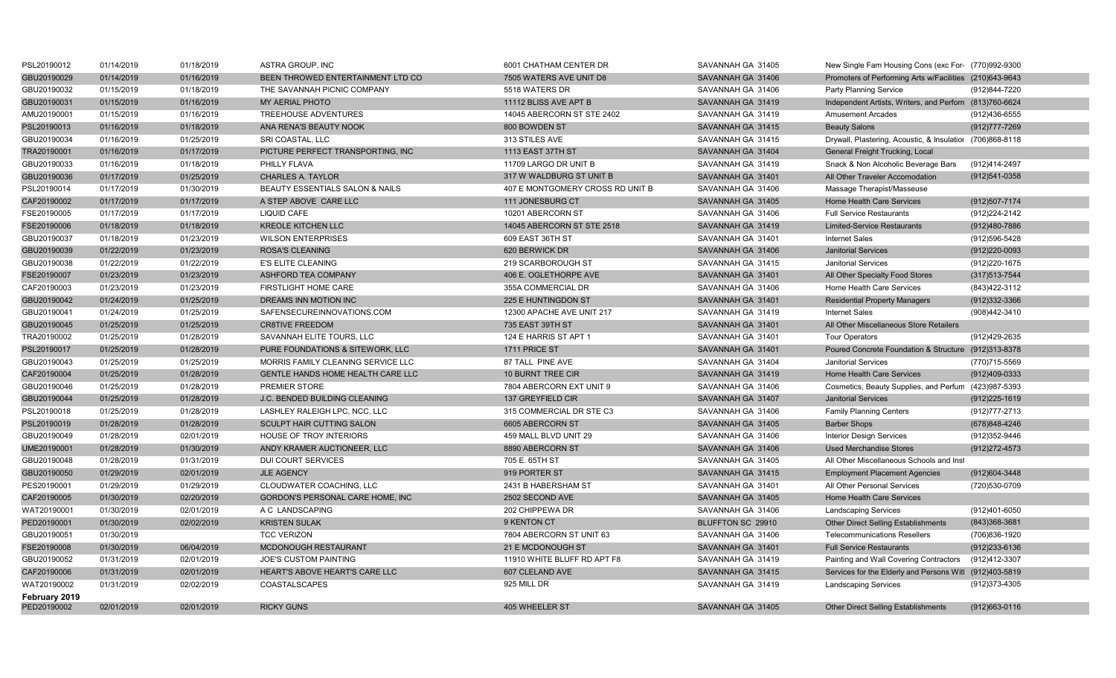| PSL20190012                  | 01/14/2019 | 01/18/2019 | ASTRA GROUP, INC                     | 6001 CHATHAM CENTER DR           | SAVANNAH GA 31405 | New Single Fam Housing Cons (exc For- (770)992-9300       |                   |
|------------------------------|------------|------------|--------------------------------------|----------------------------------|-------------------|-----------------------------------------------------------|-------------------|
| GBU20190029                  | 01/14/2019 | 01/16/2019 | BEEN THROWED ENTERTAINMENT LTD CO    | 7505 WATERS AVE UNIT D8          | SAVANNAH GA 31406 | Promoters of Performing Arts w/Facilities (210)643-9643   |                   |
| GBU20190032                  | 01/15/2019 | 01/18/2019 | THE SAVANNAH PICNIC COMPANY          | 5518 WATERS DR                   | SAVANNAH GA 31406 | Party Planning Service                                    | (912)844-7220     |
| GBU20190031                  | 01/15/2019 | 01/16/2019 | MY AERIAL PHOTO                      | 11112 BLISS AVE APT B            | SAVANNAH GA 31419 | Independent Artists, Writers, and Perforn (813)760-6624   |                   |
| AMU20190001                  | 01/15/2019 | 01/16/2019 | <b>TREEHOUSE ADVENTURES</b>          | 14045 ABERCORN ST STE 2402       | SAVANNAH GA 31419 | <b>Amusement Arcades</b>                                  | (912)436-6555     |
| PSL20190013                  | 01/16/2019 | 01/18/2019 | ANA RENA'S BEAUTY NOOK               | 800 BOWDEN ST                    | SAVANNAH GA 31415 | <b>Beauty Salons</b>                                      | (912) 777-7269    |
| GBU20190034                  | 01/16/2019 | 01/25/2019 | SRI COASTAL, LLC                     | 313 STILES AVE                   | SAVANNAH GA 31415 | Drywall, Plastering, Acoustic, & Insulatior (706)868-8118 |                   |
| TRA20190001                  | 01/16/2019 | 01/17/2019 | PICTURE PERFECT TRANSPORTING, INC    | 1113 EAST 37TH ST                | SAVANNAH GA 31404 | General Freight Trucking, Local                           |                   |
| GBU20190033                  | 01/16/2019 | 01/18/2019 | PHILLY FLAVA                         | 11709 LARGO DR UNIT B            | SAVANNAH GA 31419 | Snack & Non Alcoholic Beverage Bars                       | (912)414-2497     |
| GBU20190036                  | 01/17/2019 | 01/25/2019 | <b>CHARLES A. TAYLOR</b>             | 317 W WALDBURG ST UNIT B         | SAVANNAH GA 31401 | All Other Traveler Accomodation                           | (912)541-0358     |
| PSL20190014                  | 01/17/2019 | 01/30/2019 | BEAUTY ESSENTIALS SALON & NAILS      | 407 E MONTGOMERY CROSS RD UNIT B | SAVANNAH GA 31406 | Massage Therapist/Masseuse                                |                   |
| CAF20190002                  | 01/17/2019 | 01/17/2019 | A STEP ABOVE CARE LLC                | 111 JONESBURG CT                 | SAVANNAH GA 31405 | Home Health Care Services                                 | (912) 507-7174    |
| FSE20190005                  | 01/17/2019 | 01/17/2019 | LIQUID CAFE                          | 10201 ABERCORN ST                | SAVANNAH GA 31406 | <b>Full Service Restaurants</b>                           | (912) 224-2142    |
| FSE20190006                  | 01/18/2019 | 01/18/2019 | <b>KREOLE KITCHEN LLC</b>            | 14045 ABERCORN ST STE 2518       | SAVANNAH GA 31419 | <b>Limited-Service Restaurants</b>                        | (912)480-7886     |
| GBU20190037                  | 01/18/2019 | 01/23/2019 | <b>WILSON ENTERPRISES</b>            | 609 EAST 36TH ST                 | SAVANNAH GA 31401 | <b>Internet Sales</b>                                     | (912)596-5428     |
| GBU20190039                  | 01/22/2019 | 01/23/2019 | <b>ROSA'S CLEANING</b>               | 620 BERWICK DR                   | SAVANNAH GA 31406 | <b>Janitorial Services</b>                                | (912)220-0093     |
| GBU20190038                  | 01/22/2019 | 01/22/2019 | E'S ELITE CLEANING                   | 219 SCARBOROUGH ST               | SAVANNAH GA 31415 | Janitorial Services                                       | (912) 220-1675    |
| FSE20190007                  | 01/23/2019 | 01/23/2019 | ASHFORD TEA COMPANY                  | 406 E. OGLETHORPE AVE            | SAVANNAH GA 31401 | All Other Specialty Food Stores                           | $(317)513 - 7544$ |
| CAF20190003                  | 01/23/2019 | 01/23/2019 | FIRSTLIGHT HOME CARE                 | 355A COMMERCIAL DR               | SAVANNAH GA 31406 | Home Health Care Services                                 | (843) 422-3112    |
| GBU20190042                  | 01/24/2019 | 01/25/2019 | DREAMS INN MOTION INC                | 225 E HUNTINGDON ST              | SAVANNAH GA 31401 | <b>Residential Property Managers</b>                      | (912) 332-3366    |
| GBU20190041                  | 01/24/2019 | 01/25/2019 | SAFENSECUREINNOVATIONS.COM           | 12300 APACHE AVE UNIT 217        | SAVANNAH GA 31419 | <b>Internet Sales</b>                                     | (908)442-3410     |
| GBU20190045                  | 01/25/2019 | 01/25/2019 | <b>CR8TIVE FREEDOM</b>               | 735 EAST 39TH ST                 | SAVANNAH GA 31401 | All Other Miscellaneous Store Retailers                   |                   |
| TRA20190002                  | 01/25/2019 | 01/28/2019 | SAVANNAH ELITE TOURS, LLC            | 124 E HARRIS ST APT 1            | SAVANNAH GA 31401 | <b>Tour Operators</b>                                     | (912)429-2635     |
| PSL20190017                  | 01/25/2019 | 01/28/2019 | PURE FOUNDATIONS & SITEWORK, LLC     | 1711 PRICE ST                    | SAVANNAH GA 31401 | Poured Concrete Foundation & Structure (912)313-8378      |                   |
| GBU20190043                  | 01/25/2019 | 01/25/2019 | MORRIS FAMILY CLEANING SERVICE LLC   | 87 TALL PINE AVE                 | SAVANNAH GA 31404 | <b>Janitorial Services</b>                                | (770)715-5569     |
| CAF20190004                  | 01/25/2019 | 01/28/2019 | GENTLE HANDS HOME HEALTH CARE LLC    | <b>10 BURNT TREE CIR</b>         | SAVANNAH GA 31419 | Home Health Care Services                                 | (912)409-0333     |
| GBU20190046                  | 01/25/2019 | 01/28/2019 | <b>PREMIER STORE</b>                 | 7804 ABERCORN EXT UNIT 9         | SAVANNAH GA 31406 | Cosmetics, Beauty Supplies, and Perfum (423)987-5393      |                   |
| GBU20190044                  | 01/25/2019 | 01/28/2019 | <b>J.C. BENDED BUILDING CLEANING</b> | 137 GREYFIELD CIR                | SAVANNAH GA 31407 | <b>Janitorial Services</b>                                | $(912)225-1619$   |
| PSL20190018                  | 01/25/2019 | 01/28/2019 | LASHLEY RALEIGH LPC, NCC, LLC        | 315 COMMERCIAL DR STE C3         | SAVANNAH GA 31406 | <b>Family Planning Centers</b>                            | (912)777-2713     |
| PSL20190019                  | 01/28/2019 | 01/28/2019 | SCULPT HAIR CUTTING SALON            | 6605 ABERCORN ST                 | SAVANNAH GA 31405 | <b>Barber Shops</b>                                       | (678) 848-4246    |
| GBU20190049                  | 01/28/2019 | 02/01/2019 | <b>HOUSE OF TROY INTERIORS</b>       | 459 MALL BLVD UNIT 29            | SAVANNAH GA 31406 | <b>Interior Design Services</b>                           | (912) 352-9446    |
| UME20190001                  | 01/28/2019 | 01/30/2019 | ANDY KRAMER AUCTIONEER, LLC          | 8890 ABERCORN ST                 | SAVANNAH GA 31406 | <b>Used Merchandise Stores</b>                            | (912) 272-4573    |
| GBU20190048                  | 01/28/2019 | 01/31/2019 | <b>DUI COURT SERVICES</b>            | 705 E. 65TH ST                   | SAVANNAH GA 31405 | All Other Miscellaneous Schools and Inst                  |                   |
| GBU20190050                  | 01/29/2019 | 02/01/2019 | <b>JLE AGENCY</b>                    | 919 PORTER ST                    | SAVANNAH GA 31415 | <b>Employment Placement Agencies</b>                      | (912) 604-3448    |
| PES20190001                  | 01/29/2019 | 01/29/2019 | CLOUDWATER COACHING, LLC             | 2431 B HABERSHAM ST              | SAVANNAH GA 31401 | All Other Personal Services                               | (720)530-0709     |
| CAF20190005                  | 01/30/2019 | 02/20/2019 | GORDON'S PERSONAL CARE HOME, INC     | 2502 SECOND AVE                  | SAVANNAH GA 31405 | Home Health Care Services                                 |                   |
| WAT20190001                  | 01/30/2019 | 02/01/2019 | A C LANDSCAPING                      | 202 CHIPPEWA DR                  | SAVANNAH GA 31406 | <b>Landscaping Services</b>                               | (912)401-6050     |
| PED20190001                  | 01/30/2019 | 02/02/2019 | <b>KRISTEN SULAK</b>                 | 9 KENTON CT                      | BLUFFTON SC 29910 | <b>Other Direct Selling Establishments</b>                | (843) 368-3681    |
| GBU20190051                  | 01/30/2019 |            | <b>TCC VERIZON</b>                   | 7804 ABERCORN ST UNIT 63         | SAVANNAH GA 31406 | <b>Telecommunications Resellers</b>                       | (706)836-1920     |
| FSE20190008                  | 01/30/2019 | 06/04/2019 | MCDONOUGH RESTAURANT                 | 21 E MCDONOUGH ST                | SAVANNAH GA 31401 | <b>Full Service Restaurants</b>                           | (912)233-6136     |
| GBU20190052                  | 01/31/2019 | 02/01/2019 | <b>JOE'S CUSTOM PAINTING</b>         | 11910 WHITE BLUFF RD APT F8      | SAVANNAH GA 31419 | Painting and Wall Covering Contractors                    | (912)412-3307     |
| CAF20190006                  | 01/31/2019 | 02/01/2019 | HEART'S ABOVE HEART'S CARE LLC       | 607 CLELAND AVE                  | SAVANNAH GA 31415 | Services for the Elderly and Persons Witl (912)403-5819   |                   |
| WAT20190002                  | 01/31/2019 | 02/02/2019 | <b>COASTALSCAPES</b>                 | 925 MILL DR                      | SAVANNAH GA 31419 | <b>Landscaping Services</b>                               | (912) 373-4305    |
| February 2019<br>PED20190002 | 02/01/2019 | 02/01/2019 | <b>RICKY GUNS</b>                    | 405 WHEELER ST                   | SAVANNAH GA 31405 | <b>Other Direct Selling Establishments</b>                | $(912)663 - 0116$ |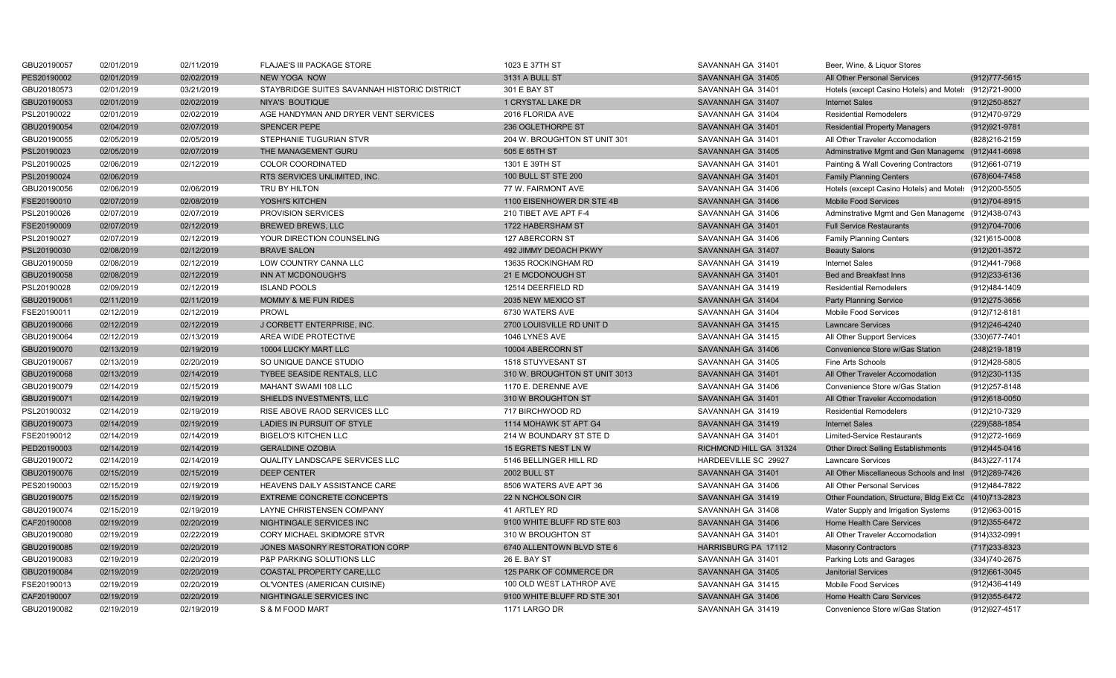| GBU20190057 | 02/01/2019 | 02/11/2019 | FLAJAE'S III PACKAGE STORE                   | 1023 E 37TH ST                | SAVANNAH GA 31401          | Beer, Wine, & Liquor Stores                            |                   |
|-------------|------------|------------|----------------------------------------------|-------------------------------|----------------------------|--------------------------------------------------------|-------------------|
| PES20190002 | 02/01/2019 | 02/02/2019 | <b>NEW YOGA NOW</b>                          | 3131 A BULL ST                | SAVANNAH GA 31405          | All Other Personal Services                            | (912) 777-5615    |
| GBU20180573 | 02/01/2019 | 03/21/2019 | STAYBRIDGE SUITES SAVANNAH HISTORIC DISTRICT | 301 E BAY ST                  | SAVANNAH GA 31401          | Hotels (except Casino Hotels) and Motel: (912)721-9000 |                   |
| GBU20190053 | 02/01/2019 | 02/02/2019 | <b>NIYA'S BOUTIQUE</b>                       | 1 CRYSTAL LAKE DR             | SAVANNAH GA 31407          | <b>Internet Sales</b>                                  | (912) 250-8527    |
| PSL20190022 | 02/01/2019 | 02/02/2019 | AGE HANDYMAN AND DRYER VENT SERVICES         | 2016 FLORIDA AVE              | SAVANNAH GA 31404          | <b>Residential Remodelers</b>                          | (912)470-9729     |
| GBU20190054 | 02/04/2019 | 02/07/2019 | <b>SPENCER PEPE</b>                          | 236 OGLETHORPE ST             | SAVANNAH GA 31401          | <b>Residential Property Managers</b>                   | (912) 921-9781    |
| GBU20190055 | 02/05/2019 | 02/05/2019 | STEPHANIE TUGURIAN STVR                      | 204 W. BROUGHTON ST UNIT 301  | SAVANNAH GA 31401          | All Other Traveler Accomodation                        | (828) 216-2159    |
| PSL20190023 | 02/05/2019 | 02/07/2019 | THE MANAGEMENT GURU                          | 505 E 65TH ST                 | SAVANNAH GA 31405          | Adminstrative Mgmt and Gen Manageme (912)441-6698      |                   |
| PSL20190025 | 02/06/2019 | 02/12/2019 | COLOR COORDINATED                            | 1301 E 39TH ST                | SAVANNAH GA 31401          | Painting & Wall Covering Contractors                   | (912)661-0719     |
| PSL20190024 | 02/06/2019 |            | RTS SERVICES UNLIMITED, INC.                 | 100 BULL ST STE 200           | SAVANNAH GA 31401          | <b>Family Planning Centers</b>                         | (678) 604-7458    |
| GBU20190056 | 02/06/2019 | 02/06/2019 | TRU BY HILTON                                | 77 W. FAIRMONT AVE            | SAVANNAH GA 31406          | Hotels (except Casino Hotels) and Motel: (912)200-5505 |                   |
| FSE20190010 | 02/07/2019 | 02/08/2019 | YOSHI'S KITCHEN                              | 1100 EISENHOWER DR STE 4B     | SAVANNAH GA 31406          | <b>Mobile Food Services</b>                            | (912)704-8915     |
| PSL20190026 | 02/07/2019 | 02/07/2019 | <b>PROVISION SERVICES</b>                    | 210 TIBET AVE APT F-4         | SAVANNAH GA 31406          | Adminstrative Mgmt and Gen Manageme (912)438-0743      |                   |
| FSE20190009 | 02/07/2019 | 02/12/2019 | <b>BREWED BREWS, LLC</b>                     | 1722 HABERSHAM ST             | SAVANNAH GA 31401          | <b>Full Service Restaurants</b>                        | (912)704-7006     |
| PSL20190027 | 02/07/2019 | 02/12/2019 | YOUR DIRECTION COUNSELING                    | 127 ABERCORN ST               | SAVANNAH GA 31406          | <b>Family Planning Centers</b>                         | (321)615-0008     |
| PSL20190030 | 02/08/2019 | 02/12/2019 | <b>BRAVE SALON</b>                           | 492 JIMMY DEOACH PKWY         | SAVANNAH GA 31407          | <b>Beauty Salons</b>                                   | (912) 201-3572    |
| GBU20190059 | 02/08/2019 | 02/12/2019 | LOW COUNTRY CANNA LLC                        | 13635 ROCKINGHAM RD           | SAVANNAH GA 31419          | <b>Internet Sales</b>                                  | (912)441-7968     |
| GBU20190058 | 02/08/2019 | 02/12/2019 | INN AT MCDONOUGH'S                           | 21 E MCDONOUGH ST             | SAVANNAH GA 31401          | Bed and Breakfast Inns                                 | $(912)$ 233-6136  |
| PSL20190028 | 02/09/2019 | 02/12/2019 | <b>ISLAND POOLS</b>                          | 12514 DEERFIELD RD            | SAVANNAH GA 31419          | <b>Residential Remodelers</b>                          | (912)484-1409     |
| GBU20190061 | 02/11/2019 | 02/11/2019 | MOMMY & ME FUN RIDES                         | 2035 NEW MEXICO ST            | SAVANNAH GA 31404          | <b>Party Planning Service</b>                          | (912) 275-3656    |
| FSE20190011 | 02/12/2019 | 02/12/2019 | PROWL                                        | 6730 WATERS AVE               | SAVANNAH GA 31404          | Mobile Food Services                                   | (912) 712-8181    |
| GBU20190066 | 02/12/2019 | 02/12/2019 | J CORBETT ENTERPRISE, INC.                   | 2700 LOUISVILLE RD UNIT D     | SAVANNAH GA 31415          | <b>Lawncare Services</b>                               | (912)246-4240     |
| GBU20190064 | 02/12/2019 | 02/13/2019 | AREA WIDE PROTECTIVE                         | 1046 LYNES AVE                | SAVANNAH GA 31415          | All Other Support Services                             | (330) 677-7401    |
| GBU20190070 | 02/13/2019 | 02/19/2019 | 10004 LUCKY MART LLC                         | 10004 ABERCORN ST             | SAVANNAH GA 31406          | Convenience Store w/Gas Station                        | (248) 219-1819    |
| GBU20190067 | 02/13/2019 | 02/20/2019 | SO UNIQUE DANCE STUDIO                       | 1518 STUYVESANT ST            | SAVANNAH GA 31405          | Fine Arts Schools                                      | (912)428-5805     |
| GBU20190068 | 02/13/2019 | 02/14/2019 | TYBEE SEASIDE RENTALS, LLC                   | 310 W. BROUGHTON ST UNIT 3013 | SAVANNAH GA 31401          | All Other Traveler Accomodation                        | (912)230-1135     |
| GBU20190079 | 02/14/2019 | 02/15/2019 | <b>MAHANT SWAMI 108 LLC</b>                  | 1170 E. DERENNE AVE           | SAVANNAH GA 31406          | Convenience Store w/Gas Station                        | (912) 257-8148    |
| GBU20190071 | 02/14/2019 | 02/19/2019 | SHIELDS INVESTMENTS, LLC                     | 310 W BROUGHTON ST            | SAVANNAH GA 31401          | All Other Traveler Accomodation                        | (912)618-0050     |
| PSL20190032 | 02/14/2019 | 02/19/2019 | RISE ABOVE RAOD SERVICES LLC                 | 717 BIRCHWOOD RD              | SAVANNAH GA 31419          | <b>Residential Remodelers</b>                          | (912)210-7329     |
| GBU20190073 | 02/14/2019 | 02/19/2019 | LADIES IN PURSUIT OF STYLE                   | 1114 MOHAWK ST APT G4         | SAVANNAH GA 31419          | <b>Internet Sales</b>                                  | (229) 588-1854    |
| FSE20190012 | 02/14/2019 | 02/14/2019 | <b>BIGELO'S KITCHEN LLC</b>                  | 214 W BOUNDARY ST STE D       | SAVANNAH GA 31401          | <b>Limited-Service Restaurants</b>                     | (912) 272-1669    |
| PED20190003 | 02/14/2019 | 02/14/2019 | <b>GERALDINE OZOBIA</b>                      | 15 EGRETS NEST LN W           | RICHMOND HILL GA 31324     | <b>Other Direct Selling Establishments</b>             | (912)445-0416     |
| GBU20190072 | 02/14/2019 | 02/14/2019 | QUALITY LANDSCAPE SERVICES LLC               | 5146 BELLINGER HILL RD        | HARDEEVILLE SC 29927       | <b>Lawncare Services</b>                               | (843) 227-1174    |
| GBU20190076 | 02/15/2019 | 02/15/2019 | <b>DEEP CENTER</b>                           | <b>2002 BULL ST</b>           | SAVANNAH GA 31401          | All Other Miscellaneous Schools and Inst (912)289-7426 |                   |
| PES20190003 | 02/15/2019 | 02/19/2019 | HEAVENS DAILY ASSISTANCE CARE                | 8506 WATERS AVE APT 36        | SAVANNAH GA 31406          | All Other Personal Services                            | (912)484-7822     |
| GBU20190075 | 02/15/2019 | 02/19/2019 | <b>EXTREME CONCRETE CONCEPTS</b>             | 22 N NCHOLSON CIR             | SAVANNAH GA 31419          | Other Foundation, Structure, Bldg Ext Cc (410)713-2823 |                   |
| GBU20190074 | 02/15/2019 | 02/19/2019 | LAYNE CHRISTENSEN COMPANY                    | 41 ARTLEY RD                  | SAVANNAH GA 31408          | Water Supply and Irrigation Systems                    | (912) 963-0015    |
| CAF20190008 | 02/19/2019 | 02/20/2019 | NIGHTINGALE SERVICES INC                     | 9100 WHITE BLUFF RD STE 603   | SAVANNAH GA 31406          | Home Health Care Services                              | (912) 355-6472    |
| GBU20190080 | 02/19/2019 | 02/22/2019 | CORY MICHAEL SKIDMORE STVR                   | 310 W BROUGHTON ST            | SAVANNAH GA 31401          | All Other Traveler Accomodation                        | (914)332-0991     |
| GBU20190085 | 02/19/2019 | 02/20/2019 | JONES MASONRY RESTORATION CORP               | 6740 ALLENTOWN BLVD STE 6     | <b>HARRISBURG PA 17112</b> | <b>Masonry Contractors</b>                             | $(717)233 - 8323$ |
| GBU20190083 | 02/19/2019 | 02/20/2019 | P&P PARKING SOLUTIONS LLC                    | 26 E. BAY ST                  | SAVANNAH GA 31401          | Parking Lots and Garages                               | (334) 740-2675    |
| GBU20190084 | 02/19/2019 | 02/20/2019 | <b>COASTAL PROPERTY CARE, LLC</b>            | 125 PARK OF COMMERCE DR       | SAVANNAH GA 31405          | <b>Janitorial Services</b>                             | $(912)661 - 3045$ |
| FSE20190013 | 02/19/2019 | 02/20/2019 | OL'VONTES (AMERICAN CUISINE)                 | 100 OLD WEST LATHROP AVE      | SAVANNAH GA 31415          | <b>Mobile Food Services</b>                            | (912)436-4149     |
| CAF20190007 | 02/19/2019 | 02/20/2019 | NIGHTINGALE SERVICES INC                     | 9100 WHITE BLUFF RD STE 301   | SAVANNAH GA 31406          | <b>Home Health Care Services</b>                       | (912) 355-6472    |
| GBU20190082 | 02/19/2019 | 02/19/2019 | S & M FOOD MART                              | 1171 LARGO DR                 | SAVANNAH GA 31419          | Convenience Store w/Gas Station                        | (912) 927-4517    |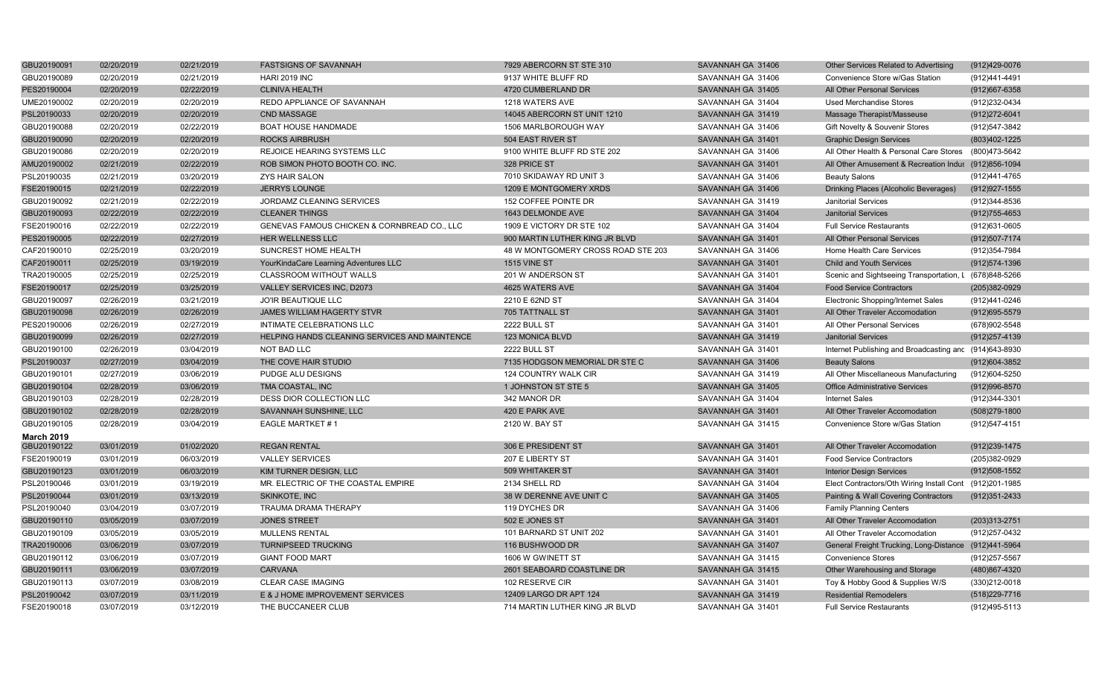| GBU20190091       | 02/20/2019 | 02/21/2019 | <b>FASTSIGNS OF SAVANNAH</b>                  | 7929 ABERCORN ST STE 310           | SAVANNAH GA 31406 | Other Services Related to Advertising                   | (912)429-0076     |
|-------------------|------------|------------|-----------------------------------------------|------------------------------------|-------------------|---------------------------------------------------------|-------------------|
| GBU20190089       | 02/20/2019 | 02/21/2019 | <b>HARI 2019 INC</b>                          | 9137 WHITE BLUFF RD                | SAVANNAH GA 31406 | Convenience Store w/Gas Station                         | (912)441-4491     |
| PES20190004       | 02/20/2019 | 02/22/2019 | <b>CLINIVA HEALTH</b>                         | 4720 CUMBERLAND DR                 | SAVANNAH GA 31405 | All Other Personal Services                             | (912) 667-6358    |
| UME20190002       | 02/20/2019 | 02/20/2019 | REDO APPLIANCE OF SAVANNAH                    | 1218 WATERS AVE                    | SAVANNAH GA 31404 | <b>Used Merchandise Stores</b>                          | (912) 232-0434    |
| PSL20190033       | 02/20/2019 | 02/20/2019 | <b>CND MASSAGE</b>                            | 14045 ABERCORN ST UNIT 1210        | SAVANNAH GA 31419 | Massage Therapist/Masseuse                              | (912) 272-6041    |
| GBU20190088       | 02/20/2019 | 02/22/2019 | <b>BOAT HOUSE HANDMADE</b>                    | 1506 MARLBOROUGH WAY               | SAVANNAH GA 31406 | Gift Novelty & Souvenir Stores                          | (912)547-3842     |
| GBU20190090       | 02/20/2019 | 02/20/2019 | <b>ROCKS AIRBRUSH</b>                         | 504 EAST RIVER ST                  | SAVANNAH GA 31401 | <b>Graphic Design Services</b>                          | (803)402-1225     |
| GBU20190086       | 02/20/2019 | 02/20/2019 | REJOICE HEARING SYSTEMS LLC                   | 9100 WHITE BLUFF RD STE 202        | SAVANNAH GA 31406 | All Other Health & Personal Care Stores (800)473-5642   |                   |
| AMU20190002       | 02/21/2019 | 02/22/2019 | ROB SIMON PHOTO BOOTH CO. INC.                | 328 PRICE ST                       | SAVANNAH GA 31401 | All Other Amusement & Recreation Indus (912)856-1094    |                   |
| PSL20190035       | 02/21/2019 | 03/20/2019 | ZYS HAIR SALON                                | 7010 SKIDAWAY RD UNIT 3            | SAVANNAH GA 31406 | <b>Beauty Salons</b>                                    | (912)441-4765     |
| FSE20190015       | 02/21/2019 | 02/22/2019 | <b>JERRYS LOUNGE</b>                          | 1209 E MONTGOMERY XRDS             | SAVANNAH GA 31406 | Drinking Places (Alcoholic Beverages)                   | (912) 927-1555    |
| GBU20190092       | 02/21/2019 | 02/22/2019 | JORDAMZ CLEANING SERVICES                     | 152 COFFEE POINTE DR               | SAVANNAH GA 31419 | <b>Janitorial Services</b>                              | (912)344-8536     |
| GBU20190093       | 02/22/2019 | 02/22/2019 | <b>CLEANER THINGS</b>                         | 1643 DELMONDE AVE                  | SAVANNAH GA 31404 | <b>Janitorial Services</b>                              | $(912)755 - 4653$ |
| FSE20190016       | 02/22/2019 | 02/22/2019 | GENEVAS FAMOUS CHICKEN & CORNBREAD CO., LLC   | 1909 E VICTORY DR STE 102          | SAVANNAH GA 31404 | <b>Full Service Restaurants</b>                         | (912)631-0605     |
| PES20190005       | 02/22/2019 | 02/27/2019 | HER WELLNESS LLC                              | 900 MARTIN LUTHER KING JR BLVD     | SAVANNAH GA 31401 | All Other Personal Services                             | (912) 507-7174    |
| CAF20190010       | 02/25/2019 | 03/20/2019 | SUNCREST HOME HEALTH                          | 48 W MONTGOMERY CROSS ROAD STE 203 | SAVANNAH GA 31406 | Home Health Care Services                               | (912) 354-7984    |
| CAF20190011       | 02/25/2019 | 03/19/2019 | YourKindaCare Learning Adventures LLC         | <b>1515 VINE ST</b>                | SAVANNAH GA 31401 | <b>Child and Youth Services</b>                         | (912) 574-1396    |
| TRA20190005       | 02/25/2019 | 02/25/2019 | <b>CLASSROOM WITHOUT WALLS</b>                | 201 W ANDERSON ST                  | SAVANNAH GA 31401 | Scenic and Sightseeing Transportation, L (678)848-5266  |                   |
| FSE20190017       | 02/25/2019 | 03/25/2019 | VALLEY SERVICES INC, D2073                    | 4625 WATERS AVE                    | SAVANNAH GA 31404 | <b>Food Service Contractors</b>                         | (205)382-0929     |
| GBU20190097       | 02/26/2019 | 03/21/2019 | <b>JO'IR BEAUTIQUE LLC</b>                    | 2210 E 62ND ST                     | SAVANNAH GA 31404 | Electronic Shopping/Internet Sales                      | (912)441-0246     |
| GBU20190098       | 02/26/2019 | 02/26/2019 | JAMES WILLIAM HAGERTY STVR                    | 705 TATTNALL ST                    | SAVANNAH GA 31401 | All Other Traveler Accomodation                         | (912) 695-5579    |
| PES20190006       | 02/26/2019 | 02/27/2019 | INTIMATE CELEBRATIONS LLC                     | <b>2222 BULL ST</b>                | SAVANNAH GA 31401 | All Other Personal Services                             | (678) 902-5548    |
| GBU20190099       | 02/26/2019 | 02/27/2019 | HELPING HANDS CLEANING SERVICES AND MAINTENCE | 123 MONICA BLVD                    | SAVANNAH GA 31419 | <b>Janitorial Services</b>                              | (912) 257-4139    |
| GBU20190100       | 02/26/2019 | 03/04/2019 | <b>NOT BAD LLC</b>                            | 2222 BULL ST                       | SAVANNAH GA 31401 | Internet Publishing and Broadcasting and (914)643-8930  |                   |
| PSL20190037       | 02/27/2019 | 03/04/2019 | THE COVE HAIR STUDIO                          | 7135 HODGSON MEMORIAL DR STE C     | SAVANNAH GA 31406 | <b>Beauty Salons</b>                                    | (912) 604-3852    |
| GBU20190101       | 02/27/2019 | 03/06/2019 | PUDGE ALU DESIGNS                             | 124 COUNTRY WALK CIR               | SAVANNAH GA 31419 | All Other Miscellaneous Manufacturing                   | (912)604-5250     |
| GBU20190104       | 02/28/2019 | 03/06/2019 | TMA COASTAL, INC                              | 1 JOHNSTON ST STE 5                | SAVANNAH GA 31405 | <b>Office Administrative Services</b>                   | (912) 996-8570    |
| GBU20190103       | 02/28/2019 | 02/28/2019 | DESS DIOR COLLECTION LLC                      | 342 MANOR DR                       | SAVANNAH GA 31404 | <b>Internet Sales</b>                                   | (912)344-3301     |
| GBU20190102       | 02/28/2019 | 02/28/2019 | SAVANNAH SUNSHINE, LLC                        | 420 E PARK AVE                     | SAVANNAH GA 31401 | All Other Traveler Accomodation                         | $(508)279-1800$   |
| GBU20190105       | 02/28/2019 | 03/04/2019 | EAGLE MARTKET #1                              | 2120 W. BAY ST                     | SAVANNAH GA 31415 | Convenience Store w/Gas Station                         | (912) 547-4151    |
| <b>March 2019</b> |            |            |                                               |                                    |                   |                                                         |                   |
| GBU20190122       | 03/01/2019 | 01/02/2020 | <b>REGAN RENTAL</b>                           | 306 E PRESIDENT ST                 | SAVANNAH GA 31401 | All Other Traveler Accomodation                         | (912) 239-1475    |
| FSE20190019       | 03/01/2019 | 06/03/2019 | <b>VALLEY SERVICES</b>                        | 207 E LIBERTY ST                   | SAVANNAH GA 31401 | <b>Food Service Contractors</b>                         | (205)382-0929     |
| GBU20190123       | 03/01/2019 | 06/03/2019 | KIM TURNER DESIGN, LLC                        | 509 WHITAKER ST                    | SAVANNAH GA 31401 | <b>Interior Design Services</b>                         | (912) 508-1552    |
| PSL20190046       | 03/01/2019 | 03/19/2019 | MR. ELECTRIC OF THE COASTAL EMPIRE            | 2134 SHELL RD                      | SAVANNAH GA 31404 | Elect Contractors/Oth Wiring Install Cont (912)201-1985 |                   |
| PSL20190044       | 03/01/2019 | 03/13/2019 | <b>SKINKOTE, INC</b>                          | 38 W DERENNE AVE UNIT C            | SAVANNAH GA 31405 | Painting & Wall Covering Contractors                    | $(912)351 - 2433$ |
| PSL20190040       | 03/04/2019 | 03/07/2019 | TRAUMA DRAMA THERAPY                          | 119 DYCHES DR                      | SAVANNAH GA 31406 | <b>Family Planning Centers</b>                          |                   |
| GBU20190110       | 03/05/2019 | 03/07/2019 | <b>JONES STREET</b>                           | 502 E JONES ST                     | SAVANNAH GA 31401 | All Other Traveler Accomodation                         | (203) 313-2751    |
| GBU20190109       | 03/05/2019 | 03/05/2019 | <b>MULLENS RENTAL</b>                         | 101 BARNARD ST UNIT 202            | SAVANNAH GA 31401 | All Other Traveler Accomodation                         | (912) 257-0432    |
| TRA20190006       | 03/06/2019 | 03/07/2019 | <b>TURNIPSEED TRUCKING</b>                    | 116 BUSHWOOD DR                    | SAVANNAH GA 31407 | General Freight Trucking, Long-Distance (912)441-5964   |                   |
| GBU20190112       | 03/06/2019 | 03/07/2019 | <b>GIANT FOOD MART</b>                        | 1606 W GWINETT ST                  | SAVANNAH GA 31415 | <b>Convenience Stores</b>                               | (912) 257-5567    |
| GBU20190111       | 03/06/2019 | 03/07/2019 | <b>CARVANA</b>                                | 2601 SEABOARD COASTLINE DR         | SAVANNAH GA 31415 | Other Warehousing and Storage                           | (480) 867-4320    |
| GBU20190113       | 03/07/2019 | 03/08/2019 | <b>CLEAR CASE IMAGING</b>                     | 102 RESERVE CIR                    | SAVANNAH GA 31401 | Toy & Hobby Good & Supplies W/S                         | (330)212-0018     |
| PSL20190042       | 03/07/2019 | 03/11/2019 | E & J HOME IMPROVEMENT SERVICES               | 12409 LARGO DR APT 124             | SAVANNAH GA 31419 | <b>Residential Remodelers</b>                           | (518) 229-7716    |
| FSE20190018       | 03/07/2019 | 03/12/2019 | THE BUCCANEER CLUB                            | 714 MARTIN LUTHER KING JR BLVD     | SAVANNAH GA 31401 | <b>Full Service Restaurants</b>                         | (912)495-5113     |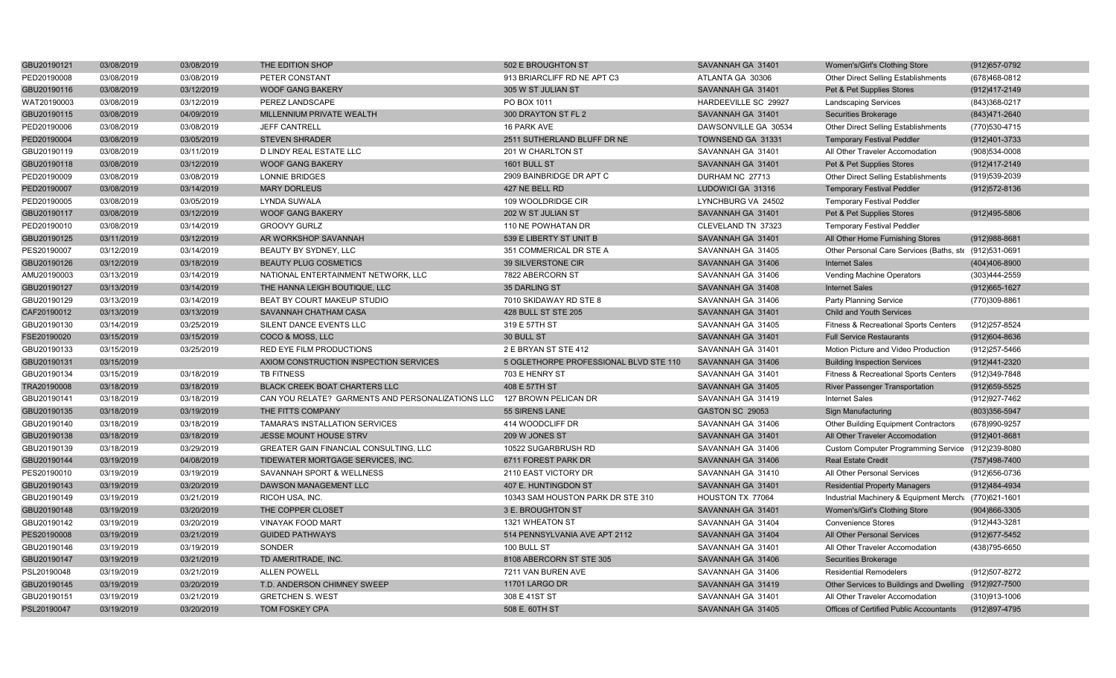| GBU20190121 | 03/08/2019 | 03/08/2019 | THE EDITION SHOP                                  | 502 E BROUGHTON ST                     | SAVANNAH GA 31401    | Women's/Girl's Clothing Store                          | (912) 657-0792    |
|-------------|------------|------------|---------------------------------------------------|----------------------------------------|----------------------|--------------------------------------------------------|-------------------|
| PED20190008 | 03/08/2019 | 03/08/2019 | PETER CONSTANT                                    | 913 BRIARCLIFF RD NE APT C3            | ATLANTA GA 30306     | Other Direct Selling Establishments                    | (678)468-0812     |
| GBU20190116 | 03/08/2019 | 03/12/2019 | <b>WOOF GANG BAKERY</b>                           | 305 W ST JULIAN ST                     | SAVANNAH GA 31401    | Pet & Pet Supplies Stores                              | (912)417-2149     |
| WAT20190003 | 03/08/2019 | 03/12/2019 | PEREZ LANDSCAPE                                   | PO BOX 1011                            | HARDEEVILLE SC 29927 | <b>Landscaping Services</b>                            | (843) 368-0217    |
| GBU20190115 | 03/08/2019 | 04/09/2019 | MILLENNIUM PRIVATE WEALTH                         | 300 DRAYTON ST FL 2                    | SAVANNAH GA 31401    | <b>Securities Brokerage</b>                            | (843)471-2640     |
| PED20190006 | 03/08/2019 | 03/08/2019 | <b>JEFF CANTRELL</b>                              | 16 PARK AVE                            | DAWSONVILLE GA 30534 | Other Direct Selling Establishments                    | (770) 530-4715    |
| PED20190004 | 03/08/2019 | 03/05/2019 | <b>STEVEN SHRADER</b>                             | 2511 SUTHERLAND BLUFF DR NE            | TOWNSEND GA 31331    | <b>Temporary Festival Peddler</b>                      | (912)401-3733     |
| GBU20190119 | 03/08/2019 | 03/11/2019 | D LINDY REAL ESTATE LLC                           | 201 W CHARLTON ST                      | SAVANNAH GA 31401    | All Other Traveler Accomodation                        | (908)534-0008     |
| GBU20190118 | 03/08/2019 | 03/12/2019 | <b>WOOF GANG BAKERY</b>                           | 1601 BULL ST                           | SAVANNAH GA 31401    | Pet & Pet Supplies Stores                              | (912)417-2149     |
| PED20190009 | 03/08/2019 | 03/08/2019 | <b>LONNIE BRIDGES</b>                             | 2909 BAINBRIDGE DR APT C               | DURHAM NC 27713      | Other Direct Selling Establishments                    | (919)539-2039     |
| PED20190007 | 03/08/2019 | 03/14/2019 | <b>MARY DORLEUS</b>                               | 427 NE BELL RD                         | LUDOWICI GA 31316    | <b>Temporary Festival Peddler</b>                      | (912) 572-8136    |
| PED20190005 | 03/08/2019 | 03/05/2019 | <b>LYNDA SUWALA</b>                               | 109 WOOLDRIDGE CIR                     | LYNCHBURG VA 24502   | <b>Temporary Festival Peddler</b>                      |                   |
| GBU20190117 | 03/08/2019 | 03/12/2019 | <b>WOOF GANG BAKERY</b>                           | 202 W ST JULIAN ST                     | SAVANNAH GA 31401    | Pet & Pet Supplies Stores                              | (912)495-5806     |
| PED20190010 | 03/08/2019 | 03/14/2019 | <b>GROOVY GURLZ</b>                               | 110 NE POWHATAN DR                     | CLEVELAND TN 37323   | <b>Temporary Festival Peddler</b>                      |                   |
| GBU20190125 | 03/11/2019 | 03/12/2019 | AR WORKSHOP SAVANNAH                              | 539 E LIBERTY ST UNIT B                | SAVANNAH GA 31401    | All Other Home Furnishing Stores                       | (912) 988-8681    |
| PES20190007 | 03/12/2019 | 03/14/2019 | BEAUTY BY SYDNEY, LLC                             | 351 COMMERICAL DR STE A                | SAVANNAH GA 31405    | Other Personal Care Services (Baths, ste (912)531-0691 |                   |
| GBU20190126 | 03/12/2019 | 03/18/2019 | <b>BEAUTY PLUG COSMETICS</b>                      | 39 SILVERSTONE CIR                     | SAVANNAH GA 31406    | <b>Internet Sales</b>                                  | (404)406-8900     |
| AMU20190003 | 03/13/2019 | 03/14/2019 | NATIONAL ENTERTAINMENT NETWORK, LLC               | 7822 ABERCORN ST                       | SAVANNAH GA 31406    | Vending Machine Operators                              | (303)444-2559     |
| GBU20190127 | 03/13/2019 | 03/14/2019 | THE HANNA LEIGH BOUTIQUE, LLC                     | 35 DARLING ST                          | SAVANNAH GA 31408    | <b>Internet Sales</b>                                  | (912) 665-1627    |
| GBU20190129 | 03/13/2019 | 03/14/2019 | BEAT BY COURT MAKEUP STUDIO                       | 7010 SKIDAWAY RD STE 8                 | SAVANNAH GA 31406    | Party Planning Service                                 | (770)309-8861     |
| CAF20190012 | 03/13/2019 | 03/13/2019 | SAVANNAH CHATHAM CASA                             | 428 BULL ST STE 205                    | SAVANNAH GA 31401    | <b>Child and Youth Services</b>                        |                   |
| GBU20190130 | 03/14/2019 | 03/25/2019 | SILENT DANCE EVENTS LLC                           | 319 E 57TH ST                          | SAVANNAH GA 31405    | Fitness & Recreational Sports Centers                  | (912)257-8524     |
| FSE20190020 | 03/15/2019 | 03/15/2019 | COCO & MOSS, LLC                                  | 30 BULL ST                             | SAVANNAH GA 31401    | <b>Full Service Restaurants</b>                        | (912)604-8636     |
| GBU20190133 | 03/15/2019 | 03/25/2019 | RED EYE FILM PRODUCTIONS                          | 2 E BRYAN ST STE 412                   | SAVANNAH GA 31401    | Motion Picture and Video Production                    | (912) 257-5466    |
| GBU20190131 | 03/15/2019 |            | AXIOM CONSTRUCTION INSPECTION SERVICES            | 5 OGLETHORPE PROFESSIONAL BLVD STE 110 | SAVANNAH GA 31406    | <b>Building Inspection Services</b>                    | (912)441-2320     |
| GBU20190134 | 03/15/2019 | 03/18/2019 | <b>TB FITNESS</b>                                 | 703 E HENRY ST                         | SAVANNAH GA 31401    | Fitness & Recreational Sports Centers                  | (912)349-7848     |
| TRA20190008 | 03/18/2019 | 03/18/2019 | BLACK CREEK BOAT CHARTERS LLC                     | 408 E 57TH ST                          | SAVANNAH GA 31405    | <b>River Passenger Transportation</b>                  | $(912)659 - 5525$ |
| GBU20190141 | 03/18/2019 | 03/18/2019 | CAN YOU RELATE? GARMENTS AND PERSONALIZATIONS LLC | 127 BROWN PELICAN DR                   | SAVANNAH GA 31419    | <b>Internet Sales</b>                                  | (912) 927-7462    |
| GBU20190135 | 03/18/2019 | 03/19/2019 | THE FITTS COMPANY                                 | 55 SIRENS LANE                         | GASTON SC 29053      | <b>Sign Manufacturing</b>                              | (803) 356-5947    |
| GBU20190140 | 03/18/2019 | 03/18/2019 | TAMARA'S INSTALLATION SERVICES                    | 414 WOODCLIFF DR                       | SAVANNAH GA 31406    | Other Building Equipment Contractors                   | (678)990-9257     |
| GBU20190138 | 03/18/2019 | 03/18/2019 | JESSE MOUNT HOUSE STRV                            | 209 W JONES ST                         | SAVANNAH GA 31401    | All Other Traveler Accomodation                        | (912)401-8681     |
| GBU20190139 | 03/18/2019 | 03/29/2019 | GREATER GAIN FINANCIAL CONSULTING, LLC            | 10522 SUGARBRUSH RD                    | SAVANNAH GA 31406    | Custom Computer Programming Service (912)239-8080      |                   |
| GBU20190144 | 03/19/2019 | 04/08/2019 | TIDEWATER MORTGAGE SERVICES, INC.                 | 6711 FOREST PARK DR                    | SAVANNAH GA 31406    | <b>Real Estate Credit</b>                              | (757)498-7400     |
| PES20190010 | 03/19/2019 | 03/19/2019 | SAVANNAH SPORT & WELLNESS                         | 2110 EAST VICTORY DR                   | SAVANNAH GA 31410    | All Other Personal Services                            | (912) 656-0736    |
| GBU20190143 | 03/19/2019 | 03/20/2019 | DAWSON MANAGEMENT LLC                             | 407 E. HUNTINGDON ST                   | SAVANNAH GA 31401    | <b>Residential Property Managers</b>                   | (912)484-4934     |
| GBU20190149 | 03/19/2019 | 03/21/2019 | RICOH USA, INC.                                   | 10343 SAM HOUSTON PARK DR STE 310      | HOUSTON TX 77064     | Industrial Machinery & Equipment Merch: (770)621-1601  |                   |
| GBU20190148 | 03/19/2019 | 03/20/2019 | THE COPPER CLOSET                                 | 3 E. BROUGHTON ST                      | SAVANNAH GA 31401    | Women's/Girl's Clothing Store                          | (904)866-3305     |
| GBU20190142 | 03/19/2019 | 03/20/2019 | <b>VINAYAK FOOD MART</b>                          | 1321 WHEATON ST                        | SAVANNAH GA 31404    | <b>Convenience Stores</b>                              | (912)443-3281     |
| PES20190008 | 03/19/2019 | 03/21/2019 | <b>GUIDED PATHWAYS</b>                            | 514 PENNSYLVANIA AVE APT 2112          | SAVANNAH GA 31404    | All Other Personal Services                            | (912) 677-5452    |
| GBU20190146 | 03/19/2019 | 03/19/2019 | SONDER                                            | 100 BULL ST                            | SAVANNAH GA 31401    | All Other Traveler Accomodation                        | (438) 795-6650    |
| GBU20190147 | 03/19/2019 | 03/21/2019 | TD AMERITRADE, INC.                               | 8108 ABERCORN ST STE 305               | SAVANNAH GA 31406    | Securities Brokerage                                   |                   |
| PSL20190048 | 03/19/2019 | 03/21/2019 | <b>ALLEN POWELL</b>                               | 7211 VAN BUREN AVE                     | SAVANNAH GA 31406    | <b>Residential Remodelers</b>                          | (912)507-8272     |
| GBU20190145 | 03/19/2019 | 03/20/2019 | T.D. ANDERSON CHIMNEY SWEEP                       | 11701 LARGO DR                         | SAVANNAH GA 31419    | Other Services to Buildings and Dwelling (912)927-7500 |                   |
| GBU20190151 | 03/19/2019 | 03/21/2019 | <b>GRETCHEN S. WEST</b>                           | 308 E 41ST ST                          | SAVANNAH GA 31401    | All Other Traveler Accomodation                        | (310)913-1006     |
| PSL20190047 | 03/19/2019 | 03/20/2019 | TOM FOSKEY CPA                                    | 508 E. 60TH ST                         | SAVANNAH GA 31405    | Offices of Certified Public Accountants                | (912)897-4795     |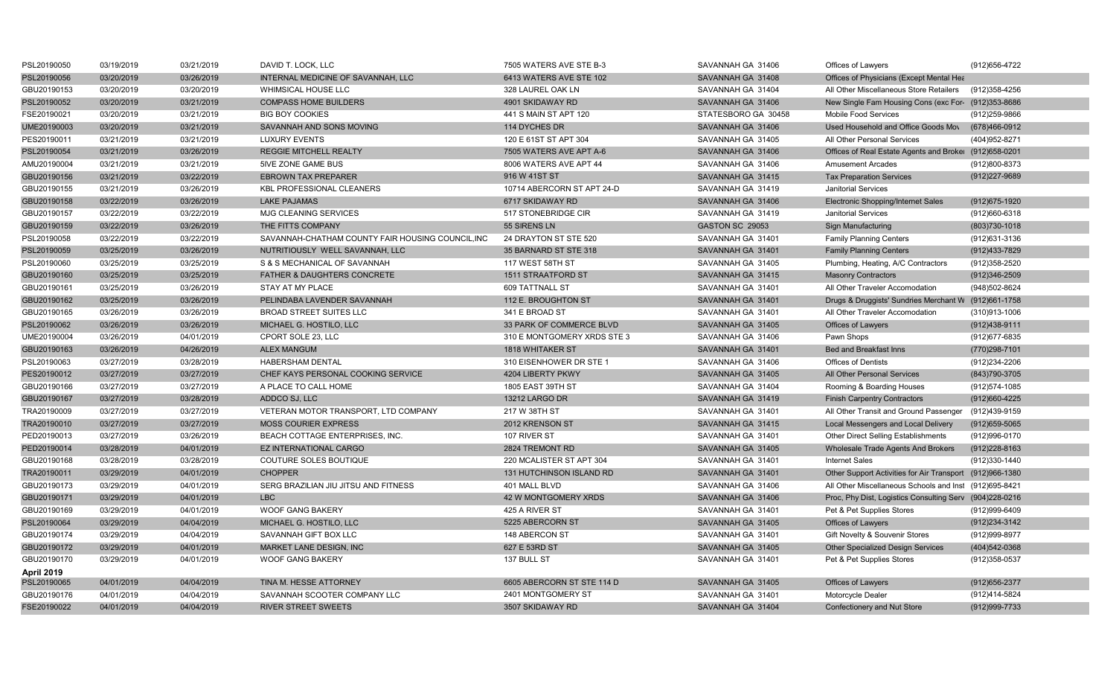| PSL20190050       | 03/19/2019 | 03/21/2019 | DAVID T. LOCK. LLC                                | 7505 WATERS AVE STE B-3     | SAVANNAH GA 31406   | Offices of Lawyers                                       | (912) 656-4722 |
|-------------------|------------|------------|---------------------------------------------------|-----------------------------|---------------------|----------------------------------------------------------|----------------|
| PSL20190056       | 03/20/2019 | 03/26/2019 | INTERNAL MEDICINE OF SAVANNAH, LLC                | 6413 WATERS AVE STE 102     | SAVANNAH GA 31408   | Offices of Physicians (Except Mental Hea                 |                |
| GBU20190153       | 03/20/2019 | 03/20/2019 | <b>WHIMSICAL HOUSE LLC</b>                        | 328 LAUREL OAK LN           | SAVANNAH GA 31404   | All Other Miscellaneous Store Retailers                  | (912)358-4256  |
| PSL20190052       | 03/20/2019 | 03/21/2019 | <b>COMPASS HOME BUILDERS</b>                      | 4901 SKIDAWAY RD            | SAVANNAH GA 31406   | New Single Fam Housing Cons (exc For- (912)353-8686      |                |
| FSE20190021       | 03/20/2019 | 03/21/2019 | <b>BIG BOY COOKIES</b>                            | 441 S MAIN ST APT 120       | STATESBORO GA 30458 | <b>Mobile Food Services</b>                              | (912)259-9866  |
| UME20190003       | 03/20/2019 | 03/21/2019 | SAVANNAH AND SONS MOVING                          | 114 DYCHES DR               | SAVANNAH GA 31406   | Used Household and Office Goods Mov                      | (678)466-0912  |
| PES20190011       | 03/21/2019 | 03/21/2019 | LUXURY EVENTS                                     | 120 E 61ST ST APT 304       | SAVANNAH GA 31405   | All Other Personal Services                              | (404) 952-8271 |
| PSL20190054       | 03/21/2019 | 03/26/2019 | <b>REGGIE MITCHELL REALTY</b>                     | 7505 WATERS AVE APT A-6     | SAVANNAH GA 31406   | Offices of Real Estate Agents and Broker (912)658-0201   |                |
| AMU20190004       | 03/21/2019 | 03/21/2019 | 5IVE ZONE GAME BUS                                | 8006 WATERS AVE APT 44      | SAVANNAH GA 31406   | <b>Amusement Arcades</b>                                 | (912)800-8373  |
| GBU20190156       | 03/21/2019 | 03/22/2019 | <b>EBROWN TAX PREPARER</b>                        | 916 W 41ST ST               | SAVANNAH GA 31415   | <b>Tax Preparation Services</b>                          | (912) 227-9689 |
| GBU20190155       | 03/21/2019 | 03/26/2019 | KBL PROFESSIONAL CLEANERS                         | 10714 ABERCORN ST APT 24-D  | SAVANNAH GA 31419   | <b>Janitorial Services</b>                               |                |
| GBU20190158       | 03/22/2019 | 03/26/2019 | <b>LAKE PAJAMAS</b>                               | 6717 SKIDAWAY RD            | SAVANNAH GA 31406   | Electronic Shopping/Internet Sales                       | (912) 675-1920 |
| GBU20190157       | 03/22/2019 | 03/22/2019 | <b>MJG CLEANING SERVICES</b>                      | 517 STONEBRIDGE CIR         | SAVANNAH GA 31419   | Janitorial Services                                      | (912)660-6318  |
| GBU20190159       | 03/22/2019 | 03/26/2019 | THE FITTS COMPANY                                 | 55 SIRENS LN                | GASTON SC 29053     | <b>Sign Manufacturing</b>                                | (803) 730-1018 |
| PSL20190058       | 03/22/2019 | 03/22/2019 | SAVANNAH-CHATHAM COUNTY FAIR HOUSING COUNCIL, INC | 24 DRAYTON ST STE 520       | SAVANNAH GA 31401   | <b>Family Planning Centers</b>                           | (912) 631-3136 |
| PSL20190059       | 03/25/2019 | 03/26/2019 | NUTRITIOUSLY WELL SAVANNAH, LLC                   | 35 BARNARD ST STE 318       | SAVANNAH GA 31401   | <b>Family Planning Centers</b>                           | (912)433-7829  |
| PSL20190060       | 03/25/2019 | 03/25/2019 | S & S MECHANICAL OF SAVANNAH                      | 117 WEST 58TH ST            | SAVANNAH GA 31405   | Plumbing, Heating, A/C Contractors                       | (912) 358-2520 |
| GBU20190160       | 03/25/2019 | 03/25/2019 | <b>FATHER &amp; DAUGHTERS CONCRETE</b>            | <b>1511 STRAATFORD ST</b>   | SAVANNAH GA 31415   | <b>Masonry Contractors</b>                               | (912)346-2509  |
| GBU20190161       | 03/25/2019 | 03/26/2019 | STAY AT MY PLACE                                  | 609 TATTNALL ST             | SAVANNAH GA 31401   | All Other Traveler Accomodation                          | (948) 502-8624 |
| GBU20190162       | 03/25/2019 | 03/26/2019 | PELINDABA LAVENDER SAVANNAH                       | 112 E. BROUGHTON ST         | SAVANNAH GA 31401   | Drugs & Druggists' Sundries Merchant W (912)661-1758     |                |
| GBU20190165       | 03/26/2019 | 03/26/2019 | <b>BROAD STREET SUITES LLC</b>                    | 341 E BROAD ST              | SAVANNAH GA 31401   | All Other Traveler Accomodation                          | (310)913-1006  |
| PSL20190062       | 03/26/2019 | 03/26/2019 | MICHAEL G. HOSTILO, LLC                           | 33 PARK OF COMMERCE BLVD    | SAVANNAH GA 31405   | Offices of Lawyers                                       | (912)438-9111  |
| UME20190004       | 03/26/2019 | 04/01/2019 | CPORT SOLE 23, LLC                                | 310 E MONTGOMERY XRDS STE 3 | SAVANNAH GA 31406   | Pawn Shops                                               | (912) 677-6835 |
| GBU20190163       | 03/26/2019 | 04/26/2019 | <b>ALEX MANGUM</b>                                | <b>1818 WHITAKER ST</b>     | SAVANNAH GA 31401   | <b>Bed and Breakfast Inns</b>                            | (770)298-7101  |
| PSL20190063       | 03/27/2019 | 03/28/2019 | <b>HABERSHAM DENTAL</b>                           | 310 EISENHOWER DR STE 1     | SAVANNAH GA 31406   | <b>Offices of Dentists</b>                               | (912)234-2206  |
| PES20190012       | 03/27/2019 | 03/27/2019 | CHEF KAYS PERSONAL COOKING SERVICE                | 4204 LIBERTY PKWY           | SAVANNAH GA 31405   | All Other Personal Services                              | (843) 790-3705 |
| GBU20190166       | 03/27/2019 | 03/27/2019 | A PLACE TO CALL HOME                              | 1805 EAST 39TH ST           | SAVANNAH GA 31404   | Rooming & Boarding Houses                                | (912) 574-1085 |
| GBU20190167       | 03/27/2019 | 03/28/2019 | ADDCO SJ, LLC                                     | 13212 LARGO DR              | SAVANNAH GA 31419   | <b>Finish Carpentry Contractors</b>                      | (912)660-4225  |
| TRA20190009       | 03/27/2019 | 03/27/2019 | VETERAN MOTOR TRANSPORT, LTD COMPANY              | 217 W 38TH ST               | SAVANNAH GA 31401   | All Other Transit and Ground Passenger                   | (912)439-9159  |
| TRA20190010       | 03/27/2019 | 03/27/2019 | <b>MOSS COURIER EXPRESS</b>                       | 2012 KRENSON ST             | SAVANNAH GA 31415   | Local Messengers and Local Delivery                      | (912) 659-5065 |
| PED20190013       | 03/27/2019 | 03/26/2019 | BEACH COTTAGE ENTERPRISES, INC.                   | 107 RIVER ST                | SAVANNAH GA 31401   | Other Direct Selling Establishments                      | (912) 996-0170 |
| PED20190014       | 03/28/2019 | 04/01/2019 | <b>EZ INTERNATIONAL CARGO</b>                     | 2824 TREMONT RD             | SAVANNAH GA 31405   | Wholesale Trade Agents And Brokers                       | (912) 228-8163 |
| GBU20190168       | 03/28/2019 | 03/28/2019 | COUTURE SOLES BOUTIQUE                            | 220 MCALISTER ST APT 304    | SAVANNAH GA 31401   | <b>Internet Sales</b>                                    | (912)330-1440  |
| TRA20190011       | 03/29/2019 | 04/01/2019 | <b>CHOPPER</b>                                    | 131 HUTCHINSON ISLAND RD    | SAVANNAH GA 31401   | Other Support Activities for Air Transport (912)966-1380 |                |
| GBU20190173       | 03/29/2019 | 04/01/2019 | SERG BRAZILIAN JIU JITSU AND FITNESS              | 401 MALL BLVD               | SAVANNAH GA 31406   | All Other Miscellaneous Schools and Inst (912)695-8421   |                |
| GBU20190171       | 03/29/2019 | 04/01/2019 | <b>LBC</b>                                        | 42 W MONTGOMERY XRDS        | SAVANNAH GA 31406   | Proc, Phy Dist, Logistics Consulting Serv (904)228-0216  |                |
| GBU20190169       | 03/29/2019 | 04/01/2019 | <b>WOOF GANG BAKERY</b>                           | 425 A RIVER ST              | SAVANNAH GA 31401   | Pet & Pet Supplies Stores                                | (912)999-6409  |
| PSL20190064       | 03/29/2019 | 04/04/2019 | MICHAEL G. HOSTILO, LLC                           | 5225 ABERCORN ST            | SAVANNAH GA 31405   | Offices of Lawyers                                       | (912) 234-3142 |
| GBU20190174       | 03/29/2019 | 04/04/2019 | SAVANNAH GIFT BOX LLC                             | 148 ABERCON ST              | SAVANNAH GA 31401   | Gift Novelty & Souvenir Stores                           | (912) 999-8977 |
| GBU20190172       | 03/29/2019 | 04/01/2019 | MARKET LANE DESIGN, INC                           | 627 E 53RD ST               | SAVANNAH GA 31405   | Other Specialized Design Services                        | (404) 542-0368 |
| GBU20190170       | 03/29/2019 | 04/01/2019 | <b>WOOF GANG BAKERY</b>                           | 137 BULL ST                 | SAVANNAH GA 31401   | Pet & Pet Supplies Stores                                | (912) 358-0537 |
| <b>April 2019</b> |            |            |                                                   |                             |                     |                                                          |                |
| PSL20190065       | 04/01/2019 | 04/04/2019 | TINA M. HESSE ATTORNEY                            | 6605 ABERCORN ST STE 114 D  | SAVANNAH GA 31405   | Offices of Lawyers                                       | (912) 656-2377 |
| GBU20190176       | 04/01/2019 | 04/04/2019 | SAVANNAH SCOOTER COMPANY LLC                      | 2401 MONTGOMERY ST          | SAVANNAH GA 31401   | Motorcycle Dealer                                        | (912)414-5824  |
| FSE20190022       | 04/01/2019 | 04/04/2019 | <b>RIVER STREET SWEETS</b>                        | 3507 SKIDAWAY RD            | SAVANNAH GA 31404   | <b>Confectionery and Nut Store</b>                       | (912)999-7733  |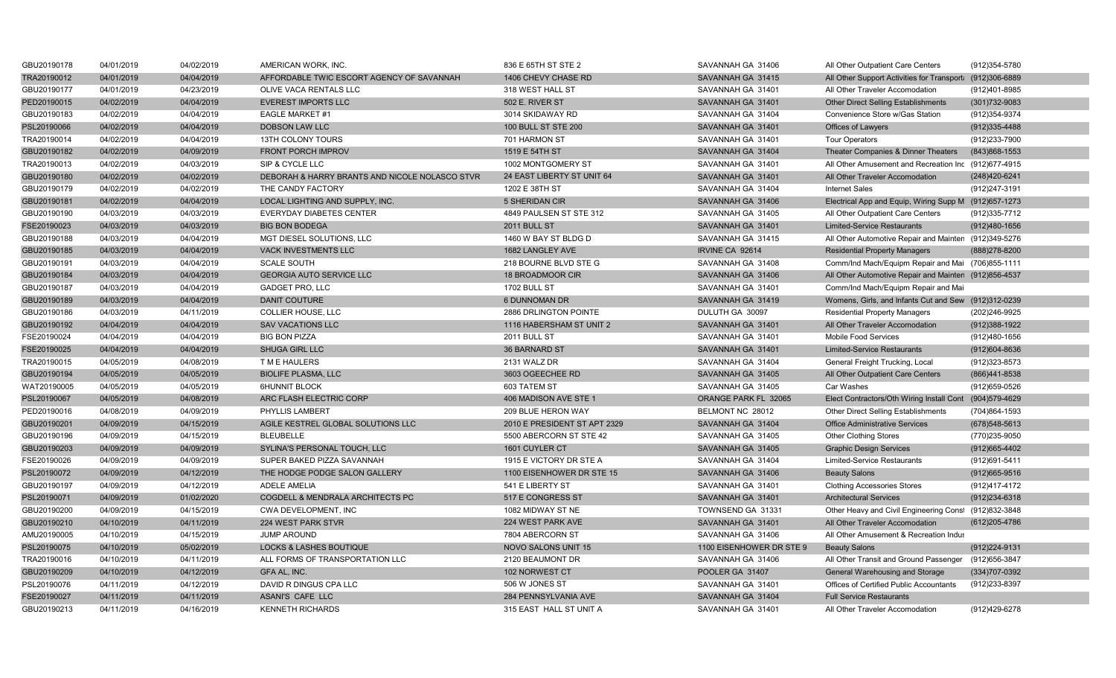| GBU20190178 | 04/01/2019 | 04/02/2019 | AMERICAN WORK, INC.                            | 836 E 65TH ST STE 2          | SAVANNAH GA 31406        | All Other Outpatient Care Centers                         | (912) 354-5780  |
|-------------|------------|------------|------------------------------------------------|------------------------------|--------------------------|-----------------------------------------------------------|-----------------|
| TRA20190012 | 04/01/2019 | 04/04/2019 | AFFORDABLE TWIC ESCORT AGENCY OF SAVANNAH      | 1406 CHEVY CHASE RD          | SAVANNAH GA 31415        | All Other Support Activities for Transport: (912)306-6889 |                 |
| GBU20190177 | 04/01/2019 | 04/23/2019 | OLIVE VACA RENTALS LLC                         | 318 WEST HALL ST             | SAVANNAH GA 31401        | All Other Traveler Accomodation                           | (912)401-8985   |
| PED20190015 | 04/02/2019 | 04/04/2019 | <b>EVEREST IMPORTS LLC</b>                     | 502 E. RIVER ST              | SAVANNAH GA 31401        | <b>Other Direct Selling Establishments</b>                | $(301)732-9083$ |
| GBU20190183 | 04/02/2019 | 04/04/2019 | <b>EAGLE MARKET #1</b>                         | 3014 SKIDAWAY RD             | SAVANNAH GA 31404        | Convenience Store w/Gas Station                           | (912) 354-9374  |
| PSL20190066 | 04/02/2019 | 04/04/2019 | <b>DOBSON LAW LLC</b>                          | <b>100 BULL ST STE 200</b>   | SAVANNAH GA 31401        | Offices of Lawyers                                        | (912) 335-4488  |
| TRA20190014 | 04/02/2019 | 04/04/2019 | 13TH COLONY TOURS                              | 701 HARMON ST                | SAVANNAH GA 31401        | <b>Tour Operators</b>                                     | (912)233-7900   |
| GBU20190182 | 04/02/2019 | 04/09/2019 | FRONT PORCH IMPROV                             | 1519 E 54TH ST               | SAVANNAH GA 31404        | Theater Companies & Dinner Theaters                       | (843) 868-1553  |
| TRA20190013 | 04/02/2019 | 04/03/2019 | SIP & CYCLE LLC                                | 1002 MONTGOMERY ST           | SAVANNAH GA 31401        | All Other Amusement and Recreation Inc (912)677-4915      |                 |
| GBU20190180 | 04/02/2019 | 04/02/2019 | DEBORAH & HARRY BRANTS AND NICOLE NOLASCO STVR | 24 EAST LIBERTY ST UNIT 64   | SAVANNAH GA 31401        | All Other Traveler Accomodation                           | (248) 420-6241  |
| GBU20190179 | 04/02/2019 | 04/02/2019 | THE CANDY FACTORY                              | 1202 E 38TH ST               | SAVANNAH GA 31404        | <b>Internet Sales</b>                                     | (912)247-3191   |
| GBU20190181 | 04/02/2019 | 04/04/2019 | LOCAL LIGHTING AND SUPPLY, INC.                | 5 SHERIDAN CIR               | SAVANNAH GA 31406        | Electrical App and Equip, Wiring Supp M (912)657-1273     |                 |
| GBU20190190 | 04/03/2019 | 04/03/2019 | <b>EVERYDAY DIABETES CENTER</b>                | 4849 PAULSEN ST STE 312      | SAVANNAH GA 31405        | All Other Outpatient Care Centers                         | (912) 335-7712  |
| FSE20190023 | 04/03/2019 | 04/03/2019 | <b>BIG BON BODEGA</b>                          | <b>2011 BULL ST</b>          | SAVANNAH GA 31401        | <b>Limited-Service Restaurants</b>                        | (912)480-1656   |
| GBU20190188 | 04/03/2019 | 04/04/2019 | MGT DIESEL SOLUTIONS, LLC                      | 1460 W BAY ST BLDG D         | SAVANNAH GA 31415        | All Other Automotive Repair and Mainten (912)349-5276     |                 |
| GBU20190185 | 04/03/2019 | 04/04/2019 | VACK INVESTMENTS LLC                           | 1682 LANGLEY AVE             | IRVINE CA 92614          | <b>Residential Property Managers</b>                      | (888) 278-8200  |
| GBU20190191 | 04/03/2019 | 04/04/2019 | <b>SCALE SOUTH</b>                             | 218 BOURNE BLVD STE G        | SAVANNAH GA 31408        | Comm/Ind Mach/Equipm Repair and Mai (706)855-1111         |                 |
| GBU20190184 | 04/03/2019 | 04/04/2019 | <b>GEORGIA AUTO SERVICE LLC</b>                | 18 BROADMOOR CIR             | SAVANNAH GA 31406        | All Other Automotive Repair and Mainten (912)856-4537     |                 |
| GBU20190187 | 04/03/2019 | 04/04/2019 | <b>GADGET PRO, LLC</b>                         | 1702 BULL ST                 | SAVANNAH GA 31401        | Comm/Ind Mach/Equipm Repair and Mai                       |                 |
| GBU20190189 | 04/03/2019 | 04/04/2019 | <b>DANIT COUTURE</b>                           | <b>6 DUNNOMAN DR</b>         | SAVANNAH GA 31419        | Womens, Girls, and Infants Cut and Sew (912)312-0239      |                 |
| GBU20190186 | 04/03/2019 | 04/11/2019 | COLLIER HOUSE, LLC                             | 2886 DRLINGTON POINTE        | DULUTH GA 30097          | <b>Residential Property Managers</b>                      | (202)246-9925   |
| GBU20190192 | 04/04/2019 | 04/04/2019 | <b>SAV VACATIONS LLC</b>                       | 1116 HABERSHAM ST UNIT 2     | SAVANNAH GA 31401        | All Other Traveler Accomodation                           | (912)388-1922   |
| FSE20190024 | 04/04/2019 | 04/04/2019 | <b>BIG BON PIZZA</b>                           | 2011 BULL ST                 | SAVANNAH GA 31401        | Mobile Food Services                                      | (912)480-1656   |
| FSE20190025 | 04/04/2019 | 04/04/2019 | <b>SHUGA GIRL LLC</b>                          | <b>36 BARNARD ST</b>         | SAVANNAH GA 31401        | <b>Limited-Service Restaurants</b>                        | (912)604-8636   |
| TRA20190015 | 04/05/2019 | 04/08/2019 | T M E HAULERS                                  | 2131 WALZ DR                 | SAVANNAH GA 31404        | General Freight Trucking, Local                           | (912)323-8573   |
| GBU20190194 | 04/05/2019 | 04/05/2019 | <b>BIOLIFE PLASMA, LLC</b>                     | 3603 OGEECHEE RD             | SAVANNAH GA 31405        | All Other Outpatient Care Centers                         | (866) 441-8538  |
| WAT20190005 | 04/05/2019 | 04/05/2019 | <b>6HUNNIT BLOCK</b>                           | 603 TATEM ST                 | SAVANNAH GA 31405        | Car Washes                                                | (912) 659-0526  |
| PSL20190067 | 04/05/2019 | 04/08/2019 | ARC FLASH ELECTRIC CORP                        | 406 MADISON AVE STE 1        | ORANGE PARK FL 32065     | Elect Contractors/Oth Wiring Install Cont (904)579-4629   |                 |
| PED20190016 | 04/08/2019 | 04/09/2019 | PHYLLIS LAMBERT                                | 209 BLUE HERON WAY           | BELMONT NC 28012         | Other Direct Selling Establishments                       | (704)864-1593   |
| GBU20190201 | 04/09/2019 | 04/15/2019 | AGILE KESTREL GLOBAL SOLUTIONS LLC             | 2010 E PRESIDENT ST APT 2329 | SAVANNAH GA 31404        | <b>Office Administrative Services</b>                     | (678) 548-5613  |
| GBU20190196 | 04/09/2019 | 04/15/2019 | <b>BLEUBELLE</b>                               | 5500 ABERCORN ST STE 42      | SAVANNAH GA 31405        | <b>Other Clothing Stores</b>                              | (770)235-9050   |
| GBU20190203 | 04/09/2019 | 04/09/2019 | SYLINA'S PERSONAL TOUCH, LLC                   | 1601 CUYLER CT               | SAVANNAH GA 31405        | <b>Graphic Design Services</b>                            | (912) 665-4402  |
| FSE20190026 | 04/09/2019 | 04/09/2019 | SUPER BAKED PIZZA SAVANNAH                     | 1915 E VICTORY DR STE A      | SAVANNAH GA 31404        | <b>Limited-Service Restaurants</b>                        | (912)691-5411   |
| PSL20190072 | 04/09/2019 | 04/12/2019 | THE HODGE PODGE SALON GALLERY                  | 1100 EISENHOWER DR STE 15    | SAVANNAH GA 31406        | <b>Beauty Salons</b>                                      | (912) 665-9516  |
| GBU20190197 | 04/09/2019 | 04/12/2019 | <b>ADELE AMELIA</b>                            | 541 E LIBERTY ST             | SAVANNAH GA 31401        | <b>Clothing Accessories Stores</b>                        | (912)417-4172   |
| PSL20190071 | 04/09/2019 | 01/02/2020 | COGDELL & MENDRALA ARCHITECTS PC               | 517 E CONGRESS ST            | SAVANNAH GA 31401        | <b>Architectural Services</b>                             | (912) 234-6318  |
| GBU20190200 | 04/09/2019 | 04/15/2019 | CWA DEVELOPMENT, INC                           | 1082 MIDWAY ST NE            | TOWNSEND GA 31331        | Other Heavy and Civil Engineering Const (912)832-3848     |                 |
| GBU20190210 | 04/10/2019 | 04/11/2019 | 224 WEST PARK STVR                             | 224 WEST PARK AVE            | SAVANNAH GA 31401        | All Other Traveler Accomodation                           | (612) 205-4786  |
| AMU20190005 | 04/10/2019 | 04/15/2019 | <b>JUMP AROUND</b>                             | 7804 ABERCORN ST             | SAVANNAH GA 31406        | All Other Amusement & Recreation Indus                    |                 |
| PSL20190075 | 04/10/2019 | 05/02/2019 | <b>LOCKS &amp; LASHES BOUTIQUE</b>             | <b>NOVO SALONS UNIT 15</b>   | 1100 EISENHOWER DR STE 9 | <b>Beauty Salons</b>                                      | (912) 224-9131  |
| TRA20190016 | 04/10/2019 | 04/11/2019 | ALL FORMS OF TRANSPORTATION LLC                | 2120 BEAUMONT DR             | SAVANNAH GA 31406        | All Other Transit and Ground Passenger                    | (912) 656-3847  |
| GBU20190209 | 04/10/2019 | 04/12/2019 | GFA AL, INC.                                   | 102 NORWEST CT               | POOLER GA 31407          | General Warehousing and Storage                           | (334) 707-0392  |
| PSL20190076 | 04/11/2019 | 04/12/2019 | DAVID R DINGUS CPA LLC                         | 506 W JONES ST               | SAVANNAH GA 31401        | Offices of Certified Public Accountants                   | (912)233-8397   |
| FSE20190027 | 04/11/2019 | 04/11/2019 | ASANI'S CAFE LLC                               | 284 PENNSYLVANIA AVE         | SAVANNAH GA 31404        | <b>Full Service Restaurants</b>                           |                 |
| GBU20190213 | 04/11/2019 | 04/16/2019 | <b>KENNETH RICHARDS</b>                        | 315 EAST HALL ST UNIT A      | SAVANNAH GA 31401        | All Other Traveler Accomodation                           | (912)429-6278   |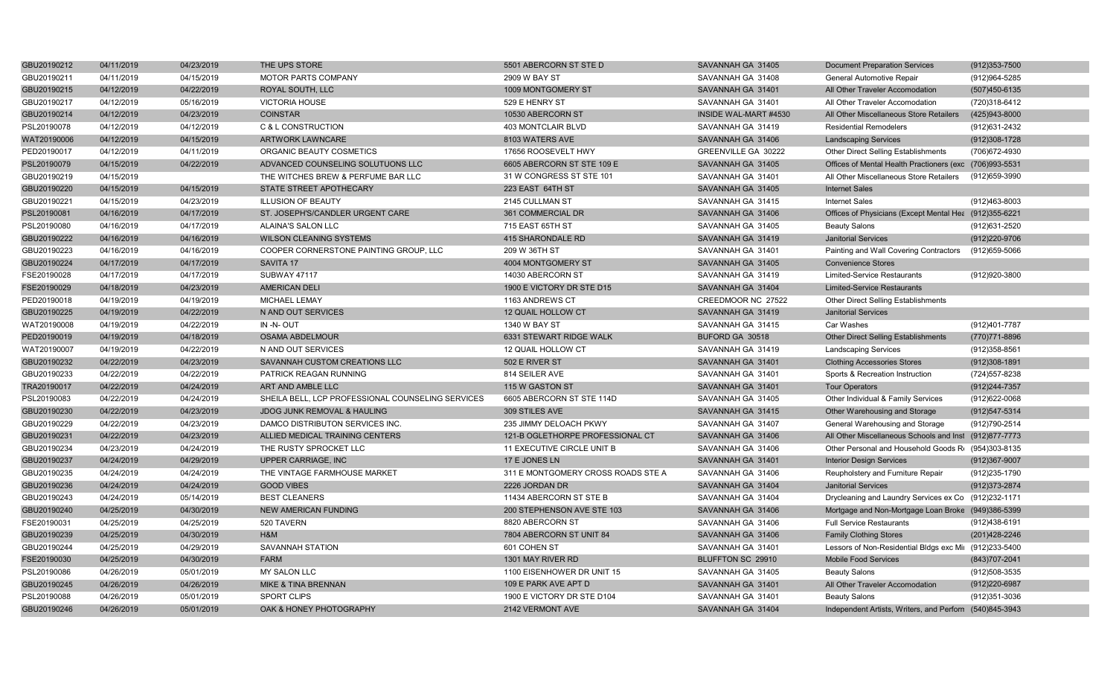| GBU20190212 | 04/11/2019 | 04/23/2019 | THE UPS STORE                                     | 5501 ABERCORN ST STE D             | SAVANNAH GA 31405     | <b>Document Preparation Services</b>                    | $(912)353 - 7500$ |
|-------------|------------|------------|---------------------------------------------------|------------------------------------|-----------------------|---------------------------------------------------------|-------------------|
| GBU20190211 | 04/11/2019 | 04/15/2019 | <b>MOTOR PARTS COMPANY</b>                        | 2909 W BAY ST                      | SAVANNAH GA 31408     | General Automotive Repair                               | (912) 964-5285    |
| GBU20190215 | 04/12/2019 | 04/22/2019 | ROYAL SOUTH, LLC                                  | 1009 MONTGOMERY ST                 | SAVANNAH GA 31401     | All Other Traveler Accomodation                         | (507)450-6135     |
| GBU20190217 | 04/12/2019 | 05/16/2019 | <b>VICTORIA HOUSE</b>                             | 529 E HENRY ST                     | SAVANNAH GA 31401     | All Other Traveler Accomodation                         | (720)318-6412     |
| GBU20190214 | 04/12/2019 | 04/23/2019 | <b>COINSTAR</b>                                   | 10530 ABERCORN ST                  | INSIDE WAL-MART #4530 | All Other Miscellaneous Store Retailers                 | (425)943-8000     |
| PSL20190078 | 04/12/2019 | 04/12/2019 | C & L CONSTRUCTION                                | <b>403 MONTCLAIR BLVD</b>          | SAVANNAH GA 31419     | <b>Residential Remodelers</b>                           | (912) 631-2432    |
| WAT20190006 | 04/12/2019 | 04/15/2019 | ARTWORK LAWNCARE                                  | 8103 WATERS AVE                    | SAVANNAH GA 31406     | <b>Landscaping Services</b>                             | (912)308-1728     |
| PED20190017 | 04/12/2019 | 04/11/2019 | ORGANIC BEAUTY COSMETICS                          | 17656 ROOSEVELT HWY                | GREENVILLE GA 30222   | Other Direct Selling Establishments                     | (706) 672-4930    |
| PSL20190079 | 04/15/2019 | 04/22/2019 | ADVANCED COUNSELING SOLUTUONS LLC                 | 6605 ABERCORN ST STE 109 E         | SAVANNAH GA 31405     | Offices of Mental Health Practioners (exc (706)993-5531 |                   |
| GBU20190219 | 04/15/2019 |            | THE WITCHES BREW & PERFUME BAR LLC                | 31 W CONGRESS ST STE 101           | SAVANNAH GA 31401     | All Other Miscellaneous Store Retailers                 | (912)659-3990     |
| GBU20190220 | 04/15/2019 | 04/15/2019 | STATE STREET APOTHECARY                           | 223 EAST 64TH ST                   | SAVANNAH GA 31405     | <b>Internet Sales</b>                                   |                   |
| GBU20190221 | 04/15/2019 | 04/23/2019 | <b>ILLUSION OF BEAUTY</b>                         | 2145 CULLMAN ST                    | SAVANNAH GA 31415     | <b>Internet Sales</b>                                   | (912)463-8003     |
| PSL20190081 | 04/16/2019 | 04/17/2019 | ST. JOSEPH'S/CANDLER URGENT CARE                  | 361 COMMERCIAL DR                  | SAVANNAH GA 31406     | Offices of Physicians (Except Mental Hea (912)355-6221  |                   |
| PSL20190080 | 04/16/2019 | 04/17/2019 | ALAINA'S SALON LLC                                | 715 EAST 65TH ST                   | SAVANNAH GA 31405     | <b>Beauty Salons</b>                                    | (912)631-2520     |
| GBU20190222 | 04/16/2019 | 04/16/2019 | <b>WILSON CLEANING SYSTEMS</b>                    | 415 SHARONDALE RD                  | SAVANNAH GA 31419     | <b>Janitorial Services</b>                              | (912)220-9706     |
| GBU20190223 | 04/16/2019 | 04/16/2019 | COOPER CORNERSTONE PAINTING GROUP, LLC            | 209 W 36TH ST                      | SAVANNAH GA 31401     | Painting and Wall Covering Contractors                  | (912)659-5066     |
| GBU20190224 | 04/17/2019 | 04/17/2019 | SAVITA 17                                         | 4004 MONTGOMERY ST                 | SAVANNAH GA 31405     | <b>Convenience Stores</b>                               |                   |
| FSE20190028 | 04/17/2019 | 04/17/2019 | <b>SUBWAY 47117</b>                               | 14030 ABERCORN ST                  | SAVANNAH GA 31419     | <b>Limited-Service Restaurants</b>                      | (912) 920-3800    |
| FSE20190029 | 04/18/2019 | 04/23/2019 | <b>AMERICAN DELI</b>                              | 1900 E VICTORY DR STE D15          | SAVANNAH GA 31404     | <b>Limited-Service Restaurants</b>                      |                   |
| PED20190018 | 04/19/2019 | 04/19/2019 | <b>MICHAEL LEMAY</b>                              | 1163 ANDREWS CT                    | CREEDMOOR NC 27522    | Other Direct Selling Establishments                     |                   |
| GBU20190225 | 04/19/2019 | 04/22/2019 | N AND OUT SERVICES                                | 12 QUAIL HOLLOW CT                 | SAVANNAH GA 31419     | <b>Janitorial Services</b>                              |                   |
| WAT20190008 | 04/19/2019 | 04/22/2019 | IN -N- OUT                                        | 1340 W BAY ST                      | SAVANNAH GA 31415     | Car Washes                                              | (912)401-7787     |
| PED20190019 | 04/19/2019 | 04/18/2019 | <b>OSAMA ABDELMOUR</b>                            | 6331 STEWART RIDGE WALK            | BUFORD GA 30518       | <b>Other Direct Selling Establishments</b>              | (770) 771-8896    |
| WAT20190007 | 04/19/2019 | 04/22/2019 | N AND OUT SERVICES                                | 12 QUAIL HOLLOW CT                 | SAVANNAH GA 31419     | <b>Landscaping Services</b>                             | (912) 358-8561    |
| GBU20190232 | 04/22/2019 | 04/23/2019 | SAVANNAH CUSTOM CREATIONS LLC                     | 502 E RIVER ST                     | SAVANNAH GA 31401     | <b>Clothing Accessories Stores</b>                      | $(912)308-1891$   |
| GBU20190233 | 04/22/2019 | 04/22/2019 | PATRICK REAGAN RUNNING                            | 814 SEILER AVE                     | SAVANNAH GA 31401     | Sports & Recreation Instruction                         | (724) 557-8238    |
| TRA20190017 | 04/22/2019 | 04/24/2019 | ART AND AMBLE LLC                                 | 115 W GASTON ST                    | SAVANNAH GA 31401     | <b>Tour Operators</b>                                   | (912) 244-7357    |
| PSL20190083 | 04/22/2019 | 04/24/2019 | SHEILA BELL, LCP PROFESSIONAL COUNSELING SERVICES | 6605 ABERCORN ST STE 114D          | SAVANNAH GA 31405     | Other Individual & Family Services                      | (912)622-0068     |
| GBU20190230 | 04/22/2019 | 04/23/2019 | <b>JDOG JUNK REMOVAL &amp; HAULING</b>            | 309 STILES AVE                     | SAVANNAH GA 31415     | Other Warehousing and Storage                           | (912) 547-5314    |
| GBU20190229 | 04/22/2019 | 04/23/2019 | DAMCO DISTRIBUTON SERVICES INC.                   | 235 JIMMY DELOACH PKWY             | SAVANNAH GA 31407     | General Warehousing and Storage                         | (912)790-2514     |
| GBU20190231 | 04/22/2019 | 04/23/2019 | ALLIED MEDICAL TRAINING CENTERS                   | 121-B OGLETHORPE PROFESSIONAL CT   | SAVANNAH GA 31406     | All Other Miscellaneous Schools and Inst (912)877-7773  |                   |
| GBU20190234 | 04/23/2019 | 04/24/2019 | THE RUSTY SPROCKET LLC                            | 11 EXECUTIVE CIRCLE UNIT B         | SAVANNAH GA 31406     | Other Personal and Household Goods R (954)303-8135      |                   |
| GBU20190237 | 04/24/2019 | 04/29/2019 | <b>UPPER CARRIAGE, INC</b>                        | 17 E JONES LN                      | SAVANNAH GA 31401     | <b>Interior Design Services</b>                         | $(912)367 - 9007$ |
| GBU20190235 | 04/24/2019 | 04/24/2019 | THE VINTAGE FARMHOUSE MARKET                      | 311 E MONTGOMERY CROSS ROADS STE A | SAVANNAH GA 31406     | Reupholstery and Furniture Repair                       | (912)235-1790     |
| GBU20190236 | 04/24/2019 | 04/24/2019 | <b>GOOD VIBES</b>                                 | 2226 JORDAN DR                     | SAVANNAH GA 31404     | <b>Janitorial Services</b>                              | (912) 373-2874    |
| GBU20190243 | 04/24/2019 | 05/14/2019 | <b>BEST CLEANERS</b>                              | 11434 ABERCORN ST STE B            | SAVANNAH GA 31404     | Drycleaning and Laundry Services ex Co (912)232-1171    |                   |
| GBU20190240 | 04/25/2019 | 04/30/2019 | <b>NEW AMERICAN FUNDING</b>                       | 200 STEPHENSON AVE STE 103         | SAVANNAH GA 31406     | Mortgage and Non-Mortgage Loan Broke (949)386-5399      |                   |
| FSE20190031 | 04/25/2019 | 04/25/2019 | 520 TAVERN                                        | 8820 ABERCORN ST                   | SAVANNAH GA 31406     | <b>Full Service Restaurants</b>                         | (912)438-6191     |
| GBU20190239 | 04/25/2019 | 04/30/2019 | H&M                                               | 7804 ABERCORN ST UNIT 84           | SAVANNAH GA 31406     | <b>Family Clothing Stores</b>                           | (201) 428-2246    |
| GBU20190244 | 04/25/2019 | 04/29/2019 | <b>SAVANNAH STATION</b>                           | 601 COHEN ST                       | SAVANNAH GA 31401     | Lessors of Non-Residential Bldgs exc Mir (912)233-5400  |                   |
| FSE20190030 | 04/25/2019 | 04/30/2019 | <b>FARM</b>                                       | 1301 MAY RIVER RD                  | BLUFFTON SC 29910     | Mobile Food Services                                    | (843) 707-2041    |
| PSL20190086 | 04/26/2019 | 05/01/2019 | <b>MY SALON LLC</b>                               | 1100 EISENHOWER DR UNIT 15         | SAVANNAH GA 31405     | <b>Beauty Salons</b>                                    | (912)508-3535     |
| GBU20190245 | 04/26/2019 | 04/26/2019 | MIKE & TINA BRENNAN                               | 109 E PARK AVE APT D               | SAVANNAH GA 31401     | All Other Traveler Accomodation                         | (912)220-6987     |
| PSL20190088 | 04/26/2019 | 05/01/2019 | <b>SPORT CLIPS</b>                                | 1900 E VICTORY DR STE D104         | SAVANNAH GA 31401     | <b>Beauty Salons</b>                                    | (912) 351-3036    |
| GBU20190246 | 04/26/2019 | 05/01/2019 | OAK & HONEY PHOTOGRAPHY                           | 2142 VERMONT AVE                   | SAVANNAH GA 31404     | Independent Artists, Writers, and Perforn (540)845-3943 |                   |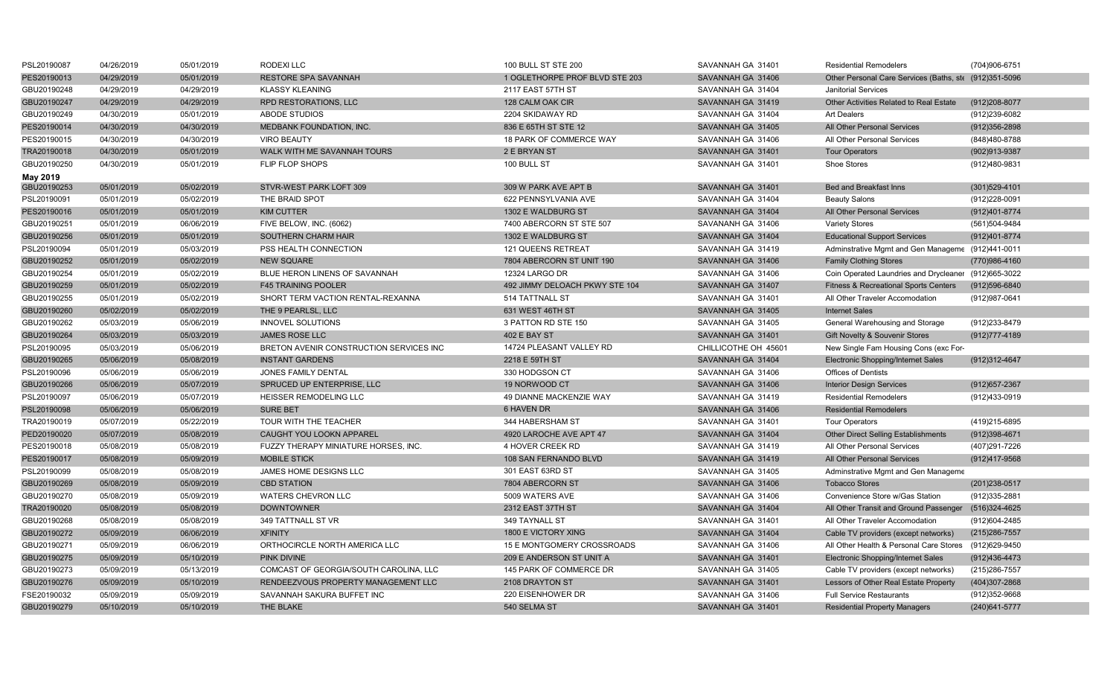| PSL20190087 | 04/26/2019 | 05/01/2019 | RODEXILLC                               | 100 BULL ST STE 200            | SAVANNAH GA 31401    | <b>Residential Remodelers</b>                          | (704)906-6751     |
|-------------|------------|------------|-----------------------------------------|--------------------------------|----------------------|--------------------------------------------------------|-------------------|
| PES20190013 | 04/29/2019 | 05/01/2019 | <b>RESTORE SPA SAVANNAH</b>             | 1 OGLETHORPE PROF BLVD STE 203 | SAVANNAH GA 31406    | Other Personal Care Services (Baths, ste (912)351-5096 |                   |
| GBU20190248 | 04/29/2019 | 04/29/2019 | <b>KLASSY KLEANING</b>                  | 2117 EAST 57TH ST              | SAVANNAH GA 31404    | <b>Janitorial Services</b>                             |                   |
| GBU20190247 | 04/29/2019 | 04/29/2019 | <b>RPD RESTORATIONS, LLC</b>            | 128 CALM OAK CIR               | SAVANNAH GA 31419    | <b>Other Activities Related to Real Estate</b>         | (912) 208-8077    |
| GBU20190249 | 04/30/2019 | 05/01/2019 | ABODE STUDIOS                           | 2204 SKIDAWAY RD               | SAVANNAH GA 31404    | <b>Art Dealers</b>                                     | (912)239-6082     |
| PES20190014 | 04/30/2019 | 04/30/2019 | MEDBANK FOUNDATION, INC.                | 836 E 65TH ST STE 12           | SAVANNAH GA 31405    | All Other Personal Services                            | $(912)356 - 2898$ |
| PES20190015 | 04/30/2019 | 04/30/2019 | <b>VIRO BEAUTY</b>                      | 18 PARK OF COMMERCE WAY        | SAVANNAH GA 31406    | All Other Personal Services                            | (848) 480-8788    |
| TRA20190018 | 04/30/2019 | 05/01/2019 | WALK WITH ME SAVANNAH TOURS             | 2 E BRYAN ST                   | SAVANNAH GA 31401    | <b>Tour Operators</b>                                  | (902)913-9387     |
| GBU20190250 | 04/30/2019 | 05/01/2019 | FLIP FLOP SHOPS                         | 100 BULL ST                    | SAVANNAH GA 31401    | <b>Shoe Stores</b>                                     | (912)480-9831     |
| May 2019    |            |            |                                         |                                |                      |                                                        |                   |
| GBU20190253 | 05/01/2019 | 05/02/2019 | STVR-WEST PARK LOFT 309                 | 309 W PARK AVE APT B           | SAVANNAH GA 31401    | Bed and Breakfast Inns                                 | $(301)529 - 4101$ |
| PSL20190091 | 05/01/2019 | 05/02/2019 | THE BRAID SPOT                          | 622 PENNSYLVANIA AVE           | SAVANNAH GA 31404    | <b>Beauty Salons</b>                                   | (912) 228-0091    |
| PES20190016 | 05/01/2019 | 05/01/2019 | <b>KIM CUTTER</b>                       | 1302 E WALDBURG ST             | SAVANNAH GA 31404    | All Other Personal Services                            | (912)401-8774     |
| GBU20190251 | 05/01/2019 | 06/06/2019 | FIVE BELOW, INC. (6062)                 | 7400 ABERCORN ST STE 507       | SAVANANH GA 31406    | <b>Variety Stores</b>                                  | (561)504-9484     |
| GBU20190256 | 05/01/2019 | 05/01/2019 | SOUTHERN CHARM HAIR                     | 1302 E WALDBURG ST             | SAVANNAH GA 31404    | <b>Educational Support Services</b>                    | (912)401-8774     |
| PSL20190094 | 05/01/2019 | 05/03/2019 | PSS HEALTH CONNECTION                   | <b>121 QUEENS RETREAT</b>      | SAVANNAH GA 31419    | Adminstrative Mgmt and Gen Manageme (912)441-0011      |                   |
| GBU20190252 | 05/01/2019 | 05/02/2019 | <b>NEW SQUARE</b>                       | 7804 ABERCORN ST UNIT 190      | SAVANNAH GA 31406    | <b>Family Clothing Stores</b>                          | (770)986-4160     |
| GBU20190254 | 05/01/2019 | 05/02/2019 | BLUE HERON LINENS OF SAVANNAH           | 12324 LARGO DR                 | SAVANNAH GA 31406    | Coin Operated Laundries and Drycleaner (912)665-3022   |                   |
| GBU20190259 | 05/01/2019 | 05/02/2019 | <b>F45 TRAINING POOLER</b>              | 492 JIMMY DELOACH PKWY STE 104 | SAVANNAH GA 31407    | <b>Fitness &amp; Recreational Sports Centers</b>       | (912) 596-6840    |
| GBU20190255 | 05/01/2019 | 05/02/2019 | SHORT TERM VACTION RENTAL-REXANNA       | 514 TATTNALL ST                | SAVANNAH GA 31401    | All Other Traveler Accomodation                        | (912) 987-0641    |
| GBU20190260 | 05/02/2019 | 05/02/2019 | THE 9 PEARLSL, LLC                      | 631 WEST 46TH ST               | SAVANNAH GA 31405    | <b>Internet Sales</b>                                  |                   |
| GBU20190262 | 05/03/2019 | 05/06/2019 | <b>INNOVEL SOLUTIONS</b>                | 3 PATTON RD STE 150            | SAVANNAH GA 31405    | General Warehousing and Storage                        | (912)233-8479     |
| GBU20190264 | 05/03/2019 | 05/03/2019 | <b>JAMES ROSE LLC</b>                   | <b>402 E BAY ST</b>            | SAVANNAH GA 31401    | Gift Novelty & Souvenir Stores                         | (912) 777-4189    |
| PSL20190095 | 05/03/2019 | 05/06/2019 | BRETON AVENIR CONSTRUCTION SERVICES INC | 14724 PLEASANT VALLEY RD       | CHILLICOTHE OH 45601 | New Single Fam Housing Cons (exc For-                  |                   |
| GBU20190265 | 05/06/2019 | 05/08/2019 | <b>INSTANT GARDENS</b>                  | 2218 E 59TH ST                 | SAVANNAH GA 31404    | <b>Electronic Shopping/Internet Sales</b>              | (912)312-4647     |
| PSL20190096 | 05/06/2019 | 05/06/2019 | JONES FAMILY DENTAL                     | 330 HODGSON CT                 | SAVANNAH GA 31406    | Offices of Dentists                                    |                   |
| GBU20190266 | 05/06/2019 | 05/07/2019 | SPRUCED UP ENTERPRISE, LLC              | 19 NORWOOD CT                  | SAVANNAH GA 31406    | <b>Interior Design Services</b>                        | (912) 657-2367    |
| PSL20190097 | 05/06/2019 | 05/07/2019 | HEISSER REMODELING LLC                  | 49 DIANNE MACKENZIE WAY        | SAVANNAH GA 31419    | <b>Residential Remodelers</b>                          | (912)433-0919     |
| PSL20190098 | 05/06/2019 | 05/06/2019 | <b>SURE BET</b>                         | 6 HAVEN DR                     | SAVANNAH GA 31406    | <b>Residential Remodelers</b>                          |                   |
| TRA20190019 | 05/07/2019 | 05/22/2019 | TOUR WITH THE TEACHER                   | 344 HABERSHAM ST               | SAVANNAH GA 31401    | <b>Tour Operators</b>                                  | (419) 215-6895    |
| PED20190020 | 05/07/2019 | 05/08/2019 | CAUGHT YOU LOOKN APPAREL                | 4920 LAROCHE AVE APT 47        | SAVANNAH GA 31404    | <b>Other Direct Selling Establishments</b>             | (912)398-4671     |
| PES20190018 | 05/08/2019 | 05/08/2019 | FUZZY THERAPY MINIATURE HORSES, INC.    | 4 HOVER CREEK RD               | SAVANNAH GA 31419    | All Other Personal Services                            | (407)291-7226     |
| PES20190017 | 05/08/2019 | 05/09/2019 | <b>MOBILE STICK</b>                     | 108 SAN FERNANDO BLVD          | SAVANNAH GA 31419    | All Other Personal Services                            | (912)417-9568     |
| PSL20190099 | 05/08/2019 | 05/08/2019 | JAMES HOME DESIGNS LLC                  | 301 EAST 63RD ST               | SAVANNAH GA 31405    | Adminstrative Mgmt and Gen Manageme                    |                   |
| GBU20190269 | 05/08/2019 | 05/09/2019 | <b>CBD STATION</b>                      | 7804 ABERCORN ST               | SAVANNAH GA 31406    | <b>Tobacco Stores</b>                                  | (201) 238-0517    |
| GBU20190270 | 05/08/2019 | 05/09/2019 | WATERS CHEVRON LLC                      | 5009 WATERS AVE                | SAVANNAH GA 31406    | Convenience Store w/Gas Station                        | (912)335-2881     |
| TRA20190020 | 05/08/2019 | 05/08/2019 | <b>DOWNTOWNER</b>                       | 2312 EAST 37TH ST              | SAVANNAH GA 31404    | All Other Transit and Ground Passenger                 | (516)324-4625     |
| GBU20190268 | 05/08/2019 | 05/08/2019 | 349 TATTNALL ST VR                      | 349 TAYNALL ST                 | SAVANNAH GA 31401    | All Other Traveler Accomodation                        | (912)604-2485     |
| GBU20190272 | 05/09/2019 | 06/06/2019 | <b>XFINITY</b>                          | 1800 E VICTORY XING            | SAVANNAH GA 31404    | Cable TV providers (except networks)                   | (215) 286-7557    |
| GBU20190271 | 05/09/2019 | 06/06/2019 | ORTHOCIRCLE NORTH AMERICA LLC           | 15 E MONTGOMERY CROSSROADS     | SAVANNAH GA 31406    | All Other Health & Personal Care Stores                | (912)629-9450     |
| GBU20190275 | 05/09/2019 | 05/10/2019 | PINK DIVINE                             | 209 E ANDERSON ST UNIT A       | SAVANNAH GA 31401    | Electronic Shopping/Internet Sales                     | $(912)436 - 4473$ |
| GBU20190273 | 05/09/2019 | 05/13/2019 | COMCAST OF GEORGIA/SOUTH CAROLINA, LLC  | 145 PARK OF COMMERCE DR        | SAVANNAH GA 31405    | Cable TV providers (except networks)                   | (215) 286-7557    |
| GBU20190276 | 05/09/2019 | 05/10/2019 | RENDEEZVOUS PROPERTY MANAGEMENT LLC     | 2108 DRAYTON ST                | SAVANNAH GA 31401    | Lessors of Other Real Estate Property                  | (404)307-2868     |
| FSE20190032 | 05/09/2019 | 05/09/2019 | SAVANNAH SAKURA BUFFET INC              | 220 EISENHOWER DR              | SAVANNAH GA 31406    | <b>Full Service Restaurants</b>                        | (912)352-9668     |
| GBU20190279 | 05/10/2019 | 05/10/2019 | THE BLAKE                               | 540 SELMA ST                   | SAVANNAH GA 31401    | <b>Residential Property Managers</b>                   | (240) 641-5777    |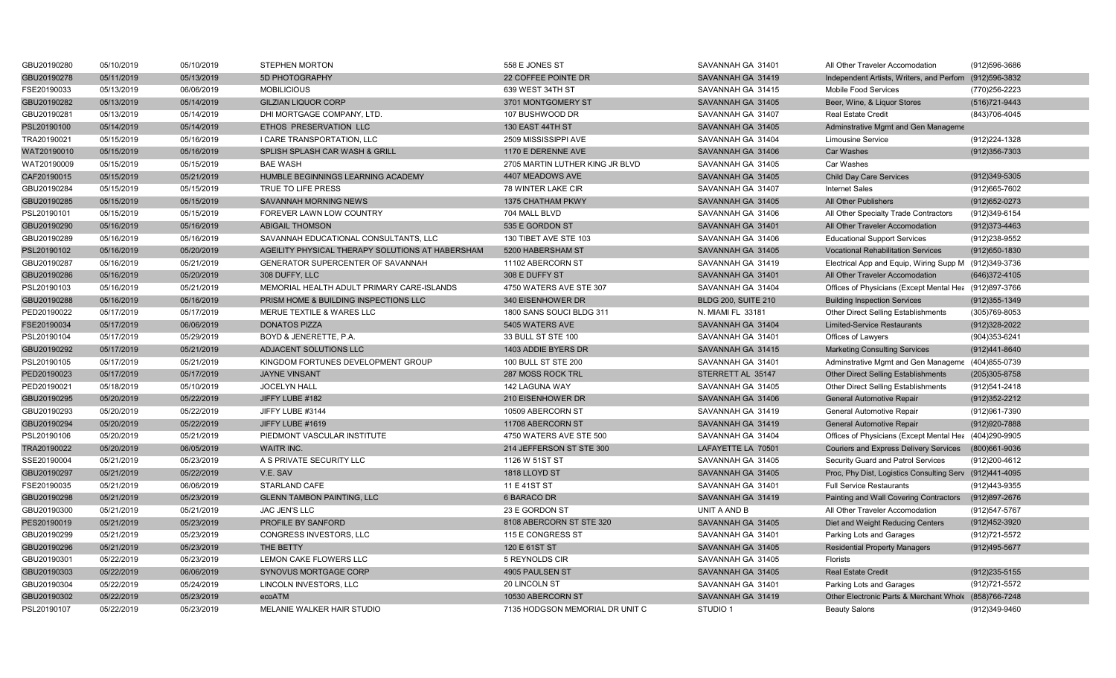| GBU20190280 | 05/10/2019 | 05/10/2019 | <b>STEPHEN MORTON</b>                            | 558 E JONES ST                  | SAVANNAH GA 31401          | All Other Traveler Accomodation                         | (912)596-3686     |
|-------------|------------|------------|--------------------------------------------------|---------------------------------|----------------------------|---------------------------------------------------------|-------------------|
| GBU20190278 | 05/11/2019 | 05/13/2019 | 5D PHOTOGRAPHY                                   | 22 COFFEE POINTE DR             | SAVANNAH GA 31419          | Independent Artists, Writers, and Perforn (912)596-3832 |                   |
| FSE20190033 | 05/13/2019 | 06/06/2019 | <b>MOBILICIOUS</b>                               | 639 WEST 34TH ST                | SAVANNAH GA 31415          | Mobile Food Services                                    | (770)256-2223     |
| GBU20190282 | 05/13/2019 | 05/14/2019 | <b>GILZIAN LIQUOR CORP</b>                       | 3701 MONTGOMERY ST              | SAVANNAH GA 31405          | Beer, Wine, & Liquor Stores                             | (516) 721-9443    |
| GBU20190281 | 05/13/2019 | 05/14/2019 | DHI MORTGAGE COMPANY, LTD.                       | 107 BUSHWOOD DR                 | SAVANNAH GA 31407          | <b>Real Estate Credit</b>                               | (843) 706-4045    |
| PSL20190100 | 05/14/2019 | 05/14/2019 | ETHOS PRESERVATION LLC                           | 130 EAST 44TH ST                | SAVANNAH GA 31405          | Adminstrative Mgmt and Gen Manageme                     |                   |
| TRA20190021 | 05/15/2019 | 05/16/2019 | I CARE TRANSPORTATION, LLC                       | 2509 MISSISSIPPI AVE            | SAVANNAH GA 31404          | <b>Limousine Service</b>                                | (912) 224-1328    |
| WAT20190010 | 05/15/2019 | 05/16/2019 | SPLISH SPLASH CAR WASH & GRILL                   | 1170 E DERENNE AVE              | SAVANNAH GA 31406          | <b>Car Washes</b>                                       | (912) 356-7303    |
| WAT20190009 | 05/15/2019 | 05/15/2019 | <b>BAE WASH</b>                                  | 2705 MARTIN LUTHER KING JR BLVD | SAVANNAH GA 31405          | Car Washes                                              |                   |
| CAF20190015 | 05/15/2019 | 05/21/2019 | HUMBLE BEGINNINGS LEARNING ACADEMY               | 4407 MEADOWS AVE                | SAVANNAH GA 31405          | <b>Child Day Care Services</b>                          | (912) 349-5305    |
| GBU20190284 | 05/15/2019 | 05/15/2019 | TRUE TO LIFE PRESS                               | 78 WINTER LAKE CIR              | SAVANNAH GA 31407          | <b>Internet Sales</b>                                   | (912) 665-7602    |
| GBU20190285 | 05/15/2019 | 05/15/2019 | SAVANNAH MORNING NEWS                            | 1375 CHATHAM PKWY               | SAVANNAH GA 31405          | All Other Publishers                                    | (912) 652-0273    |
| PSL20190101 | 05/15/2019 | 05/15/2019 | FOREVER LAWN LOW COUNTRY                         | 704 MALL BLVD                   | SAVANNAH GA 31406          | All Other Specialty Trade Contractors                   | (912)349-6154     |
| GBU20190290 | 05/16/2019 | 05/16/2019 | <b>ABIGAIL THOMSON</b>                           | 535 E GORDON ST                 | SAVANNAH GA 31401          | All Other Traveler Accomodation                         | (912) 373-4463    |
| GBU20190289 | 05/16/2019 | 05/16/2019 | SAVANNAH EDUCATIONAL CONSULTANTS, LLC            | 130 TIBET AVE STE 103           | SAVANNAH GA 31406          | <b>Educational Support Services</b>                     | (912)238-9552     |
| PSL20190102 | 05/16/2019 | 05/20/2019 | AGEILITY PHYSICAL THERAPY SOLUTIONS AT HABERSHAM | 5200 HABERSHAM ST               | SAVANNAH GA 31405          | <b>Vocational Rehabilitation Services</b>               | (912) 650-1830    |
| GBU20190287 | 05/16/2019 | 05/21/2019 | GENERATOR SUPERCENTER OF SAVANNAH                | 11102 ABERCORN ST               | SAVANNAH GA 31419          | Electrical App and Equip, Wiring Supp M (912)349-3736   |                   |
| GBU20190286 | 05/16/2019 | 05/20/2019 | 308 DUFFY, LLC                                   | 308 E DUFFY ST                  | SAVANNAH GA 31401          | All Other Traveler Accomodation                         | (646) 372-4105    |
| PSL20190103 | 05/16/2019 | 05/21/2019 | MEMORIAL HEALTH ADULT PRIMARY CARE-ISLANDS       | 4750 WATERS AVE STE 307         | SAVANNAH GA 31404          | Offices of Physicians (Except Mental Hea (912)897-3766  |                   |
| GBU20190288 | 05/16/2019 | 05/16/2019 | PRISM HOME & BUILDING INSPECTIONS LLC            | 340 EISENHOWER DR               | <b>BLDG 200, SUITE 210</b> | <b>Building Inspection Services</b>                     | $(912)355 - 1349$ |
| PED20190022 | 05/17/2019 | 05/17/2019 | MERUE TEXTILE & WARES LLC                        | 1800 SANS SOUCI BLDG 311        | N. MIAMI FL 33181          | Other Direct Selling Establishments                     | (305) 769-8053    |
| FSE20190034 | 05/17/2019 | 06/06/2019 | <b>DONATOS PIZZA</b>                             | 5405 WATERS AVE                 | SAVANNAH GA 31404          | <b>Limited-Service Restaurants</b>                      | (912)328-2022     |
| PSL20190104 | 05/17/2019 | 05/29/2019 | BOYD & JENERETTE, P.A.                           | 33 BULL ST STE 100              | SAVANNAH GA 31401          | Offices of Lawyers                                      | (904) 353-6241    |
| GBU20190292 | 05/17/2019 | 05/21/2019 | ADJACENT SOLUTIONS LLC                           | 1403 ADDIE BYERS DR             | SAVANNAH GA 31415          | <b>Marketing Consulting Services</b>                    | (912)441-8640     |
| PSL20190105 | 05/17/2019 | 05/21/2019 | KINGDOM FORTUNES DEVELOPMENT GROUP               | 100 BULL ST STE 200             | SAVANNAH GA 31401          | Adminstrative Mgmt and Gen Manageme (404)855-0739       |                   |
| PED20190023 | 05/17/2019 | 05/17/2019 | <b>JAYNE VINSANT</b>                             | 287 MOSS ROCK TRL               | STERRETT AL 35147          | <b>Other Direct Selling Establishments</b>              | (205)305-8758     |
| PED20190021 | 05/18/2019 | 05/10/2019 | JOCELYN HALL                                     | 142 LAGUNA WAY                  | SAVANNAH GA 31405          | Other Direct Selling Establishments                     | (912)541-2418     |
| GBU20190295 | 05/20/2019 | 05/22/2019 | JIFFY LUBE #182                                  | 210 EISENHOWER DR               | SAVANNAH GA 31406          | <b>General Automotive Repair</b>                        | (912) 352-2212    |
| GBU20190293 | 05/20/2019 | 05/22/2019 | JIFFY LUBE #3144                                 | 10509 ABERCORN ST               | SAVANNAH GA 31419          | General Automotive Repair                               | (912) 961-7390    |
| GBU20190294 | 05/20/2019 | 05/22/2019 | JIFFY LUBE #1619                                 | 11708 ABERCORN ST               | SAVANNAH GA 31419          | <b>General Automotive Repair</b>                        | (912) 920-7888    |
| PSL20190106 | 05/20/2019 | 05/21/2019 | PIEDMONT VASCULAR INSTITUTE                      | 4750 WATERS AVE STE 500         | SAVANNAH GA 31404          | Offices of Physicians (Except Mental Hea (404)290-9905  |                   |
| TRA20190022 | 05/20/2019 | 06/05/2019 | WAITR INC.                                       | 214 JEFFERSON ST STE 300        | LAFAYETTE LA 70501         | <b>Couriers and Express Delivery Services</b>           | (800)661-9036     |
| SSE20190004 | 05/21/2019 | 05/23/2019 | A S PRIVATE SECURITY LLC                         | 1126 W 51ST ST                  | SAVANNAH GA 31405          | Security Guard and Patrol Services                      | (912)200-4612     |
| GBU20190297 | 05/21/2019 | 05/22/2019 | V.E. SAV                                         | 1818 LLOYD ST                   | SAVANNAH GA 31405          | Proc, Phy Dist, Logistics Consulting Serv (912)441-4095 |                   |
| FSE20190035 | 05/21/2019 | 06/06/2019 | <b>STARLAND CAFE</b>                             | 11 E 41ST ST                    | SAVANNAH GA 31401          | <b>Full Service Restaurants</b>                         | (912)443-9355     |
| GBU20190298 | 05/21/2019 | 05/23/2019 | <b>GLENN TAMBON PAINTING, LLC</b>                | 6 BARACO DR                     | SAVANNAH GA 31419          | Painting and Wall Covering Contractors                  | (912)897-2676     |
| GBU20190300 | 05/21/2019 | 05/21/2019 | <b>JAC JEN'S LLC</b>                             | 23 E GORDON ST                  | UNIT A AND B               | All Other Traveler Accomodation                         | (912) 547-5767    |
| PES20190019 | 05/21/2019 | 05/23/2019 | PROFILE BY SANFORD                               | 8108 ABERCORN ST STE 320        | SAVANNAH GA 31405          | Diet and Weight Reducing Centers                        | (912)452-3920     |
| GBU20190299 | 05/21/2019 | 05/23/2019 | CONGRESS INVESTORS, LLC                          | 115 E CONGRESS ST               | SAVANNAH GA 31401          | Parking Lots and Garages                                | (912)721-5572     |
| GBU20190296 | 05/21/2019 | 05/23/2019 | THE BETTY                                        | 120 E 61ST ST                   | SAVANNAH GA 31405          | <b>Residential Property Managers</b>                    | (912)495-5677     |
| GBU20190301 | 05/22/2019 | 05/23/2019 | LEMON CAKE FLOWERS LLC                           | 5 REYNOLDS CIR                  | SAVANNAH GA 31405          | Florists                                                |                   |
| GBU20190303 | 05/22/2019 | 06/06/2019 | SYNOVUS MORTGAGE CORP                            | 4905 PAULSEN ST                 | SAVANNAH GA 31405          | <b>Real Estate Credit</b>                               | $(912)235 - 5155$ |
| GBU20190304 | 05/22/2019 | 05/24/2019 | LINCOLN INVESTORS, LLC                           | 20 LINCOLN ST                   | SAVANNAH GA 31401          | Parking Lots and Garages                                | (912) 721-5572    |
| GBU20190302 | 05/22/2019 | 05/23/2019 | ecoATM                                           | 10530 ABERCORN ST               | SAVANNAH GA 31419          | Other Electronic Parts & Merchant Whole (858)766-7248   |                   |
| PSL20190107 | 05/22/2019 | 05/23/2019 | MELANIE WALKER HAIR STUDIO                       | 7135 HODGSON MEMORIAL DR UNIT C | STUDIO 1                   | <b>Beauty Salons</b>                                    | (912)349-9460     |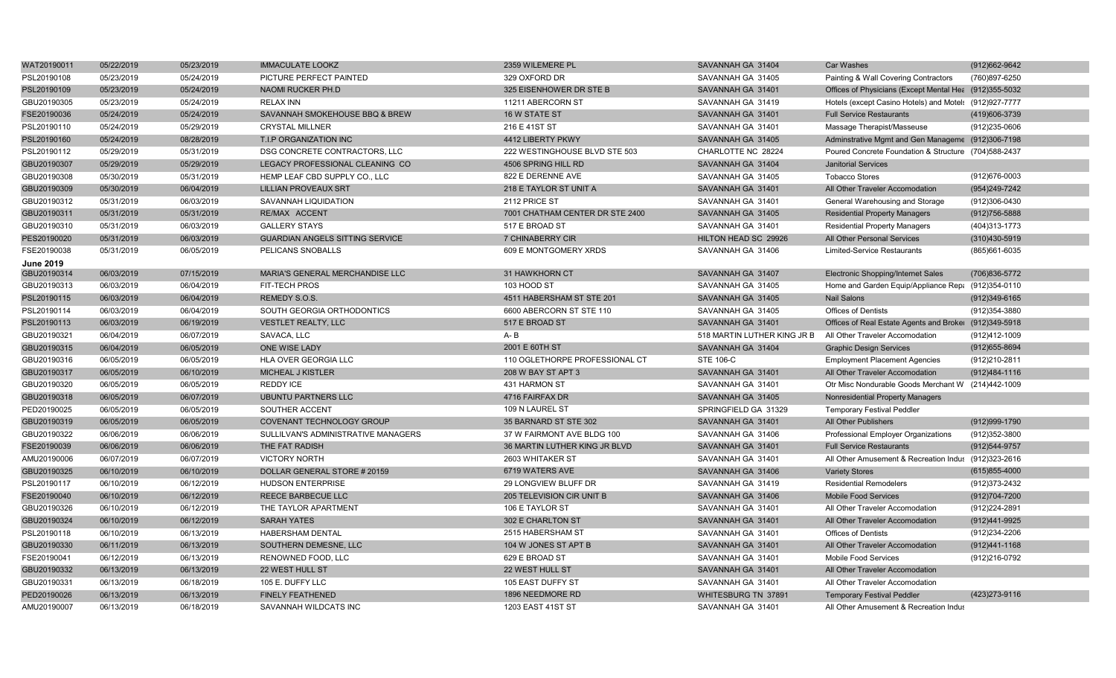| WAT20190011      | 05/22/2019 | 05/23/2019 | <b>IMMACULATE LOOKZ</b>                | 2359 WILEMERE PL                | SAVANNAH GA 31404           | <b>Car Washes</b>                                      | (912) 662-9642    |
|------------------|------------|------------|----------------------------------------|---------------------------------|-----------------------------|--------------------------------------------------------|-------------------|
| PSL20190108      | 05/23/2019 | 05/24/2019 | PICTURE PERFECT PAINTED                | 329 OXFORD DR                   | SAVANNAH GA 31405           | Painting & Wall Covering Contractors                   | (760)897-6250     |
| PSL20190109      | 05/23/2019 | 05/24/2019 | NAOMI RUCKER PH.D                      | 325 EISENHOWER DR STE B         | SAVANNAH GA 31401           | Offices of Physicians (Except Mental Hea (912)355-5032 |                   |
| GBU20190305      | 05/23/2019 | 05/24/2019 | <b>RELAX INN</b>                       | 11211 ABERCORN ST               | SAVANNAH GA 31419           | Hotels (except Casino Hotels) and Motels (912)927-7777 |                   |
| FSE20190036      | 05/24/2019 | 05/24/2019 | SAVANNAH SMOKEHOUSE BBQ & BREW         | 16 W STATE ST                   | SAVANNAH GA 31401           | <b>Full Service Restaurants</b>                        | (419)606-3739     |
| PSL20190110      | 05/24/2019 | 05/29/2019 | <b>CRYSTAL MILLNER</b>                 | 216 E 41ST ST                   | SAVANNAH GA 31401           | Massage Therapist/Masseuse                             | (912)235-0606     |
| PSL20190160      | 05/24/2019 | 08/28/2019 | T.I.P ORGANIZATION INC                 | 4412 LIBERTY PKWY               | SAVANNAH GA 31405           | Adminstrative Mgmt and Gen Manageme (912)306-7198      |                   |
| PSL20190112      | 05/29/2019 | 05/31/2019 | DSG CONCRETE CONTRACTORS. LLC          | 222 WESTINGHOUSE BLVD STE 503   | CHARLOTTE NC 28224          | Poured Concrete Foundation & Structure (704)588-2437   |                   |
| GBU20190307      | 05/29/2019 | 05/29/2019 | LEGACY PROFESSIONAL CLEANING CO        | 4506 SPRING HILL RD             | SAVANNAH GA 31404           | <b>Janitorial Services</b>                             |                   |
| GBU20190308      | 05/30/2019 | 05/31/2019 | HEMP LEAF CBD SUPPLY CO., LLC          | 822 E DERENNE AVE               | SAVANNAH GA 31405           | <b>Tobacco Stores</b>                                  | (912)676-0003     |
| GBU20190309      | 05/30/2019 | 06/04/2019 | <b>LILLIAN PROVEAUX SRT</b>            | 218 E TAYLOR ST UNIT A          | SAVANNAH GA 31401           | All Other Traveler Accomodation                        | (954)249-7242     |
| GBU20190312      | 05/31/2019 | 06/03/2019 | SAVANNAH LIQUIDATION                   | 2112 PRICE ST                   | SAVANNAH GA 31401           | General Warehousing and Storage                        | (912)306-0430     |
| GBU20190311      | 05/31/2019 | 05/31/2019 | RE/MAX ACCENT                          | 7001 CHATHAM CENTER DR STE 2400 | SAVANNAH GA 31405           | <b>Residential Property Managers</b>                   | (912)756-5888     |
| GBU20190310      | 05/31/2019 | 06/03/2019 | <b>GALLERY STAYS</b>                   | 517 E BROAD ST                  | SAVANNAH GA 31401           | <b>Residential Property Managers</b>                   | (404)313-1773     |
| PES20190020      | 05/31/2019 | 06/03/2019 | <b>GUARDIAN ANGELS SITTING SERVICE</b> | 7 CHINABERRY CIR                | HILTON HEAD SC 29926        | All Other Personal Services                            | (310)430-5919     |
| FSE20190038      | 05/31/2019 | 06/05/2019 | PELICANS SNOBALLS                      | 609 E MONTGOMERY XRDS           | SAVANNAH GA 31406           | Limited-Service Restaurants                            | (865) 661-6035    |
| <b>June 2019</b> |            |            |                                        |                                 |                             |                                                        |                   |
| GBU20190314      | 06/03/2019 | 07/15/2019 | MARIA'S GENERAL MERCHANDISE LLC        | 31 HAWKHORN CT                  | SAVANNAH GA 31407           | <b>Electronic Shopping/Internet Sales</b>              | (706) 836-5772    |
| GBU20190313      | 06/03/2019 | 06/04/2019 | FIT-TECH PROS                          | 103 HOOD ST                     | SAVANNAH GA 31405           | Home and Garden Equip/Appliance Rep: (912)354-0110     |                   |
| PSL20190115      | 06/03/2019 | 06/04/2019 | REMEDY S.O.S.                          | 4511 HABERSHAM ST STE 201       | SAVANNAH GA 31405           | <b>Nail Salons</b>                                     | (912)349-6165     |
| PSL20190114      | 06/03/2019 | 06/04/2019 | SOUTH GEORGIA ORTHODONTICS             | 6600 ABERCORN ST STE 110        | SAVANNAH GA 31405           | <b>Offices of Dentists</b>                             | (912) 354-3880    |
| PSL20190113      | 06/03/2019 | 06/19/2019 | <b>VESTLET REALTY, LLC</b>             | 517 E BROAD ST                  | SAVANNAH GA 31401           | Offices of Real Estate Agents and Broker (912)349-5918 |                   |
| GBU20190321      | 06/04/2019 | 06/07/2019 | SAVACA, LLC                            | $A - B$                         | 518 MARTIN LUTHER KING JR E | All Other Traveler Accomodation                        | (912)412-1009     |
| GBU20190315      | 06/04/2019 | 06/05/2019 | ONE WISE LADY                          | 2001 E 60TH ST                  | SAVANNAH GA 31404           | <b>Graphic Design Services</b>                         | (912) 655-8694    |
| GBU20190316      | 06/05/2019 | 06/05/2019 | HLA OVER GEORGIA LLC                   | 110 OGLETHORPE PROFESSIONAL CT  | STE 106-C                   | <b>Employment Placement Agencies</b>                   | (912)210-2811     |
| GBU20190317      | 06/05/2019 | 06/10/2019 | <b>MICHEAL J KISTLER</b>               | 208 W BAY ST APT 3              | SAVANNAH GA 31401           | All Other Traveler Accomodation                        | (912)484-1116     |
| GBU20190320      | 06/05/2019 | 06/05/2019 | <b>REDDY ICE</b>                       | 431 HARMON ST                   | SAVANNAH GA 31401           | Otr Misc Nondurable Goods Merchant W (214)442-1009     |                   |
| GBU20190318      | 06/05/2019 | 06/07/2019 | <b>UBUNTU PARTNERS LLC</b>             | 4716 FAIRFAX DR                 | SAVANNAH GA 31405           | Nonresidential Property Managers                       |                   |
| PED20190025      | 06/05/2019 | 06/05/2019 | SOUTHER ACCENT                         | 109 N LAUREL ST                 | SPRINGFIELD GA 31329        | <b>Temporary Festival Peddler</b>                      |                   |
| GBU20190319      | 06/05/2019 | 06/05/2019 | COVENANT TECHNOLOGY GROUP              | 35 BARNARD ST STE 302           | SAVANNAH GA 31401           | All Other Publishers                                   | (912) 999-1790    |
| GBU20190322      | 06/06/2019 | 06/06/2019 | SULLILVAN'S ADMINISTRATIVE MANAGERS    | 37 W FAIRMONT AVE BLDG 100      | SAVANNAH GA 31406           | Professional Employer Organizations                    | (912)352-3800     |
| FSE20190039      | 06/06/2019 | 06/06/2019 | THE FAT RADISH                         | 36 MARTIN LUTHER KING JR BLVD   | SAVANNAH GA 31401           | <b>Full Service Restaurants</b>                        | (912) 544-9757    |
| AMU20190006      | 06/07/2019 | 06/07/2019 | <b>VICTORY NORTH</b>                   | 2603 WHITAKER ST                | SAVANNAH GA 31401           | All Other Amusement & Recreation Indus (912)323-2616   |                   |
| GBU20190325      | 06/10/2019 | 06/10/2019 | DOLLAR GENERAL STORE # 20159           | 6719 WATERS AVE                 | SAVANNAH GA 31406           | <b>Variety Stores</b>                                  | $(615)855 - 4000$ |
| PSL20190117      | 06/10/2019 | 06/12/2019 | <b>HUDSON ENTERPRISE</b>               | 29 LONGVIEW BLUFF DR            | SAVANNAH GA 31419           | <b>Residential Remodelers</b>                          | (912) 373-2432    |
| FSE20190040      | 06/10/2019 | 06/12/2019 | REECE BARBECUE LLC                     | 205 TELEVISION CIR UNIT B       | SAVANNAH GA 31406           | <b>Mobile Food Services</b>                            | (912) 704-7200    |
| GBU20190326      | 06/10/2019 | 06/12/2019 | THE TAYLOR APARTMENT                   | 106 E TAYLOR ST                 | SAVANNAH GA 31401           | All Other Traveler Accomodation                        | (912) 224-2891    |
| GBU20190324      | 06/10/2019 | 06/12/2019 | <b>SARAH YATES</b>                     | 302 E CHARLTON ST               | SAVANNAH GA 31401           | All Other Traveler Accomodation                        | (912)441-9925     |
| PSL20190118      | 06/10/2019 | 06/13/2019 | <b>HABERSHAM DENTAL</b>                | 2515 HABERSHAM ST               | SAVANNAH GA 31401           | <b>Offices of Dentists</b>                             | (912)234-2206     |
| GBU20190330      | 06/11/2019 | 06/13/2019 | SOUTHERN DEMESNE, LLC                  | 104 W JONES ST APT B            | SAVANNAH GA 31401           | All Other Traveler Accomodation                        | (912)441-1168     |
| FSE20190041      | 06/12/2019 | 06/13/2019 | RENOWNED FOOD, LLC                     | 629 E BROAD ST                  | SAVANNAH GA 31401           | Mobile Food Services                                   | (912)216-0792     |
| GBU20190332      | 06/13/2019 | 06/13/2019 | <b>22 WEST HULL ST</b>                 | 22 WEST HULL ST                 | SAVANNAH GA 31401           | All Other Traveler Accomodation                        |                   |
| GBU20190331      | 06/13/2019 | 06/18/2019 | 105 E. DUFFY LLC                       | 105 EAST DUFFY ST               | SAVANNAH GA 31401           | All Other Traveler Accomodation                        |                   |
| PED20190026      | 06/13/2019 | 06/13/2019 | <b>FINELY FEATHENED</b>                | 1896 NEEDMORE RD                | WHITESBURG TN 37891         | <b>Temporary Festival Peddler</b>                      | (423) 273-9116    |
| AMU20190007      | 06/13/2019 | 06/18/2019 | SAVANNAH WILDCATS INC                  | 1203 EAST 41ST ST               | SAVANNAH GA 31401           | All Other Amusement & Recreation Indus                 |                   |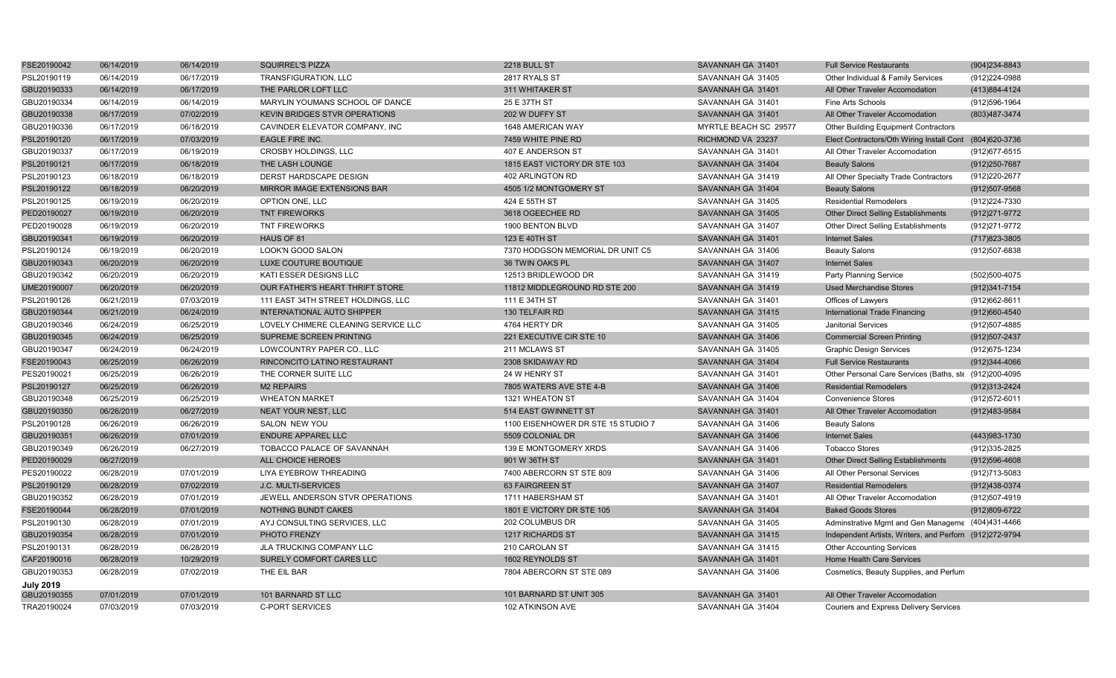| FSE20190042      | 06/14/2019 | 06/14/2019 | <b>SQUIRREL'S PIZZA</b>              | <b>2218 BULL ST</b>                | SAVANNAH GA 31401     | <b>Full Service Restaurants</b>                         | (904)234-8843     |
|------------------|------------|------------|--------------------------------------|------------------------------------|-----------------------|---------------------------------------------------------|-------------------|
| PSL20190119      | 06/14/2019 | 06/17/2019 | TRANSFIGURATION, LLC                 | 2817 RYALS ST                      | SAVANNAH GA 31405     | Other Individual & Family Services                      | (912)224-0988     |
| GBU20190333      | 06/14/2019 | 06/17/2019 | THE PARLOR LOFT LLC                  | 311 WHITAKER ST                    | SAVANNAH GA 31401     | All Other Traveler Accomodation                         | (413) 884-4124    |
| GBU20190334      | 06/14/2019 | 06/14/2019 | MARYLIN YOUMANS SCHOOL OF DANCE      | 25 E 37TH ST                       | SAVANNAH GA 31401     | Fine Arts Schools                                       | (912) 596-1964    |
| GBU20190338      | 06/17/2019 | 07/02/2019 | <b>KEVIN BRIDGES STVR OPERATIONS</b> | 202 W DUFFY ST                     | SAVANNAH GA 31401     | All Other Traveler Accomodation                         | (803)487-3474     |
| GBU20190336      | 06/17/2019 | 06/18/2019 | CAVINDER ELEVATOR COMPANY, INC       | 1648 AMERICAN WAY                  | MYRTLE BEACH SC 29577 | <b>Other Building Equipment Contractors</b>             |                   |
| PSL20190120      | 06/17/2019 | 07/03/2019 | <b>EAGLE FIRE INC.</b>               | 7459 WHITE PINE RD                 | RICHMOND VA 23237     | Elect Contractors/Oth Wiring Install Cont (804)620-3736 |                   |
| GBU20190337      | 06/17/2019 | 06/19/2019 | CROSBY HOLDINGS, LLC                 | 407 E ANDERSON ST                  | SAVANNAH GA 31401     | All Other Traveler Accomodation                         | (912) 677-6515    |
| PSL20190121      | 06/17/2019 | 06/18/2019 | THE LASH LOUNGE                      | 1815 EAST VICTORY DR STE 103       | SAVANNAH GA 31404     | <b>Beauty Salons</b>                                    | (912) 250-7687    |
| PSL20190123      | 06/18/2019 | 06/18/2019 | DERST HARDSCAPE DESIGN               | 402 ARLINGTON RD                   | SAVANNAH GA 31419     | All Other Specialty Trade Contractors                   | (912)220-2677     |
| PSL20190122      | 06/18/2019 | 06/20/2019 | MIRROR IMAGE EXTENSIONS BAR          | 4505 1/2 MONTGOMERY ST             | SAVANNAH GA 31404     | <b>Beauty Salons</b>                                    | (912)507-9568     |
| PSL20190125      | 06/19/2019 | 06/20/2019 | OPTION ONE, LLC                      | 424 E 55TH ST                      | SAVANNAH GA 31405     | <b>Residential Remodelers</b>                           | (912) 224-7330    |
| PED20190027      | 06/19/2019 | 06/20/2019 | <b>TNT FIREWORKS</b>                 | 3618 OGEECHEE RD                   | SAVANNAH GA 31405     | <b>Other Direct Selling Establishments</b>              | (912) 271-9772    |
| PED20190028      | 06/19/2019 | 06/20/2019 | <b>TNT FIREWORKS</b>                 | 1900 BENTON BLVD                   | SAVANNAH GA 31407     | Other Direct Selling Establishments                     | (912) 271-9772    |
| GBU20190341      | 06/19/2019 | 06/20/2019 | HAUS OF 81                           | 123 E 40TH ST                      | SAVANNAH GA 31401     | <b>Internet Sales</b>                                   | (717) 823-3805    |
| PSL20190124      | 06/19/2019 | 06/20/2019 | LOOK'N GOOD SALON                    | 7370 HODGSON MEMORIAL DR UNIT C5   | SAVANNAH GA 31406     | <b>Beauty Salons</b>                                    | (912)507-6838     |
| GBU20190343      | 06/20/2019 | 06/20/2019 | LUXE COUTURE BOUTIQUE                | 36 TWIN OAKS PL                    | SAVANNAH GA 31407     | <b>Internet Sales</b>                                   |                   |
| GBU20190342      | 06/20/2019 | 06/20/2019 | KATI ESSER DESIGNS LLC               | 12513 BRIDLEWOOD DR                | SAVANNAH GA 31419     | Party Planning Service                                  | (502)500-4075     |
| UME20190007      | 06/20/2019 | 06/20/2019 | OUR FATHER'S HEART THRIFT STORE      | 11812 MIDDLEGROUND RD STE 200      | SAVANNAH GA 31419     | <b>Used Merchandise Stores</b>                          | (912) 341-7154    |
| PSL20190126      | 06/21/2019 | 07/03/2019 | 111 EAST 34TH STREET HOLDINGS, LLC   | 111 E 34TH ST                      | SAVANNAH GA 31401     | Offices of Lawyers                                      | (912)662-8611     |
| GBU20190344      | 06/21/2019 | 06/24/2019 | <b>INTERNATIONAL AUTO SHIPPER</b>    | 130 TELFAIR RD                     | SAVANNAH GA 31415     | International Trade Financing                           | (912)660-4540     |
| GBU20190346      | 06/24/2019 | 06/25/2019 | LOVELY CHIMERE CLEANING SERVICE LLC  | 4764 HERTY DR                      | SAVANNAH GA 31405     | <b>Janitorial Services</b>                              | (912)507-4885     |
| GBU20190345      | 06/24/2019 | 06/25/2019 | SUPREME SCREEN PRINTING              | 221 EXECUTIVE CIR STE 10           | SAVANNAH GA 31406     | <b>Commercial Screen Printing</b>                       | (912) 507-2437    |
| GBU20190347      | 06/24/2019 | 06/24/2019 | LOWCOUNTRY PAPER CO., LLC            | 211 MCLAWS ST                      | SAVANNAH GA 31405     | <b>Graphic Design Services</b>                          | (912) 675-1234    |
| FSE20190043      | 06/25/2019 | 06/26/2019 | RINCONCITO LATINO RESTAURANT         | 2308 SKIDAWAY RD                   | SAVANNAH GA 31404     | <b>Full Service Restaurants</b>                         | (912)344-4066     |
| PES20190021      | 06/25/2019 | 06/26/2019 | THE CORNER SUITE LLC                 | 24 W HENRY ST                      | SAVANNAH GA 31401     | Other Personal Care Services (Baths, ste (912)200-4095  |                   |
| PSL20190127      | 06/25/2019 | 06/26/2019 | <b>M2 REPAIRS</b>                    | 7805 WATERS AVE STE 4-B            | SAVANNAH GA 31406     | <b>Residential Remodelers</b>                           | (912)313-2424     |
| GBU20190348      | 06/25/2019 | 06/25/2019 | <b>WHEATON MARKET</b>                | 1321 WHEATON ST                    | SAVANNAH GA 31404     | <b>Convenience Stores</b>                               | (912) 572-6011    |
| GBU20190350      | 06/26/2019 | 06/27/2019 | <b>NEAT YOUR NEST, LLC</b>           | 514 EAST GWINNETT ST               | SAVANNAH GA 31401     | All Other Traveler Accomodation                         | (912) 483-9584    |
| PSL20190128      | 06/26/2019 | 06/26/2019 | <b>SALON NEW YOU</b>                 | 1100 EISENHOWER DR STE 15 STUDIO 7 | SAVANNAH GA 31406     | <b>Beauty Salons</b>                                    |                   |
| GBU20190351      | 06/26/2019 | 07/01/2019 | <b>ENDURE APPAREL LLC</b>            | 5509 COLONIAL DR                   | SAVANNAH GA 31406     | <b>Internet Sales</b>                                   | (443) 983-1730    |
| GBU20190349      | 06/26/2019 | 06/27/2019 | TOBACCO PALACE OF SAVANNAH           | 139 E MONTGOMERY XRDS              | SAVANNAH GA 31406     | <b>Tobacco Stores</b>                                   | (912) 335-2825    |
| PED20190029      | 06/27/2019 |            | ALL CHOICE HEROES                    | 901 W 36TH ST                      | SAVANNAH GA 31401     | <b>Other Direct Selling Establishments</b>              | $(912)596 - 4608$ |
| PES20190022      | 06/28/2019 | 07/01/2019 | LIYA EYEBROW THREADING               | 7400 ABERCORN ST STE 809           | SAVANNAH GA 31406     | All Other Personal Services                             | (912)713-5083     |
| PSL20190129      | 06/28/2019 | 07/02/2019 | J.C. MULTI-SERVICES                  | 63 FAIRGREEN ST                    | SAVANNAH GA 31407     | <b>Residential Remodelers</b>                           | (912)438-0374     |
| GBU20190352      | 06/28/2019 | 07/01/2019 | JEWELL ANDERSON STVR OPERATIONS      | 1711 HABERSHAM ST                  | SAVANNAH GA 31401     | All Other Traveler Accomodation                         | (912)507-4919     |
| FSE20190044      | 06/28/2019 | 07/01/2019 | <b>NOTHING BUNDT CAKES</b>           | 1801 E VICTORY DR STE 105          | SAVANNAH GA 31404     | <b>Baked Goods Stores</b>                               | (912)809-6722     |
| PSL20190130      | 06/28/2019 | 07/01/2019 | AYJ CONSULTING SERVICES, LLC         | 202 COLUMBUS DR                    | SAVANNAH GA 31405     | Adminstrative Mgmt and Gen Manageme (404)431-4466       |                   |
| GBU20190354      | 06/28/2019 | 07/01/2019 | PHOTO FRENZY                         | 1217 RICHARDS ST                   | SAVANNAH GA 31415     | Independent Artists, Writers, and Perforn (912)272-9794 |                   |
| PSL20190131      | 06/28/2019 | 06/28/2019 | JLA TRUCKING COMPANY LLC             | 210 CAROLAN ST                     | SAVANNAH GA 31415     | <b>Other Accounting Services</b>                        |                   |
| CAF20190016      | 06/28/2019 | 10/29/2019 | SURELY COMFORT CARES LLC             | 1602 REYNOLDS ST                   | SAVANNAH GA 31401     | Home Health Care Services                               |                   |
| GBU20190353      | 06/28/2019 | 07/02/2019 | THE EIL BAR                          | 7804 ABERCORN ST STE 089           | SAVANNAH GA 31406     | Cosmetics, Beauty Supplies, and Perfum                  |                   |
| <b>July 2019</b> |            |            |                                      |                                    |                       |                                                         |                   |
| GBU20190355      | 07/01/2019 | 07/01/2019 | 101 BARNARD ST LLC                   | 101 BARNARD ST UNIT 305            | SAVANNAH GA 31401     | All Other Traveler Accomodation                         |                   |
| TRA20190024      | 07/03/2019 | 07/03/2019 | <b>C-PORT SERVICES</b>               | 102 ATKINSON AVE                   | SAVANNAH GA 31404     | <b>Couriers and Express Delivery Services</b>           |                   |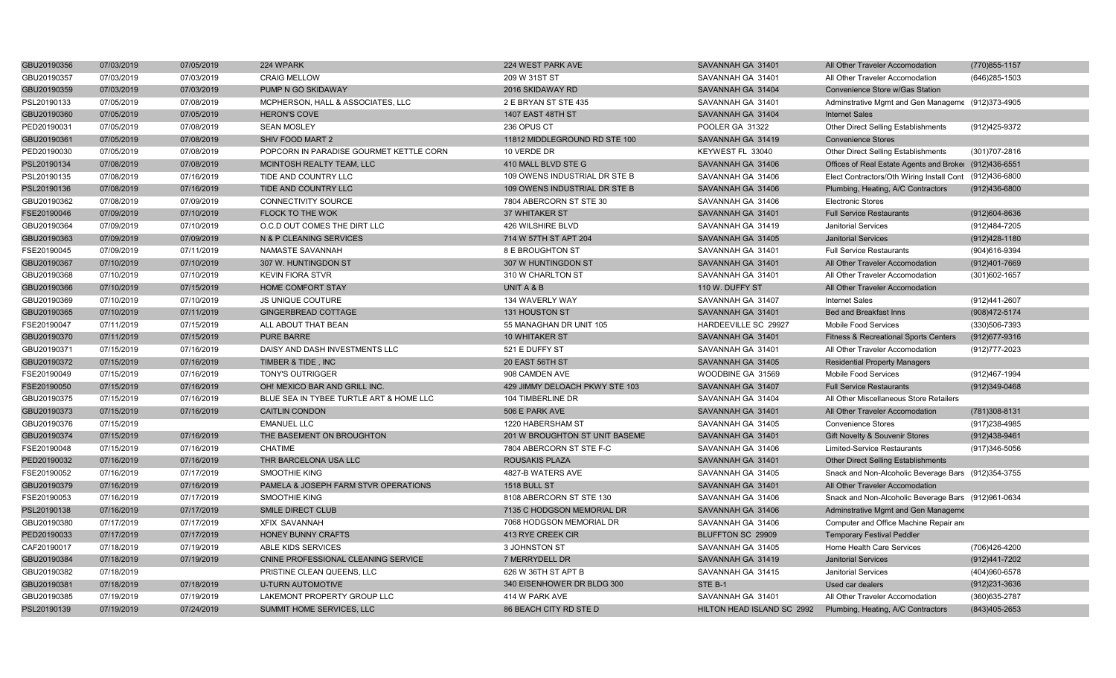| GBU20190356 | 07/03/2019 | 07/05/2019 | 224 WPARK                               | 224 WEST PARK AVE              | SAVANNAH GA 31401          | All Other Traveler Accomodation                         | (770) 855-1157    |
|-------------|------------|------------|-----------------------------------------|--------------------------------|----------------------------|---------------------------------------------------------|-------------------|
| GBU20190357 | 07/03/2019 | 07/03/2019 | <b>CRAIG MELLOW</b>                     | 209 W 31ST ST                  | SAVANNAH GA 31401          | All Other Traveler Accomodation                         | (646) 285-1503    |
| GBU20190359 | 07/03/2019 | 07/03/2019 | PUMP N GO SKIDAWAY                      | 2016 SKIDAWAY RD               | SAVANNAH GA 31404          | Convenience Store w/Gas Station                         |                   |
| PSL20190133 | 07/05/2019 | 07/08/2019 | MCPHERSON, HALL & ASSOCIATES, LLC       | 2 E BRYAN ST STE 435           | SAVANNAH GA 31401          | Adminstrative Mgmt and Gen Manageme (912)373-4905       |                   |
| GBU20190360 | 07/05/2019 | 07/05/2019 | <b>HERON'S COVE</b>                     | 1407 EAST 48TH ST              | SAVANNAH GA 31404          | <b>Internet Sales</b>                                   |                   |
| PED20190031 | 07/05/2019 | 07/08/2019 | <b>SEAN MOSLEY</b>                      | 236 OPUS CT                    | POOLER GA 31322            | Other Direct Selling Establishments                     | (912)425-9372     |
| GBU20190361 | 07/05/2019 | 07/08/2019 | SHIV FOOD MART 2                        | 11812 MIDDLEGROUND RD STE 100  | SAVANNAH GA 31419          | <b>Convenience Stores</b>                               |                   |
| PED20190030 | 07/05/2019 | 07/08/2019 | POPCORN IN PARADISE GOURMET KETTLE CORN | 10 VERDE DR                    | KEYWEST FL 33040           | Other Direct Selling Establishments                     | (301) 707-2816    |
| PSL20190134 | 07/08/2019 | 07/08/2019 | MCINTOSH REALTY TEAM, LLC               | 410 MALL BLVD STE G            | SAVANNAH GA 31406          | Offices of Real Estate Agents and Broker (912)436-6551  |                   |
| PSL20190135 | 07/08/2019 | 07/16/2019 | TIDE AND COUNTRY LLC                    | 109 OWENS INDUSTRIAL DR STE B  | SAVANNAH GA 31406          | Elect Contractors/Oth Wiring Install Cont (912)436-6800 |                   |
| PSL20190136 | 07/08/2019 | 07/16/2019 | TIDE AND COUNTRY LLC                    | 109 OWENS INDUSTRIAL DR STE B  | SAVANNAH GA 31406          | Plumbing, Heating, A/C Contractors                      | $(912)436 - 6800$ |
| GBU20190362 | 07/08/2019 | 07/09/2019 | <b>CONNECTIVITY SOURCE</b>              | 7804 ABERCORN ST STE 30        | SAVANNAH GA 31406          | <b>Electronic Stores</b>                                |                   |
| FSE20190046 | 07/09/2019 | 07/10/2019 | FLOCK TO THE WOK                        | 37 WHITAKER ST                 | SAVANNAH GA 31401          | <b>Full Service Restaurants</b>                         | (912)604-8636     |
| GBU20190364 | 07/09/2019 | 07/10/2019 | O.C.D OUT COMES THE DIRT LLC            | 426 WILSHIRE BLVD              | SAVANNAH GA 31419          | Janitorial Services                                     | (912)484-7205     |
| GBU20190363 | 07/09/2019 | 07/09/2019 | N & P CLEANING SERVICES                 | 714 W 57TH ST APT 204          | SAVANNAH GA 31405          | <b>Janitorial Services</b>                              | $(912)428 - 1180$ |
| FSE20190045 | 07/09/2019 | 07/11/2019 | NAMASTE SAVANNAH                        | 8 E BROUGHTON ST               | SAVANNAH GA 31401          | <b>Full Service Restaurants</b>                         | (904)616-9394     |
| GBU20190367 | 07/10/2019 | 07/10/2019 | 307 W. HUNTINGDON ST                    | 307 W HUNTINGDON ST            | SAVANNAH GA 31401          | All Other Traveler Accomodation                         | (912)401-7669     |
| GBU20190368 | 07/10/2019 | 07/10/2019 | <b>KEVIN FIORA STVR</b>                 | 310 W CHARLTON ST              | SAVANNAH GA 31401          | All Other Traveler Accomodation                         | (301) 602-1657    |
| GBU20190366 | 07/10/2019 | 07/15/2019 | <b>HOME COMFORT STAY</b>                | UNIT A & B                     | 110 W. DUFFY ST            | All Other Traveler Accomodation                         |                   |
| GBU20190369 | 07/10/2019 | 07/10/2019 | <b>JS UNIQUE COUTURE</b>                | 134 WAVERLY WAY                | SAVANNAH GA 31407          | <b>Internet Sales</b>                                   | (912)441-2607     |
| GBU20190365 | 07/10/2019 | 07/11/2019 | GINGERBREAD COTTAGE                     | 131 HOUSTON ST                 | SAVANNAH GA 31401          | <b>Bed and Breakfast Inns</b>                           | (908) 472-5174    |
| FSE20190047 | 07/11/2019 | 07/15/2019 | ALL ABOUT THAT BEAN                     | 55 MANAGHAN DR UNIT 105        | HARDEEVILLE SC 29927       | Mobile Food Services                                    | (330) 506-7393    |
| GBU20190370 | 07/11/2019 | 07/15/2019 | <b>PURE BARRE</b>                       | <b>10 WHITAKER ST</b>          | SAVANNAH GA 31401          | <b>Fitness &amp; Recreational Sports Centers</b>        | (912) 677-9316    |
| GBU20190371 | 07/15/2019 | 07/16/2019 | DAISY AND DASH INVESTMENTS LLC          | 521 E DUFFY ST                 | SAVANNAH GA 31401          | All Other Traveler Accomodation                         | (912) 777-2023    |
| GBU20190372 | 07/15/2019 | 07/16/2019 | TIMBER & TIDE, INC                      | 20 EAST 56TH ST                | SAVANNAH GA 31405          | <b>Residential Property Managers</b>                    |                   |
| FSE20190049 | 07/15/2019 | 07/16/2019 | <b>TONY'S OUTRIGGER</b>                 | 908 CAMDEN AVE                 | WOODBINE GA 31569          | Mobile Food Services                                    | (912)467-1994     |
| FSE20190050 | 07/15/2019 | 07/16/2019 | OH! MEXICO BAR AND GRILL INC.           | 429 JIMMY DELOACH PKWY STE 103 | SAVANNAH GA 31407          | <b>Full Service Restaurants</b>                         | (912)349-0468     |
| GBU20190375 | 07/15/2019 | 07/16/2019 | BLUE SEA IN TYBEE TURTLE ART & HOME LLC | 104 TIMBERLINE DR              | SAVANNAH GA 31404          | All Other Miscellaneous Store Retailers                 |                   |
| GBU20190373 | 07/15/2019 | 07/16/2019 | <b>CAITLIN CONDON</b>                   | 506 E PARK AVE                 | SAVANNAH GA 31401          | All Other Traveler Accomodation                         | (781)308-8131     |
| GBU20190376 | 07/15/2019 |            | <b>EMANUEL LLC</b>                      | 1220 HABERSHAM ST              | SAVANNAH GA 31405          | <b>Convenience Stores</b>                               | (917) 238-4985    |
| GBU20190374 | 07/15/2019 | 07/16/2019 | THE BASEMENT ON BROUGHTON               | 201 W BROUGHTON ST UNIT BASEME | SAVANNAH GA 31401          | Gift Novelty & Souvenir Stores                          | (912)438-9461     |
| FSE20190048 | 07/15/2019 | 07/16/2019 | <b>CHATIME</b>                          | 7804 ABERCORN ST STE F-C       | SAVANNAH GA 31406          | Limited-Service Restaurants                             | (917)346-5056     |
| PED20190032 | 07/16/2019 | 07/16/2019 | THR BARCELONA USA LLC                   | <b>ROUSAKIS PLAZA</b>          | SAVANNAH GA 31401          | <b>Other Direct Selling Establishments</b>              |                   |
| FSE20190052 | 07/16/2019 | 07/17/2019 | <b>SMOOTHIE KING</b>                    | 4827-B WATERS AVE              | SAVANNAH GA 31405          | Snack and Non-Alcoholic Beverage Bars (912)354-3755     |                   |
| GBU20190379 | 07/16/2019 | 07/16/2019 | PAMELA & JOSEPH FARM STVR OPERATIONS    | 1518 BULL ST                   | SAVANNAH GA 31401          | All Other Traveler Accomodation                         |                   |
| FSE20190053 | 07/16/2019 | 07/17/2019 | <b>SMOOTHIE KING</b>                    | 8108 ABERCORN ST STE 130       | SAVANNAH GA 31406          | Snack and Non-Alcoholic Beverage Bars (912)961-0634     |                   |
| PSL20190138 | 07/16/2019 | 07/17/2019 | <b>SMILE DIRECT CLUB</b>                | 7135 C HODGSON MEMORIAL DR     | SAVANNAH GA 31406          | Adminstrative Mgmt and Gen Manageme                     |                   |
| GBU20190380 | 07/17/2019 | 07/17/2019 | <b>XFIX SAVANNAH</b>                    | 7068 HODGSON MEMORIAL DR       | SAVANNAH GA 31406          | Computer and Office Machine Repair and                  |                   |
| PED20190033 | 07/17/2019 | 07/17/2019 | HONEY BUNNY CRAFTS                      | 413 RYE CREEK CIR              | BLUFFTON SC 29909          | <b>Temporary Festival Peddler</b>                       |                   |
| CAF20190017 | 07/18/2019 | 07/19/2019 | ABLE KIDS SERVICES                      | 3 JOHNSTON ST                  | SAVANNAH GA 31405          | Home Health Care Services                               | (706)426-4200     |
| GBU20190384 | 07/18/2019 | 07/19/2019 | CNINE PROFESSIONAL CLEANING SERVICE     | 7 MERRYDELL DR                 | SAVANNAH GA 31419          | <b>Janitorial Services</b>                              | (912)441-7202     |
| GBU20190382 | 07/18/2019 |            | PRISTINE CLEAN QUEENS, LLC              | 626 W 36TH ST APT B            | SAVANNAH GA 31415          | <b>Janitorial Services</b>                              | (404)960-6578     |
| GBU20190381 | 07/18/2019 | 07/18/2019 | <b>U-TURN AUTOMOTIVE</b>                | 340 EISENHOWER DR BLDG 300     | STE B-1                    | Used car dealers                                        | (912)231-3636     |
| GBU20190385 | 07/19/2019 | 07/19/2019 | LAKEMONT PROPERTY GROUP LLC             | 414 W PARK AVE                 | SAVANNAH GA 31401          | All Other Traveler Accomodation                         | (360) 635-2787    |
| PSL20190139 | 07/19/2019 | 07/24/2019 | SUMMIT HOME SERVICES, LLC               | 86 BEACH CITY RD STE D         | HILTON HEAD ISLAND SC 2992 | Plumbing, Heating, A/C Contractors                      | (843) 405-2653    |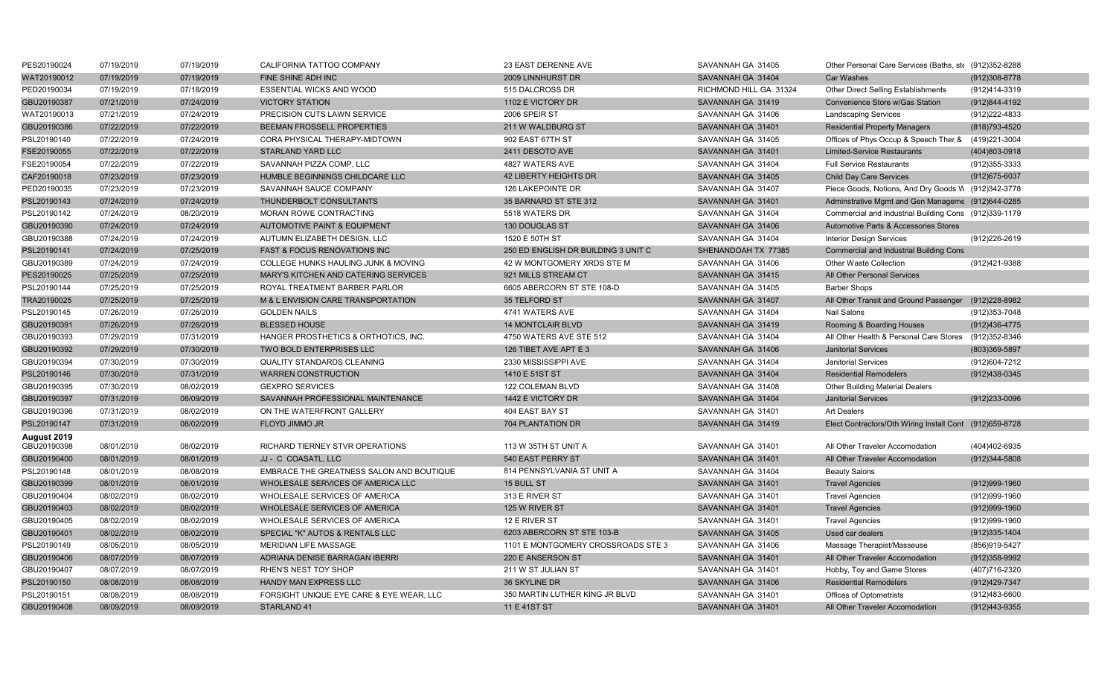| PES20190024 | 07/19/2019 | 07/19/2019 | CALIFORNIA TATTOO COMPANY                | 23 EAST DERENNE AVE                 | SAVANNAH GA 31405      | Other Personal Care Services (Baths, ste (912)352-8288  |                |
|-------------|------------|------------|------------------------------------------|-------------------------------------|------------------------|---------------------------------------------------------|----------------|
| WAT20190012 | 07/19/2019 | 07/19/2019 | FINE SHINE ADH INC                       | 2009 LINNHURST DR                   | SAVANNAH GA 31404      | <b>Car Washes</b>                                       | (912)308-8778  |
| PED20190034 | 07/19/2019 | 07/18/2019 | ESSENTIAL WICKS AND WOOD                 | 515 DALCROSS DR                     | RICHMOND HILL GA 31324 | Other Direct Selling Establishments                     | (912)414-3319  |
| GBU20190387 | 07/21/2019 | 07/24/2019 | <b>VICTORY STATION</b>                   | 1102 E VICTORY DR                   | SAVANNAH GA 31419      | Convenience Store w/Gas Station                         | (912)844-4192  |
| WAT20190013 | 07/21/2019 | 07/24/2019 | PRECISION CUTS LAWN SERVICE              | 2006 SPEIR ST                       | SAVANNAH GA 31406      | <b>Landscaping Services</b>                             | (912) 222-4833 |
| GBU20190386 | 07/22/2019 | 07/22/2019 | BEEMAN FROSSELL PROPERTIES               | 211 W WALDBURG ST                   | SAVANNAH GA 31401      | <b>Residential Property Managers</b>                    | (818) 793-4520 |
| PSL20190140 | 07/22/2019 | 07/24/2019 | CORA PHYSICAL THERAPY-MIDTOWN            | 902 EAST 67TH ST                    | SAVANNAH GA 31405      | Offices of Phys Occup & Speech Ther &                   | (419)221-3004  |
| FSE20190055 | 07/22/2019 | 07/22/2019 | <b>STARLAND YARD LLC</b>                 | 2411 DESOTO AVE                     | SAVANNAH GA 31401      | <b>Limited-Service Restaurants</b>                      | (404)803-0918  |
| FSE20190054 | 07/22/2019 | 07/22/2019 | SAVANNAH PIZZA COMP, LLC                 | 4827 WATERS AVE                     | SAVANNAH GA 31404      | <b>Full Service Restaurants</b>                         | (912) 355-3333 |
| CAF20190018 | 07/23/2019 | 07/23/2019 | HUMBLE BEGINNINGS CHILDCARE LLC          | 42 LIBERTY HEIGHTS DR               | SAVANNAH GA 31405      | <b>Child Day Care Services</b>                          | (912) 675-6037 |
| PED20190035 | 07/23/2019 | 07/23/2019 | SAVANNAH SAUCE COMPANY                   | 126 LAKEPOINTE DR                   | SAVANNAH GA 31407      | Piece Goods, Notions, And Dry Goods W (912)342-3778     |                |
| PSL20190143 | 07/24/2019 | 07/24/2019 | THUNDERBOLT CONSULTANTS                  | 35 BARNARD ST STE 312               | SAVANNAH GA 31401      | Adminstrative Mgmt and Gen Manageme (912)644-0285       |                |
| PSL20190142 | 07/24/2019 | 08/20/2019 | MORAN ROWE CONTRACTING                   | 5518 WATERS DR                      | SAVANNAH GA 31404      | Commercial and Industrial Building Cons (912)339-1179   |                |
| GBU20190390 | 07/24/2019 | 07/24/2019 | <b>AUTOMOTIVE PAINT &amp; EQUIPMENT</b>  | 130 DOUGLAS ST                      | SAVANNAH GA 31406      | Automotive Parts & Accessories Stores                   |                |
| GBU20190388 | 07/24/2019 | 07/24/2019 | AUTUMN ELIZABETH DESIGN, LLC             | 1520 E 50TH ST                      | SAVANNAH GA 31404      | <b>Interior Design Services</b>                         | (912)226-2619  |
| PSL20190141 | 07/24/2019 | 07/25/2019 | FAST & FOCUS RENOVATIONS INC             | 250 ED ENGLISH DR BUILDING 3 UNIT C | SHENANDOAH TX 77385    | <b>Commercial and Industrial Building Cons</b>          |                |
| GBU20190389 | 07/24/2019 | 07/24/2019 | COLLEGE HUNKS HAULING JUNK & MOVING      | 42 W MONTGOMERY XRDS STE M          | SAVANNAH GA 31406      | Other Waste Collection                                  | (912)421-9388  |
| PES20190025 | 07/25/2019 | 07/25/2019 | MARY'S KITCHEN AND CATERING SERVICES     | 921 MILLS STREAM CT                 | SAVANNAH GA 31415      | All Other Personal Services                             |                |
| PSL20190144 | 07/25/2019 | 07/25/2019 | ROYAL TREATMENT BARBER PARLOR            | 6605 ABERCORN ST STE 108-D          | SAVANNAH GA 31405      | <b>Barber Shops</b>                                     |                |
| TRA20190025 | 07/25/2019 | 07/25/2019 | M & L ENVISION CARE TRANSPORTATION       | 35 TELFORD ST                       | SAVANNAH GA 31407      | All Other Transit and Ground Passenger                  | (912)228-8982  |
| PSL20190145 | 07/26/2019 | 07/26/2019 | <b>GOLDEN NAILS</b>                      | 4741 WATERS AVE                     | SAVANNAH GA 31404      | <b>Nail Salons</b>                                      | (912) 353-7048 |
| GBU20190391 | 07/26/2019 | 07/26/2019 | <b>BLESSED HOUSE</b>                     | <b>14 MONTCLAIR BLVD</b>            | SAVANNAH GA 31419      | Rooming & Boarding Houses                               | (912)436-4775  |
| GBU20190393 | 07/29/2019 | 07/31/2019 | HANGER PROSTHETICS & ORTHOTICS, INC.     | 4750 WATERS AVE STE 512             | SAVANNAH GA 31404      | All Other Health & Personal Care Stores                 | (912)352-8346  |
| GBU20190392 | 07/29/2019 | 07/30/2019 | TWO BOLD ENTERPRISES LLC                 | 126 TIBET AVE APT E 3               | SAVANNAH GA 31406      | <b>Janitorial Services</b>                              | (803)369-5897  |
| GBU20190394 | 07/30/2019 | 07/30/2019 | <b>QUALITY STANDARDS CLEANING</b>        | 2330 MISSISSIPPI AVE                | SAVANNAH GA 31404      | <b>Janitorial Services</b>                              | (912)604-7212  |
| PSL20190146 | 07/30/2019 | 07/31/2019 | <b>WARREN CONSTRUCTION</b>               | 1410 E 51ST ST                      | SAVANNAH GA 31404      | <b>Residential Remodelers</b>                           | (912)438-0345  |
| GBU20190395 | 07/30/2019 | 08/02/2019 | <b>GEXPRO SERVICES</b>                   | <b>122 COLEMAN BLVD</b>             | SAVANNAH GA 31408      | <b>Other Building Material Dealers</b>                  |                |
| GBU20190397 | 07/31/2019 | 08/09/2019 | SAVANNAH PROFESSIONAL MAINTENANCE        | 1442 E VICTORY DR                   | SAVANNAH GA 31404      | <b>Janitorial Services</b>                              | (912)233-0096  |
| GBU20190396 | 07/31/2019 | 08/02/2019 | ON THE WATERFRONT GALLERY                | 404 EAST BAY ST                     | SAVANNAH GA 31401      | <b>Art Dealers</b>                                      |                |
| PSL20190147 | 07/31/2019 | 08/02/2019 | FLOYD JIMMO JR                           | 704 PLANTATION DR                   | SAVANNAH GA 31419      | Elect Contractors/Oth Wiring Install Cont (912)659-8728 |                |
| August 2019 |            |            |                                          |                                     |                        |                                                         |                |
| GBU20190398 | 08/01/2019 | 08/02/2019 | RICHARD TIERNEY STVR OPERATIONS          | 113 W 35TH ST UNIT A                | SAVANNAH GA 31401      | All Other Traveler Accomodation                         | (404)402-6935  |
| GBU20190400 | 08/01/2019 | 08/01/2019 | JJ - C COASATL, LLC                      | 540 EAST PERRY ST                   | SAVANNAH GA 31401      | All Other Traveler Accomodation                         | (912)344-5808  |
| PSL20190148 | 08/01/2019 | 08/08/2019 | EMBRACE THE GREATNESS SALON AND BOUTIQUE | 814 PENNSYLVANIA ST UNIT A          | SAVANNAH GA 31404      | <b>Beauty Salons</b>                                    |                |
| GBU20190399 | 08/01/2019 | 08/01/2019 | WHOLESALE SERVICES OF AMERICA LLC        | 15 BULL ST                          | SAVANNAH GA 31401      | <b>Travel Agencies</b>                                  | (912) 999-1960 |
| GBU20190404 | 08/02/2019 | 08/02/2019 | WHOLESALE SERVICES OF AMERICA            | 313 E RIVER ST                      | SAVANNAH GA 31401      | <b>Travel Agencies</b>                                  | (912)999-1960  |
| GBU20190403 | 08/02/2019 | 08/02/2019 | WHOLESALE SERVICES OF AMERICA            | 125 W RIVER ST                      | SAVANNAH GA 31401      | <b>Travel Agencies</b>                                  | (912) 999-1960 |
| GBU20190405 | 08/02/2019 | 08/02/2019 | WHOLESALE SERVICES OF AMERICA            | 12 E RIVER ST                       | SAVANNAH GA 31401      | <b>Travel Agencies</b>                                  | (912) 999-1960 |
| GBU20190401 | 08/02/2019 | 08/02/2019 | SPECIAL "K" AUTOS & RENTALS LLC          | 6203 ABERCORN ST STE 103-B          | SAVANNAH GA 31405      | Used car dealers                                        | (912)335-1404  |
| PSL20190149 | 08/05/2019 | 08/05/2019 | MERIDIAN LIFE MASSAGE                    | 1101 E MONTGOMERY CROSSROADS STE 3  | SAVANNAH GA 31406      | Massage Therapist/Masseuse                              | (856)919-5427  |
| GBU20190406 | 08/07/2019 | 08/07/2019 | ADRIANA DENISE BARRAGAN IBERRI           | 220 E ANSERSON ST                   | SAVANNAH GA 31401      | All Other Traveler Accomodation                         | (912) 358-9992 |
| GBU20190407 | 08/07/2019 | 08/07/2019 | <b>RHEN'S NEST TOY SHOP</b>              | 211 W ST JULIAN ST                  | SAVANNAH GA 31401      | Hobby, Toy and Game Stores                              | (407)716-2320  |
| PSL20190150 | 08/08/2019 | 08/08/2019 | <b>HANDY MAN EXPRESS LLC</b>             | 36 SKYLINE DR                       | SAVANNAH GA 31406      | <b>Residential Remodelers</b>                           | (912)429-7347  |
| PSL20190151 | 08/08/2019 | 08/08/2019 | FORSIGHT UNIQUE EYE CARE & EYE WEAR, LLC | 350 MARTIN LUTHER KING JR BLVD      | SAVANNAH GA 31401      | <b>Offices of Optometrists</b>                          | (912)483-6600  |
| GBU20190408 | 08/09/2019 | 08/09/2019 | STARLAND 41                              | 11 E 41ST ST                        | SAVANNAH GA 31401      | All Other Traveler Accomodation                         | (912)443-9355  |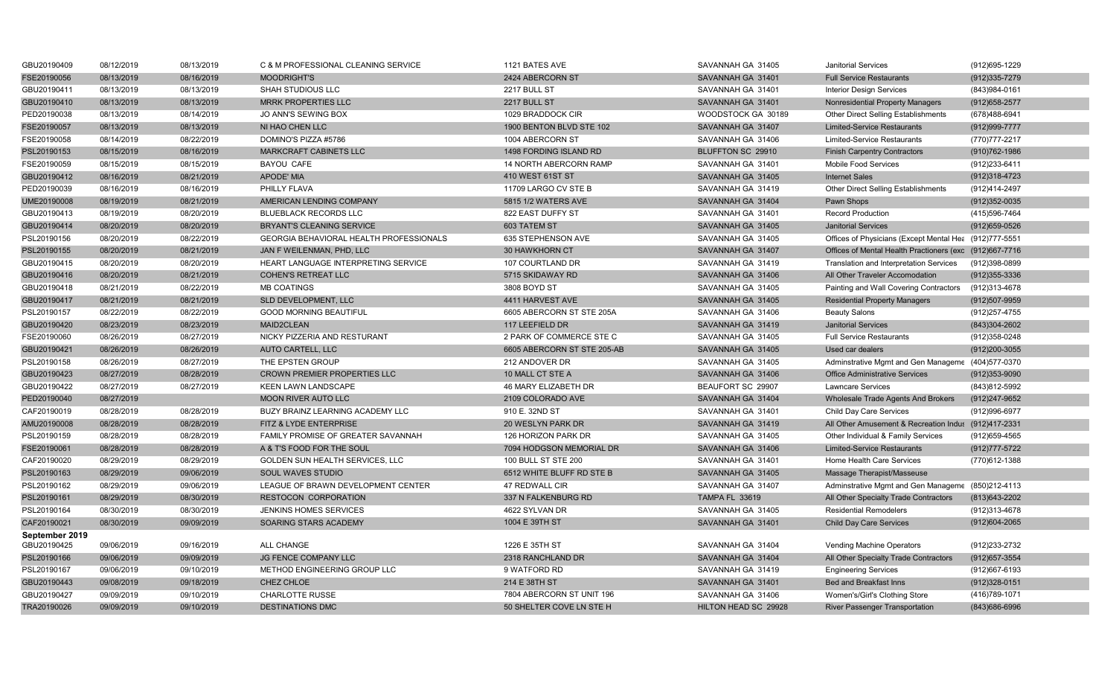| GBU20190409    | 08/12/2019 | 08/13/2019 | C & M PROFESSIONAL CLEANING SERVICE            | 1121 BATES AVE              | SAVANNAH GA 31405     | <b>Janitorial Services</b>                              | (912)695-1229     |
|----------------|------------|------------|------------------------------------------------|-----------------------------|-----------------------|---------------------------------------------------------|-------------------|
| FSE20190056    | 08/13/2019 | 08/16/2019 | <b>MOODRIGHT'S</b>                             | 2424 ABERCORN ST            | SAVANNAH GA 31401     | <b>Full Service Restaurants</b>                         | $(912)335 - 7279$ |
| GBU20190411    | 08/13/2019 | 08/13/2019 | SHAH STUDIOUS LLC                              | 2217 BULL ST                | SAVANNAH GA 31401     | <b>Interior Design Services</b>                         | (843)984-0161     |
| GBU20190410    | 08/13/2019 | 08/13/2019 | <b>MRRK PROPERTIES LLC</b>                     | 2217 BULL ST                | SAVANNAH GA 31401     | Nonresidential Property Managers                        | $(912)658 - 2577$ |
| PED20190038    | 08/13/2019 | 08/14/2019 | JO ANN'S SEWING BOX                            | 1029 BRADDOCK CIR           | WOODSTOCK GA 30189    | Other Direct Selling Establishments                     | (678) 488-6941    |
| FSE20190057    | 08/13/2019 | 08/13/2019 | NI HAO CHEN LLC                                | 1900 BENTON BLVD STE 102    | SAVANNAH GA 31407     | <b>Limited-Service Restaurants</b>                      | (912) 999-7777    |
| FSE20190058    | 08/14/2019 | 08/22/2019 | DOMINO'S PIZZA #5786                           | 1004 ABERCORN ST            | SAVANNAH GA 31406     | <b>Limited-Service Restaurants</b>                      | (770) 777-2217    |
| PSL20190153    | 08/15/2019 | 08/16/2019 | MARKCRAFT CABINETS LLC                         | 1498 FORDING ISLAND RD      | BLUFFTON SC 29910     | <b>Finish Carpentry Contractors</b>                     | (910) 762-1986    |
| FSE20190059    | 08/15/2019 | 08/15/2019 | <b>BAYOU CAFE</b>                              | 14 NORTH ABERCORN RAMP      | SAVANNAH GA 31401     | Mobile Food Services                                    | (912) 233-6411    |
| GBU20190412    | 08/16/2019 | 08/21/2019 | APODE' MIA                                     | 410 WEST 61ST ST            | SAVANNAH GA 31405     | <b>Internet Sales</b>                                   | (912) 318-4723    |
| PED20190039    | 08/16/2019 | 08/16/2019 | PHILLY FLAVA                                   | 11709 LARGO CV STE B        | SAVANNAH GA 31419     | Other Direct Selling Establishments                     | (912)414-2497     |
| UME20190008    | 08/19/2019 | 08/21/2019 | AMERICAN LENDING COMPANY                       | 5815 1/2 WATERS AVE         | SAVANNAH GA 31404     | Pawn Shops                                              | (912)352-0035     |
| GBU20190413    | 08/19/2019 | 08/20/2019 | <b>BLUEBLACK RECORDS LLC</b>                   | 822 EAST DUFFY ST           | SAVANNAH GA 31401     | <b>Record Production</b>                                | (415) 596-7464    |
| GBU20190414    | 08/20/2019 | 08/20/2019 | <b>BRYANT'S CLEANING SERVICE</b>               | <b>603 TATEM ST</b>         | SAVANNAH GA 31405     | <b>Janitorial Services</b>                              | $(912)659-0526$   |
| PSL20190156    | 08/20/2019 | 08/22/2019 | <b>GEORGIA BEHAVIORAL HEALTH PROFESSIONALS</b> | 635 STEPHENSON AVE          | SAVANNAH GA 31405     | Offices of Physicians (Except Mental Hea (912)777-5551  |                   |
| PSL20190155    | 08/20/2019 | 08/21/2019 | JAN F WEILENMAN, PHD, LLC                      | 30 HAWKHORN CT              | SAVANNAH GA 31407     | Offices of Mental Health Practioners (exc (912)667-7716 |                   |
| GBU20190415    | 08/20/2019 | 08/20/2019 | HEART LANGUAGE INTERPRETING SERVICE            | 107 COURTLAND DR            | SAVANNAH GA 31419     | Translation and Interpretation Services                 | (912)398-0899     |
| GBU20190416    | 08/20/2019 | 08/21/2019 | <b>COHEN'S RETREAT LLC</b>                     | 5715 SKIDAWAY RD            | SAVANNAH GA 31406     | All Other Traveler Accomodation                         | $(912)355 - 3336$ |
| GBU20190418    | 08/21/2019 | 08/22/2019 | <b>MB COATINGS</b>                             | 3808 BOYD ST                | SAVANNAH GA 31405     | Painting and Wall Covering Contractors                  | (912)313-4678     |
| GBU20190417    | 08/21/2019 | 08/21/2019 | SLD DEVELOPMENT, LLC                           | 4411 HARVEST AVE            | SAVANNAH GA 31405     | <b>Residential Property Managers</b>                    | (912)507-9959     |
| PSL20190157    | 08/22/2019 | 08/22/2019 | <b>GOOD MORNING BEAUTIFUL</b>                  | 6605 ABERCORN ST STE 205A   | SAVANNAH GA 31406     | <b>Beauty Salons</b>                                    | (912) 257-4755    |
| GBU20190420    | 08/23/2019 | 08/23/2019 | MAID2CLEAN                                     | 117 LEEFIELD DR             | SAVANNAH GA 31419     | <b>Janitorial Services</b>                              | (843)304-2602     |
| FSE20190060    | 08/26/2019 | 08/27/2019 | NICKY PIZZERIA AND RESTURANT                   | 2 PARK OF COMMERCE STE C    | SAVANNAH GA 31405     | <b>Full Service Restaurants</b>                         | (912) 358-0248    |
| GBU20190421    | 08/26/2019 | 08/26/2019 | AUTO CARTELL, LLC                              | 6605 ABERCORN ST STE 205-AB | SAVANNAH GA 31405     | Used car dealers                                        | $(912)200 - 3055$ |
| PSL20190158    | 08/26/2019 | 08/27/2019 | THE EPSTEN GROUP                               | 212 ANDOVER DR              | SAVANNAH GA 31405     | Adminstrative Mgmt and Gen Manageme (404)577-0370       |                   |
| GBU20190423    | 08/27/2019 | 08/28/2019 | CROWN PREMIER PROPERTIES LLC                   | 10 MALL CT STE A            | SAVANNAH GA 31406     | <b>Office Administrative Services</b>                   | $(912)353 - 9090$ |
| GBU20190422    | 08/27/2019 | 08/27/2019 | <b>KEEN LAWN LANDSCAPE</b>                     | 46 MARY ELIZABETH DR        | BEAUFORT SC 29907     | <b>Lawncare Services</b>                                | (843)812-5992     |
| PED20190040    | 08/27/2019 |            | <b>MOON RIVER AUTO LLC</b>                     | 2109 COLORADO AVE           | SAVANNAH GA 31404     | Wholesale Trade Agents And Brokers                      | (912)247-9652     |
| CAF20190019    | 08/28/2019 | 08/28/2019 | BUZY BRAINZ LEARNING ACADEMY LLC               | 910 E. 32ND ST              | SAVANNAH GA 31401     | Child Day Care Services                                 | (912)996-6977     |
| AMU20190008    | 08/28/2019 | 08/28/2019 | FITZ & LYDE ENTERPRISE                         | 20 WESLYN PARK DR           | SAVANNAH GA 31419     | All Other Amusement & Recreation Indus (912)417-2331    |                   |
| PSL20190159    | 08/28/2019 | 08/28/2019 | FAMILY PROMISE OF GREATER SAVANNAH             | 126 HORIZON PARK DR         | SAVANNAH GA 31405     | Other Individual & Family Services                      | (912) 659-4565    |
| FSE20190061    | 08/28/2019 | 08/28/2019 | A & T'S FOOD FOR THE SOUL                      | 7094 HODGSON MEMORIAL DR    | SAVANNAH GA 31406     | <b>Limited-Service Restaurants</b>                      | (912) 777-5722    |
| CAF20190020    | 08/29/2019 | 08/29/2019 | GOLDEN SUN HEALTH SERVICES, LLC                | 100 BULL ST STE 200         | SAVANNAH GA 31401     | Home Health Care Services                               | (770)612-1388     |
| PSL20190163    | 08/29/2019 | 09/06/2019 | SOUL WAVES STUDIO                              | 6512 WHITE BLUFF RD STE B   | SAVANNAH GA 31405     | Massage Therapist/Masseuse                              |                   |
| PSL20190162    | 08/29/2019 | 09/06/2019 | LEAGUE OF BRAWN DEVELOPMENT CENTER             | 47 REDWALL CIR              | SAVANNAH GA 31407     | Adminstrative Mgmt and Gen Manageme (850)212-4113       |                   |
| PSL20190161    | 08/29/2019 | 08/30/2019 | RESTOCON CORPORATION                           | 337 N FALKENBURG RD         | <b>TAMPA FL 33619</b> | All Other Specialty Trade Contractors                   | (813) 643-2202    |
| PSL20190164    | 08/30/2019 | 08/30/2019 | <b>JENKINS HOMES SERVICES</b>                  | 4622 SYLVAN DR              | SAVANNAH GA 31405     | <b>Residential Remodelers</b>                           | (912)313-4678     |
| CAF20190021    | 08/30/2019 | 09/09/2019 | SOARING STARS ACADEMY                          | 1004 E 39TH ST              | SAVANNAH GA 31401     | <b>Child Day Care Services</b>                          | (912)604-2065     |
| September 2019 |            |            |                                                |                             |                       |                                                         |                   |
| GBU20190425    | 09/06/2019 | 09/16/2019 | ALL CHANGE                                     | 1226 E 35TH ST              | SAVANNAH GA 31404     | Vending Machine Operators                               | (912)233-2732     |
| PSL20190166    | 09/06/2019 | 09/09/2019 | JG FENCE COMPANY LLC                           | 2318 RANCHLAND DR           | SAVANNAH GA 31404     | All Other Specialty Trade Contractors                   | (912) 657-3554    |
| PSL20190167    | 09/06/2019 | 09/10/2019 | METHOD ENGINEERING GROUP LLC                   | 9 WATFORD RD                | SAVANNAH GA 31419     | <b>Engineering Services</b>                             | (912)667-6193     |
| GBU20190443    | 09/08/2019 | 09/18/2019 | CHEZ CHLOE                                     | 214 E 38TH ST               | SAVANNAH GA 31401     | Bed and Breakfast Inns                                  | $(912)328-0151$   |
| GBU20190427    | 09/09/2019 | 09/10/2019 | <b>CHARLOTTE RUSSE</b>                         | 7804 ABERCORN ST UNIT 196   | SAVANNAH GA 31406     | Women's/Girl's Clothing Store                           | (416) 789-1071    |
| TRA20190026    | 09/09/2019 | 09/10/2019 | <b>DESTINATIONS DMC</b>                        | 50 SHELTER COVE LN STE H    | HILTON HEAD SC 29928  | <b>River Passenger Transportation</b>                   | (843)686-6996     |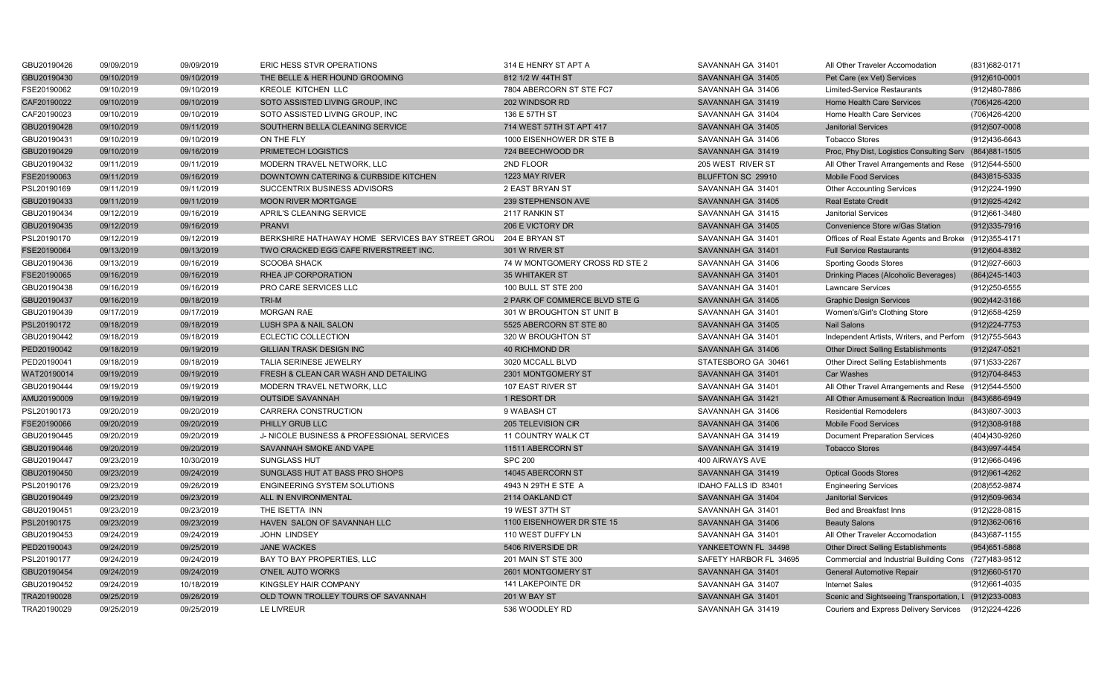| GBU20190426 | 09/09/2019 | 09/09/2019 | ERIC HESS STVR OPERATIONS                        | 314 E HENRY ST APT A           | SAVANNAH GA 31401      | All Other Traveler Accomodation                         | (831) 682-0171    |
|-------------|------------|------------|--------------------------------------------------|--------------------------------|------------------------|---------------------------------------------------------|-------------------|
| GBU20190430 | 09/10/2019 | 09/10/2019 | THE BELLE & HER HOUND GROOMING                   | 812 1/2 W 44TH ST              | SAVANNAH GA 31405      | Pet Care (ex Vet) Services                              | $(912)610 - 0001$ |
| FSE20190062 | 09/10/2019 | 09/10/2019 | KREOLE KITCHEN LLC                               | 7804 ABERCORN ST STE FC7       | SAVANNAH GA 31406      | <b>Limited-Service Restaurants</b>                      | (912)480-7886     |
| CAF20190022 | 09/10/2019 | 09/10/2019 | SOTO ASSISTED LIVING GROUP, INC                  | 202 WINDSOR RD                 | SAVANNAH GA 31419      | Home Health Care Services                               | (706)426-4200     |
| CAF20190023 | 09/10/2019 | 09/10/2019 | SOTO ASSISTED LIVING GROUP, INC                  | 136 E 57TH ST                  | SAVANNAH GA 31404      | Home Health Care Services                               | (706)426-4200     |
| GBU20190428 | 09/10/2019 | 09/11/2019 | SOUTHERN BELLA CLEANING SERVICE                  | 714 WEST 57TH ST APT 417       | SAVANNAH GA 31405      | <b>Janitorial Services</b>                              | $(912)507 - 0008$ |
| GBU20190431 | 09/10/2019 | 09/10/2019 | ON THE FLY                                       | 1000 EISENHOWER DR STE B       | SAVANNAH GA 31406      | <b>Tobacco Stores</b>                                   | (912)436-6643     |
| GBU20190429 | 09/10/2019 | 09/16/2019 | PRIMETECH LOGISTICS                              | 724 BEECHWOOD DR               | SAVANNAH GA 31419      | Proc, Phy Dist, Logistics Consulting Serv (864)881-1505 |                   |
| GBU20190432 | 09/11/2019 | 09/11/2019 | MODERN TRAVEL NETWORK, LLC                       | 2ND FLOOR                      | 205 WEST RIVER ST      | All Other Travel Arrangements and Rese (912)544-5500    |                   |
| FSE20190063 | 09/11/2019 | 09/16/2019 | DOWNTOWN CATERING & CURBSIDE KITCHEN             | 1223 MAY RIVER                 | BLUFFTON SC 29910      | <b>Mobile Food Services</b>                             | (843) 815-5335    |
| PSL20190169 | 09/11/2019 | 09/11/2019 | SUCCENTRIX BUSINESS ADVISORS                     | 2 EAST BRYAN ST                | SAVANNAH GA 31401      | <b>Other Accounting Services</b>                        | (912) 224-1990    |
| GBU20190433 | 09/11/2019 | 09/11/2019 | <b>MOON RIVER MORTGAGE</b>                       | 239 STEPHENSON AVE             | SAVANNAH GA 31405      | <b>Real Estate Credit</b>                               | (912) 925-4242    |
| GBU20190434 | 09/12/2019 | 09/16/2019 | APRIL'S CLEANING SERVICE                         | 2117 RANKIN ST                 | SAVANNAH GA 31415      | <b>Janitorial Services</b>                              | (912)661-3480     |
| GBU20190435 | 09/12/2019 | 09/16/2019 | <b>PRANVI</b>                                    | 206 E VICTORY DR               | SAVANNAH GA 31405      | Convenience Store w/Gas Station                         | (912)335-7916     |
| PSL20190170 | 09/12/2019 | 09/12/2019 | BERKSHIRE HATHAWAY HOME SERVICES BAY STREET GROU | 204 E BRYAN ST                 | SAVANNAH GA 31401      | Offices of Real Estate Agents and Broker (912)355-4171  |                   |
| FSE20190064 | 09/13/2019 | 09/13/2019 | TWO CRACKED EGG CAFE RIVERSTREET INC.            | 301 W RIVER ST                 | SAVANNAH GA 31401      | <b>Full Service Restaurants</b>                         | (912) 604-8382    |
| GBU20190436 | 09/13/2019 | 09/16/2019 | <b>SCOOBA SHACK</b>                              | 74 W MONTGOMERY CROSS RD STE 2 | SAVANNAH GA 31406      | <b>Sporting Goods Stores</b>                            | (912) 927-6603    |
| FSE20190065 | 09/16/2019 | 09/16/2019 | RHEA JP CORPORATION                              | <b>35 WHITAKER ST</b>          | SAVANNAH GA 31401      | Drinking Places (Alcoholic Beverages)                   | $(864)$ 245-1403  |
| GBU20190438 | 09/16/2019 | 09/16/2019 | PRO CARE SERVICES LLC                            | 100 BULL ST STE 200            | SAVANNAH GA 31401      | <b>Lawncare Services</b>                                | (912) 250-6555    |
| GBU20190437 | 09/16/2019 | 09/18/2019 | TRI-M                                            | 2 PARK OF COMMERCE BLVD STE G  | SAVANNAH GA 31405      | <b>Graphic Design Services</b>                          | (902)442-3166     |
| GBU20190439 | 09/17/2019 | 09/17/2019 | <b>MORGAN RAE</b>                                | 301 W BROUGHTON ST UNIT B      | SAVANNAH GA 31401      | Women's/Girl's Clothing Store                           | (912) 658-4259    |
| PSL20190172 | 09/18/2019 | 09/18/2019 | LUSH SPA & NAIL SALON                            | 5525 ABERCORN ST STE 80        | SAVANNAH GA 31405      | <b>Nail Salons</b>                                      | $(912)224 - 7753$ |
| GBU20190442 | 09/18/2019 | 09/18/2019 | <b>ECLECTIC COLLECTION</b>                       | 320 W BROUGHTON ST             | SAVANNAH GA 31401      | Independent Artists, Writers, and Perforn (912)755-5643 |                   |
| PED20190042 | 09/18/2019 | 09/19/2019 | <b>GILLIAN TRASK DESIGN INC</b>                  | <b>40 RICHMOND DR</b>          | SAVANNAH GA 31406      | <b>Other Direct Selling Establishments</b>              | $(912)247 - 0521$ |
| PED20190041 | 09/18/2019 | 09/18/2019 | TALIA SERINESE JEWELRY                           | 3020 MCCALL BLVD               | STATESBORO GA 30461    | Other Direct Selling Establishments                     | (971) 533-2267    |
| WAT20190014 | 09/19/2019 | 09/19/2019 | FRESH & CLEAN CAR WASH AND DETAILING             | 2301 MONTGOMERY ST             | SAVANNAH GA 31401      | <b>Car Washes</b>                                       | (912)704-8453     |
| GBU20190444 | 09/19/2019 | 09/19/2019 | MODERN TRAVEL NETWORK. LLC                       | 107 EAST RIVER ST              | SAVANNAH GA 31401      | All Other Travel Arrangements and Rese (912)544-5500    |                   |
| AMU20190009 | 09/19/2019 | 09/19/2019 | <b>OUTSIDE SAVANNAH</b>                          | 1 RESORT DR                    | SAVANNAH GA 31421      | All Other Amusement & Recreation Indus (843)686-6949    |                   |
| PSL20190173 | 09/20/2019 | 09/20/2019 | CARRERA CONSTRUCTION                             | 9 WABASH CT                    | SAVANNAH GA 31406      | <b>Residential Remodelers</b>                           | (843) 807-3003    |
| FSE20190066 | 09/20/2019 | 09/20/2019 | PHILLY GRUB LLC                                  | 205 TELEVISION CIR             | SAVANNAH GA 31406      | <b>Mobile Food Services</b>                             | $(912)308-9188$   |
| GBU20190445 | 09/20/2019 | 09/20/2019 | J- NICOLE BUSINESS & PROFESSIONAL SERVICES       | 11 COUNTRY WALK CT             | SAVANNAH GA 31419      | <b>Document Preparation Services</b>                    | (404)430-9260     |
| GBU20190446 | 09/20/2019 | 09/20/2019 | SAVANNAH SMOKE AND VAPE                          | 11511 ABERCORN ST              | SAVANNAH GA 31419      | <b>Tobacco Stores</b>                                   | (843) 997-4454    |
| GBU20190447 | 09/23/2019 | 10/30/2019 | <b>SUNGLASS HUT</b>                              | <b>SPC 200</b>                 | 400 AIRWAYS AVE        |                                                         | (912) 966-0496    |
| GBU20190450 | 09/23/2019 | 09/24/2019 | SUNGLASS HUT AT BASS PRO SHOPS                   | 14045 ABERCORN ST              | SAVANNAH GA 31419      | <b>Optical Goods Stores</b>                             | (912) 961-4262    |
| PSL20190176 | 09/23/2019 | 09/26/2019 | <b>ENGINEERING SYSTEM SOLUTIONS</b>              | 4943 N 29TH E STE A            | IDAHO FALLS ID 83401   | <b>Engineering Services</b>                             | (208) 552-9874    |
| GBU20190449 | 09/23/2019 | 09/23/2019 | ALL IN ENVIRONMENTAL                             | 2114 OAKLAND CT                | SAVANNAH GA 31404      | <b>Janitorial Services</b>                              | (912) 509-9634    |
| GBU20190451 | 09/23/2019 | 09/23/2019 | THE ISETTA INN                                   | 19 WEST 37TH ST                | SAVANNAH GA 31401      | Bed and Breakfast Inns                                  | (912)228-0815     |
| PSL20190175 | 09/23/2019 | 09/23/2019 | HAVEN SALON OF SAVANNAH LLC                      | 1100 EISENHOWER DR STE 15      | SAVANNAH GA 31406      | <b>Beauty Salons</b>                                    | $(912)362-0616$   |
| GBU20190453 | 09/24/2019 | 09/24/2019 | <b>JOHN LINDSEY</b>                              | 110 WEST DUFFY LN              | SAVANNAH GA 31401      | All Other Traveler Accomodation                         | (843) 687-1155    |
| PED20190043 | 09/24/2019 | 09/25/2019 | <b>JANE WACKES</b>                               | 5406 RIVERSIDE DR              | YANKEETOWN FL 34498    | <b>Other Direct Selling Establishments</b>              | (954) 651-5868    |
| PSL20190177 | 09/24/2019 | 09/24/2019 | BAY TO BAY PROPERTIES, LLC                       | 201 MAIN ST STE 300            | SAFETY HARBOR FL 34695 | Commercial and Industrial Building Cons (727)483-9512   |                   |
| GBU20190454 | 09/24/2019 | 09/24/2019 | O'NEIL AUTO WORKS                                | 2601 MONTGOMERY ST             | SAVANNAH GA 31401      | <b>General Automotive Repair</b>                        | (912) 660-5170    |
| GBU20190452 | 09/24/2019 | 10/18/2019 | KINGSLEY HAIR COMPANY                            | 141 LAKEPOINTE DR              | SAVANNAH GA 31407      | <b>Internet Sales</b>                                   | (912)661-4035     |
| TRA20190028 | 09/25/2019 | 09/26/2019 | OLD TOWN TROLLEY TOURS OF SAVANNAH               | 201 W BAY ST                   | SAVANNAH GA 31401      | Scenic and Sightseeing Transportation, L (912)233-0083  |                   |
| TRA20190029 | 09/25/2019 | 09/25/2019 | LE LIVREUR                                       | 536 WOODLEY RD                 | SAVANNAH GA 31419      | Couriers and Express Delivery Services (912)224-4226    |                   |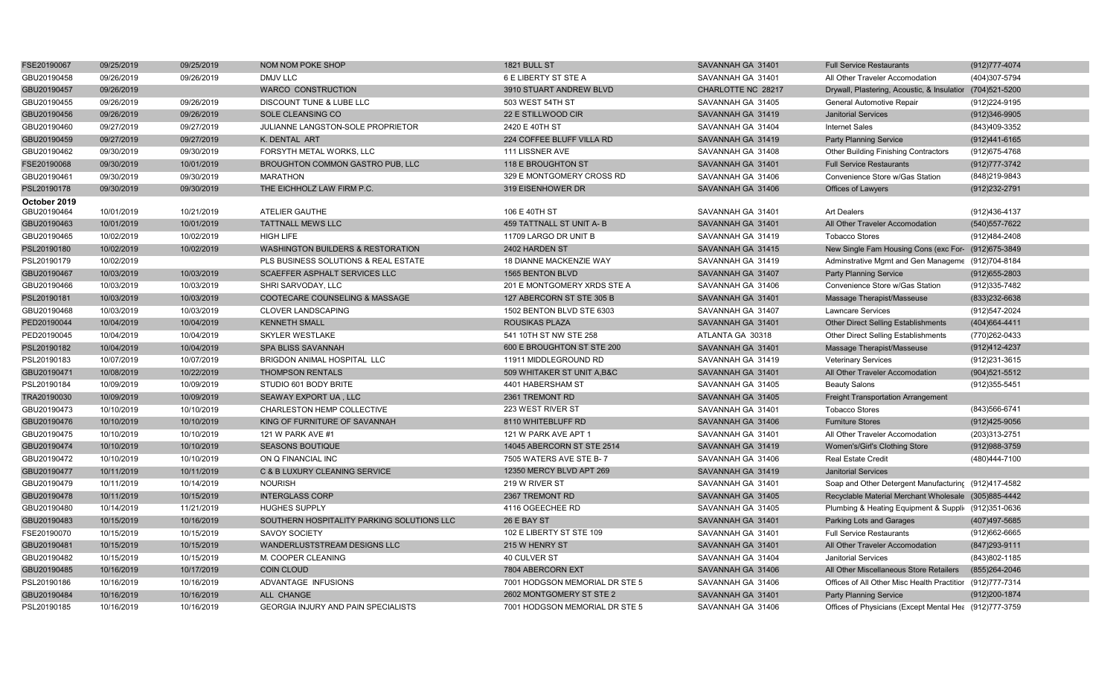| FSE20190067  | 09/25/2019 | 09/25/2019 | NOM NOM POKE SHOP                            | 1821 BULL ST                   | SAVANNAH GA 31401  | <b>Full Service Restaurants</b>                           | (912) 777-4074    |
|--------------|------------|------------|----------------------------------------------|--------------------------------|--------------------|-----------------------------------------------------------|-------------------|
| GBU20190458  | 09/26/2019 | 09/26/2019 | <b>DMJV LLC</b>                              | 6 E LIBERTY ST STE A           | SAVANNAH GA 31401  | All Other Traveler Accomodation                           | (404)307-5794     |
| GBU20190457  | 09/26/2019 |            | <b>WARCO CONSTRUCTION</b>                    | 3910 STUART ANDREW BLVD        | CHARLOTTE NC 28217 | Drywall, Plastering, Acoustic, & Insulatior (704)521-5200 |                   |
| GBU20190455  | 09/26/2019 | 09/26/2019 | DISCOUNT TUNE & LUBE LLC                     | 503 WEST 54TH ST               | SAVANNAH GA 31405  | General Automotive Repair                                 | (912) 224-9195    |
| GBU20190456  | 09/26/2019 | 09/26/2019 | SOLE CLEANSING CO                            | 22 E STILLWOOD CIR             | SAVANNAH GA 31419  | <b>Janitorial Services</b>                                | (912)346-9905     |
| GBU20190460  | 09/27/2019 | 09/27/2019 | JULIANNE LANGSTON-SOLE PROPRIETOR            | 2420 E 40TH ST                 | SAVANNAH GA 31404  | <b>Internet Sales</b>                                     | (843)409-3352     |
| GBU20190459  | 09/27/2019 | 09/27/2019 | K. DENTAL ART                                | 224 COFFEE BLUFF VILLA RD      | SAVANNAH GA 31419  | <b>Party Planning Service</b>                             | (912)441-6165     |
| GBU20190462  | 09/30/2019 | 09/30/2019 | FORSYTH METAL WORKS, LLC                     | 111 LISSNER AVE                | SAVANNAH GA 31408  | <b>Other Building Finishing Contractors</b>               | (912) 675-4768    |
| FSE20190068  | 09/30/2019 | 10/01/2019 | BROUGHTON COMMON GASTRO PUB, LLC             | 118 E BROUGHTON ST             | SAVANNAH GA 31401  | <b>Full Service Restaurants</b>                           | (912) 777-3742    |
| GBU20190461  | 09/30/2019 | 09/30/2019 | <b>MARATHON</b>                              | 329 E MONTGOMERY CROSS RD      | SAVANNAH GA 31406  | Convenience Store w/Gas Station                           | (848) 219-9843    |
| PSL20190178  | 09/30/2019 | 09/30/2019 | THE EICHHOLZ LAW FIRM P.C.                   | 319 EISENHOWER DR              | SAVANNAH GA 31406  | Offices of Lawyers                                        | (912) 232-2791    |
| October 2019 |            |            |                                              |                                |                    |                                                           |                   |
| GBU20190464  | 10/01/2019 | 10/21/2019 | <b>ATELIER GAUTHE</b>                        | 106 E 40TH ST                  | SAVANNAH GA 31401  | <b>Art Dealers</b>                                        | (912)436-4137     |
| GBU20190463  | 10/01/2019 | 10/01/2019 | <b>TATTNALL MEWS LLC</b>                     | 459 TATTNALL ST UNIT A- B      | SAVANNAH GA 31401  | All Other Traveler Accomodation                           | (540) 557-7622    |
| GBU20190465  | 10/02/2019 | 10/02/2019 | <b>HIGH LIFE</b>                             | 11709 LARGO DR UNIT B          | SAVANNAH GA 31419  | <b>Tobacco Stores</b>                                     | (912)484-2408     |
| PSL20190180  | 10/02/2019 | 10/02/2019 | <b>WASHINGTON BUILDERS &amp; RESTORATION</b> | 2402 HARDEN ST                 | SAVANNAH GA 31415  | New Single Fam Housing Cons (exc For- (912)675-3849       |                   |
| PSL20190179  | 10/02/2019 |            | PLS BUSINESS SOLUTIONS & REAL ESTATE         | 18 DIANNE MACKENZIE WAY        | SAVANNAH GA 31419  | Adminstrative Mgmt and Gen Manageme (912)704-8184         |                   |
| GBU20190467  | 10/03/2019 | 10/03/2019 | SCAEFFER ASPHALT SERVICES LLC                | 1565 BENTON BLVD               | SAVANNAH GA 31407  | <b>Party Planning Service</b>                             | $(912)655 - 2803$ |
| GBU20190466  | 10/03/2019 | 10/03/2019 | SHRI SARVODAY, LLC                           | 201 E MONTGOMERY XRDS STE A    | SAVANNAH GA 31406  | Convenience Store w/Gas Station                           | (912) 335-7482    |
| PSL20190181  | 10/03/2019 | 10/03/2019 | COOTECARE COUNSELING & MASSAGE               | 127 ABERCORN ST STE 305 B      | SAVANNAH GA 31401  | Massage Therapist/Masseuse                                | (833) 232-6638    |
| GBU20190468  | 10/03/2019 | 10/03/2019 | <b>CLOVER LANDSCAPING</b>                    | 1502 BENTON BLVD STE 6303      | SAVANNAH GA 31407  | <b>Lawncare Services</b>                                  | (912)547-2024     |
| PED20190044  | 10/04/2019 | 10/04/2019 | <b>KENNETH SMALL</b>                         | ROUSIKAS PLAZA                 | SAVANNAH GA 31401  | <b>Other Direct Selling Establishments</b>                | (404) 664-4411    |
| PED20190045  | 10/04/2019 | 10/04/2019 | <b>SKYLER WESTLAKE</b>                       | 541 10TH ST NW STE 258         | ATLANTA GA 30318   | Other Direct Selling Establishments                       | (770)262-0433     |
| PSL20190182  | 10/04/2019 | 10/04/2019 | SPA BLISS SAVANNAH                           | 600 E BROUGHTON ST STE 200     | SAVANNAH GA 31401  | Massage Therapist/Masseuse                                | (912)412-4237     |
| PSL20190183  | 10/07/2019 | 10/07/2019 | BRIGDON ANIMAL HOSPITAL LLC                  | 11911 MIDDLEGROUND RD          | SAVANNAH GA 31419  | <b>Veterinary Services</b>                                | (912) 231-3615    |
| GBU20190471  | 10/08/2019 | 10/22/2019 | <b>THOMPSON RENTALS</b>                      | 509 WHITAKER ST UNIT A, B&C    | SAVANNAH GA 31401  | All Other Traveler Accomodation                           | $(904)521 - 5512$ |
| PSL20190184  | 10/09/2019 | 10/09/2019 | STUDIO 601 BODY BRITE                        | 4401 HABERSHAM ST              | SAVANNAH GA 31405  | <b>Beauty Salons</b>                                      | (912) 355-5451    |
| TRA20190030  | 10/09/2019 | 10/09/2019 | SEAWAY EXPORT UA, LLC                        | 2361 TREMONT RD                | SAVANNAH GA 31405  | <b>Freight Transportation Arrangement</b>                 |                   |
| GBU20190473  | 10/10/2019 | 10/10/2019 | CHARLESTON HEMP COLLECTIVE                   | 223 WEST RIVER ST              | SAVANNAH GA 31401  | <b>Tobacco Stores</b>                                     | (843) 566-6741    |
| GBU20190476  | 10/10/2019 | 10/10/2019 | KING OF FURNITURE OF SAVANNAH                | 8110 WHITEBLUFF RD             | SAVANNAH GA 31406  | <b>Furniture Stores</b>                                   | (912)425-9056     |
| GBU20190475  | 10/10/2019 | 10/10/2019 | 121 W PARK AVE #1                            | 121 W PARK AVE APT 1           | SAVANNAH GA 31401  | All Other Traveler Accomodation                           | (203)313-2751     |
| GBU20190474  | 10/10/2019 | 10/10/2019 | <b>SEASONS BOUTIQUE</b>                      | 14045 ABERCORN ST STE 2514     | SAVANNAH GA 31419  | Women's/Girl's Clothing Store                             | (912) 988-3759    |
| GBU20190472  | 10/10/2019 | 10/10/2019 | ON Q FINANCIAL INC                           | 7505 WATERS AVE STE B-7        | SAVANNAH GA 31406  | <b>Real Estate Credit</b>                                 | (480)444-7100     |
| GBU20190477  | 10/11/2019 | 10/11/2019 | C & B LUXURY CLEANING SERVICE                | 12350 MERCY BLVD APT 269       | SAVANNAH GA 31419  | <b>Janitorial Services</b>                                |                   |
| GBU20190479  | 10/11/2019 | 10/14/2019 | <b>NOURISH</b>                               | 219 W RIVER ST                 | SAVANNAH GA 31401  | Soap and Other Detergent Manufacturing (912)417-4582      |                   |
| GBU20190478  | 10/11/2019 | 10/15/2019 | <b>INTERGLASS CORP</b>                       | 2367 TREMONT RD                | SAVANNAH GA 31405  | Recyclable Material Merchant Wholesale (305)885-4442      |                   |
| GBU20190480  | 10/14/2019 | 11/21/2019 | <b>HUGHES SUPPLY</b>                         | 4116 OGEECHEE RD               | SAVANNAH GA 31405  | Plumbing & Heating Equipment & Suppli (912)351-0636       |                   |
| GBU20190483  | 10/15/2019 | 10/16/2019 | SOUTHERN HOSPITALITY PARKING SOLUTIONS LLC   | 26 E BAY ST                    | SAVANNAH GA 31401  | Parking Lots and Garages                                  | (407)497-5685     |
| FSE20190070  | 10/15/2019 | 10/15/2019 | <b>SAVOY SOCIETY</b>                         | 102 E LIBERTY ST STE 109       | SAVANNAH GA 31401  | <b>Full Service Restaurants</b>                           | (912)662-6665     |
| GBU20190481  | 10/15/2019 | 10/15/2019 | WANDERLUSTSTREAM DESIGNS LLC                 | 215 W HENRY ST                 | SAVANNAH GA 31401  | All Other Traveler Accomodation                           | (847) 293-9111    |
| GBU20190482  | 10/15/2019 | 10/15/2019 | M. COOPER CLEANING                           | 40 CULVER ST                   | SAVANNAH GA 31404  | <b>Janitorial Services</b>                                | (843) 802-1185    |
| GBU20190485  | 10/16/2019 | 10/17/2019 | <b>COIN CLOUD</b>                            | 7804 ABERCORN EXT              | SAVANNAH GA 31406  | All Other Miscellaneous Store Retailers                   | (855)264-2046     |
| PSL20190186  | 10/16/2019 | 10/16/2019 | ADVANTAGE INFUSIONS                          | 7001 HODGSON MEMORIAL DR STE 5 | SAVANNAH GA 31406  | Offices of All Other Misc Health Practitior (912)777-7314 |                   |
| GBU20190484  | 10/16/2019 | 10/16/2019 | ALL CHANGE                                   | 2602 MONTGOMERY ST STE 2       | SAVANNAH GA 31401  | <b>Party Planning Service</b>                             | (912) 200-1874    |
| PSL20190185  | 10/16/2019 | 10/16/2019 | <b>GEORGIA INJURY AND PAIN SPECIALISTS</b>   | 7001 HODGSON MEMORIAL DR STE 5 | SAVANNAH GA 31406  | Offices of Physicians (Except Mental Hea (912)777-3759    |                   |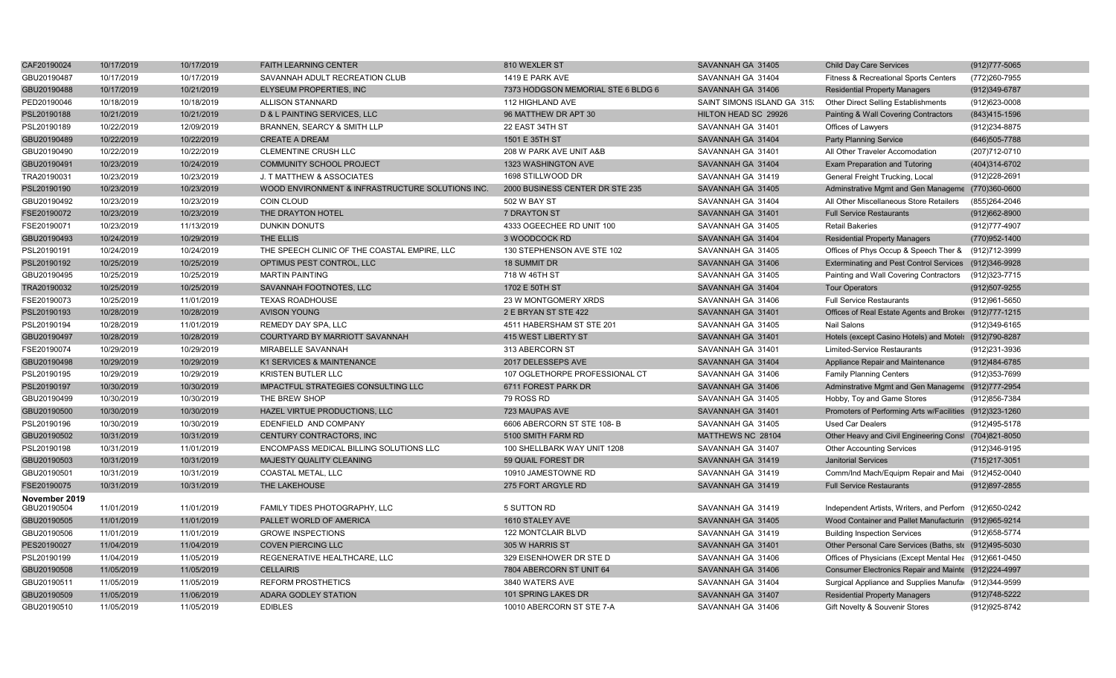| CAF20190024   | 10/17/2019 | 10/17/2019 | <b>FAITH LEARNING CENTER</b>                     | 810 WEXLER ST                      | SAVANNAH GA 31405          | <b>Child Day Care Services</b>                          | (912) 777-5065    |
|---------------|------------|------------|--------------------------------------------------|------------------------------------|----------------------------|---------------------------------------------------------|-------------------|
| GBU20190487   | 10/17/2019 | 10/17/2019 | SAVANNAH ADULT RECREATION CLUB                   | 1419 E PARK AVE                    | SAVANNAH GA 31404          | Fitness & Recreational Sports Centers                   | (772)260-7955     |
| GBU20190488   | 10/17/2019 | 10/21/2019 | ELYSEUM PROPERTIES, INC                          | 7373 HODGSON MEMORIAL STE 6 BLDG 6 | SAVANNAH GA 31406          | <b>Residential Property Managers</b>                    | (912)349-6787     |
| PED20190046   | 10/18/2019 | 10/18/2019 | ALLISON STANNARD                                 | 112 HIGHLAND AVE                   | SAINT SIMONS ISLAND GA 315 | Other Direct Selling Establishments                     | (912)623-0008     |
| PSL20190188   | 10/21/2019 | 10/21/2019 | D & L PAINTING SERVICES, LLC                     | 96 MATTHEW DR APT 30               | HILTON HEAD SC 29926       | Painting & Wall Covering Contractors                    | (843) 415-1596    |
| PSL20190189   | 10/22/2019 | 12/09/2019 | BRANNEN, SEARCY & SMITH LLP                      | 22 EAST 34TH ST                    | SAVANNAH GA 31401          | Offices of Lawyers                                      | (912) 234-8875    |
| GBU20190489   | 10/22/2019 | 10/22/2019 | <b>CREATE A DREAM</b>                            | 1501 E 35TH ST                     | SAVANNAH GA 31404          | <b>Party Planning Service</b>                           | (646) 505-7788    |
| GBU20190490   | 10/22/2019 | 10/22/2019 | <b>CLEMENTINE CRUSH LLC</b>                      | 208 W PARK AVE UNIT A&B            | SAVANNAH GA 31401          | All Other Traveler Accomodation                         | (207)712-0710     |
| GBU20190491   | 10/23/2019 | 10/24/2019 | <b>COMMUNITY SCHOOL PROJECT</b>                  | 1323 WASHINGTON AVE                | SAVANNAH GA 31404          | Exam Preparation and Tutoring                           | (404)314-6702     |
| TRA20190031   | 10/23/2019 | 10/23/2019 | J. T MATTHEW & ASSOCIATES                        | 1698 STILLWOOD DR                  | SAVANNAH GA 31419          | General Freight Trucking, Local                         | (912) 228-2691    |
| PSL20190190   | 10/23/2019 | 10/23/2019 | WOOD ENVIRONMENT & INFRASTRUCTURE SOLUTIONS INC. | 2000 BUSINESS CENTER DR STE 235    | SAVANNAH GA 31405          | Adminstrative Mgmt and Gen Manageme (770)360-0600       |                   |
| GBU20190492   | 10/23/2019 | 10/23/2019 | <b>COIN CLOUD</b>                                | 502 W BAY ST                       | SAVANNAH GA 31404          | All Other Miscellaneous Store Retailers                 | (855)264-2046     |
| FSE20190072   | 10/23/2019 | 10/23/2019 | THE DRAYTON HOTEL                                | 7 DRAYTON ST                       | SAVANNAH GA 31401          | <b>Full Service Restaurants</b>                         | $(912)662 - 8900$ |
| FSE20190071   | 10/23/2019 | 11/13/2019 | <b>DUNKIN DONUTS</b>                             | 4333 OGEECHEE RD UNIT 100          | SAVANNAH GA 31405          | <b>Retail Bakeries</b>                                  | (912) 777-4907    |
| GBU20190493   | 10/24/2019 | 10/29/2019 | THE ELLIS                                        | 3 WOODCOCK RD                      | SAVANNAH GA 31404          | <b>Residential Property Managers</b>                    | (770)952-1400     |
| PSL20190191   | 10/24/2019 | 10/24/2019 | THE SPEECH CLINIC OF THE COASTAL EMPIRE, LLC     | 130 STEPHENSON AVE STE 102         | SAVANNAH GA 31405          | Offices of Phys Occup & Speech Ther &                   | (912)712-3999     |
| PSL20190192   | 10/25/2019 | 10/25/2019 | OPTIMUS PEST CONTROL, LLC                        | 18 SUMMIT DR                       | SAVANNAH GA 31406          | Exterminating and Pest Control Services (912)346-9928   |                   |
| GBU20190495   | 10/25/2019 | 10/25/2019 | <b>MARTIN PAINTING</b>                           | 718 W 46TH ST                      | SAVANNAH GA 31405          | Painting and Wall Covering Contractors                  | (912)323-7715     |
| TRA20190032   | 10/25/2019 | 10/25/2019 | SAVANNAH FOOTNOTES, LLC                          | 1702 E 50TH ST                     | SAVANNAH GA 31404          | <b>Tour Operators</b>                                   | (912) 507-9255    |
| FSE20190073   | 10/25/2019 | 11/01/2019 | <b>TEXAS ROADHOUSE</b>                           | 23 W MONTGOMERY XRDS               | SAVANNAH GA 31406          | <b>Full Service Restaurants</b>                         | (912) 961-5650    |
| PSL20190193   | 10/28/2019 | 10/28/2019 | <b>AVISON YOUNG</b>                              | 2 E BRYAN ST STE 422               | SAVANNAH GA 31401          | Offices of Real Estate Agents and Broker (912)777-1215  |                   |
| PSL20190194   | 10/28/2019 | 11/01/2019 | REMEDY DAY SPA, LLC                              | 4511 HABERSHAM ST STE 201          | SAVANNAH GA 31405          | Nail Salons                                             | (912)349-6165     |
| GBU20190497   | 10/28/2019 | 10/28/2019 | COURTYARD BY MARRIOTT SAVANNAH                   | 415 WEST LIBERTY ST                | SAVANNAH GA 31401          | Hotels (except Casino Hotels) and Motel: (912)790-8287  |                   |
| FSE20190074   | 10/29/2019 | 10/29/2019 | MIRABELLE SAVANNAH                               | 313 ABERCORN ST                    | SAVANNAH GA 31401          | <b>Limited-Service Restaurants</b>                      | (912)231-3936     |
| GBU20190498   | 10/29/2019 | 10/29/2019 | K1 SERVICES & MAINTENANCE                        | 2017 DELESSEPS AVE                 | SAVANNAH GA 31404          | Appliance Repair and Maintenance                        | (912)484-6785     |
| PSL20190195   | 10/29/2019 | 10/29/2019 | <b>KRISTEN BUTLER LLC</b>                        | 107 OGLETHORPE PROFESSIONAL CT     | SAVANNAH GA 31406          | <b>Family Planning Centers</b>                          | (912)353-7699     |
| PSL20190197   | 10/30/2019 | 10/30/2019 | <b>IMPACTFUL STRATEGIES CONSULTING LLC</b>       | 6711 FOREST PARK DR                | SAVANNAH GA 31406          | Adminstrative Mgmt and Gen Manageme (912)777-2954       |                   |
| GBU20190499   | 10/30/2019 | 10/30/2019 | THE BREW SHOP                                    | 79 ROSS RD                         | SAVANNAH GA 31405          | Hobby, Toy and Game Stores                              | (912) 856-7384    |
| GBU20190500   | 10/30/2019 | 10/30/2019 | HAZEL VIRTUE PRODUCTIONS, LLC                    | 723 MAUPAS AVE                     | SAVANNAH GA 31401          | Promoters of Performing Arts w/Facilities (912)323-1260 |                   |
| PSL20190196   | 10/30/2019 | 10/30/2019 | EDENFIELD AND COMPANY                            | 6606 ABERCORN ST STE 108-B         | SAVANNAH GA 31405          | <b>Used Car Dealers</b>                                 | (912)495-5178     |
| GBU20190502   | 10/31/2019 | 10/31/2019 | CENTURY CONTRACTORS, INC                         | 5100 SMITH FARM RD                 | MATTHEWS NC 28104          | Other Heavy and Civil Engineering Const (704)821-8050   |                   |
| PSL20190198   | 10/31/2019 | 11/01/2019 | ENCOMPASS MEDICAL BILLING SOLUTIONS LLC          | 100 SHELLBARK WAY UNIT 1208        | SAVANNAH GA 31407          | <b>Other Accounting Services</b>                        | (912)346-9195     |
| GBU20190503   | 10/31/2019 | 10/31/2019 | MAJESTY QUALITY CLEANING                         | 59 QUAIL FOREST DR                 | SAVANNAH GA 31419          | <b>Janitorial Services</b>                              | (715) 217-3051    |
| GBU20190501   | 10/31/2019 | 10/31/2019 | COASTAL METAL, LLC                               | 10910 JAMESTOWNE RD                | SAVANNAH GA 31419          | Comm/Ind Mach/Equipm Repair and Mai (912)452-0040       |                   |
| FSE20190075   | 10/31/2019 | 10/31/2019 | THE LAKEHOUSE                                    | 275 FORT ARGYLE RD                 | SAVANNAH GA 31419          | <b>Full Service Restaurants</b>                         | (912)897-2855     |
| November 2019 |            |            |                                                  |                                    |                            |                                                         |                   |
| GBU20190504   | 11/01/2019 | 11/01/2019 | FAMILY TIDES PHOTOGRAPHY, LLC                    | 5 SUTTON RD                        | SAVANNAH GA 31419          | Independent Artists, Writers, and Perforn (912)650-0242 |                   |
| GBU20190505   | 11/01/2019 | 11/01/2019 | PALLET WORLD OF AMERICA                          | 1610 STALEY AVE                    | SAVANNAH GA 31405          | Wood Container and Pallet Manufacturin (912)965-9214    |                   |
| GBU20190506   | 11/01/2019 | 11/01/2019 | <b>GROWE INSPECTIONS</b>                         | 122 MONTCLAIR BLVD                 | SAVANNAH GA 31419          | <b>Building Inspection Services</b>                     | (912) 658-5774    |
| PES20190027   | 11/04/2019 | 11/04/2019 | <b>COVEN PIERCING LLC</b>                        | 305 W HARRIS ST                    | SAVANNAH GA 31401          | Other Personal Care Services (Baths, ste (912)495-5030  |                   |
| PSL20190199   | 11/04/2019 | 11/05/2019 | REGENERATIVE HEALTHCARE, LLC                     | 329 EISENHOWER DR STE D            | SAVANNAH GA 31406          | Offices of Physicians (Except Mental Hea (912)661-0450  |                   |
| GBU20190508   | 11/05/2019 | 11/05/2019 | <b>CELLAIRIS</b>                                 | 7804 ABERCORN ST UNIT 64           | SAVANNAH GA 31406          | Consumer Electronics Repair and Mainte (912)224-4997    |                   |
| GBU20190511   | 11/05/2019 | 11/05/2019 | REFORM PROSTHETICS                               | 3840 WATERS AVE                    | SAVANNAH GA 31404          | Surgical Appliance and Supplies Manufa (912)344-9599    |                   |
| GBU20190509   | 11/05/2019 | 11/06/2019 | <b>ADARA GODLEY STATION</b>                      | 101 SPRING LAKES DR                | SAVANNAH GA 31407          | <b>Residential Property Managers</b>                    | (912)748-5222     |
| GBU20190510   | 11/05/2019 | 11/05/2019 | <b>EDIBLES</b>                                   | 10010 ABERCORN ST STE 7-A          | SAVANNAH GA 31406          | Gift Novelty & Souvenir Stores                          | (912) 925-8742    |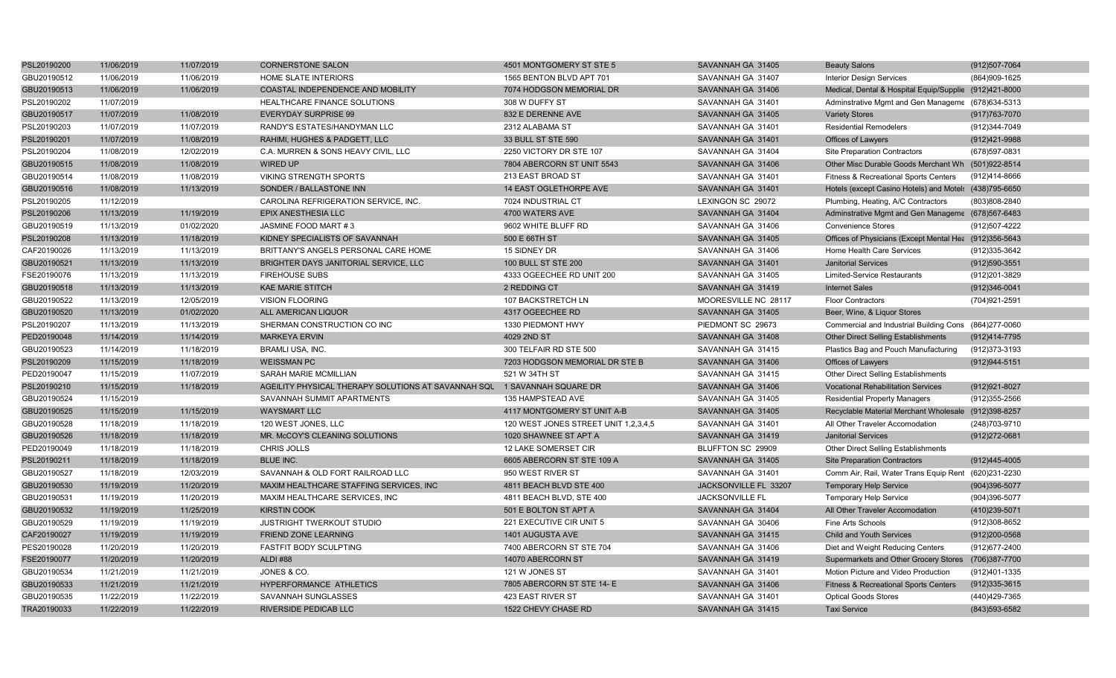| PSL20190200 | 11/06/2019 | 11/07/2019 | <b>CORNERSTONE SALON</b>                            | 4501 MONTGOMERY ST STE 5             | SAVANNAH GA 31405      | <b>Beauty Salons</b>                                   | (912) 507-7064    |
|-------------|------------|------------|-----------------------------------------------------|--------------------------------------|------------------------|--------------------------------------------------------|-------------------|
| GBU20190512 | 11/06/2019 | 11/06/2019 | <b>HOME SLATE INTERIORS</b>                         | 1565 BENTON BLVD APT 701             | SAVANNAH GA 31407      | <b>Interior Design Services</b>                        | (864) 909-1625    |
| GBU20190513 | 11/06/2019 | 11/06/2019 | COASTAL INDEPENDENCE AND MOBILITY                   | 7074 HODGSON MEMORIAL DR             | SAVANNAH GA 31406      | Medical, Dental & Hospital Equip/Supplie (912)421-8000 |                   |
| PSL20190202 | 11/07/2019 |            | HEALTHCARE FINANCE SOLUTIONS                        | 308 W DUFFY ST                       | SAVANNAH GA 31401      | Adminstrative Mgmt and Gen Manageme (678)634-5313      |                   |
| GBU20190517 | 11/07/2019 | 11/08/2019 | <b>EVERYDAY SURPRISE 99</b>                         | 832 E DERENNE AVE                    | SAVANNAH GA 31405      | <b>Variety Stores</b>                                  | (917) 763-7070    |
| PSL20190203 | 11/07/2019 | 11/07/2019 | RANDY'S ESTATES/HANDYMAN LLC                        | 2312 ALABAMA ST                      | SAVANNAH GA 31401      | <b>Residential Remodelers</b>                          | (912)344-7049     |
| PSL20190201 | 11/07/2019 | 11/08/2019 | RAHIMI, HUGHES & PADGETT, LLC                       | 33 BULL ST STE 590                   | SAVANNAH GA 31401      | Offices of Lawyers                                     | (912)421-9988     |
| PSL20190204 | 11/08/2019 | 12/02/2019 | C.A. MURREN & SONS HEAVY CIVIL. LLC                 | 2250 VICTORY DR STE 107              | SAVANNAH GA 31404      | <b>Site Preparation Contractors</b>                    | (678) 597-0831    |
| GBU20190515 | 11/08/2019 | 11/08/2019 | <b>WIRED UP</b>                                     | 7804 ABERCORN ST UNIT 5543           | SAVANNAH GA 31406      | Other Misc Durable Goods Merchant Wh (501)922-8514     |                   |
| GBU20190514 | 11/08/2019 | 11/08/2019 | <b>VIKING STRENGTH SPORTS</b>                       | 213 EAST BROAD ST                    | SAVANNAH GA 31401      | Fitness & Recreational Sports Centers                  | (912)414-8666     |
| GBU20190516 | 11/08/2019 | 11/13/2019 | SONDER / BALLASTONE INN                             | 14 EAST OGLETHORPE AVE               | SAVANNAH GA 31401      | Hotels (except Casino Hotels) and Motel: (438)795-6650 |                   |
| PSL20190205 | 11/12/2019 |            | CAROLINA REFRIGERATION SERVICE, INC.                | 7024 INDUSTRIAL CT                   | LEXINGON SC 29072      | Plumbing, Heating, A/C Contractors                     | (803)808-2840     |
| PSL20190206 | 11/13/2019 | 11/19/2019 | EPIX ANESTHESIA LLC                                 | 4700 WATERS AVE                      | SAVANNAH GA 31404      | Adminstrative Mgmt and Gen Manageme (678)567-6483      |                   |
| GBU20190519 | 11/13/2019 | 01/02/2020 | JASMINE FOOD MART #3                                | 9602 WHITE BLUFF RD                  | SAVANNAH GA 31406      | <b>Convenience Stores</b>                              | (912)507-4222     |
| PSL20190208 | 11/13/2019 | 11/18/2019 | KIDNEY SPECIALISTS OF SAVANNAH                      | 500 E 66TH ST                        | SAVANNAH GA 31405      | Offices of Physicians (Except Mental Hea (912)356-5643 |                   |
| CAF20190026 | 11/13/2019 | 11/13/2019 | BRITTANY'S ANGELS PERSONAL CARE HOME                | 15 SIDNEY DR                         | SAVANNAH GA 31406      | Home Health Care Services                              | (912)335-3642     |
| GBU20190521 | 11/13/2019 | 11/13/2019 | BRIGHTER DAYS JANITORIAL SERVICE, LLC               | <b>100 BULL ST STE 200</b>           | SAVANNAH GA 31401      | <b>Janitorial Services</b>                             | (912) 590-3551    |
| FSE20190076 | 11/13/2019 | 11/13/2019 | <b>FIREHOUSE SUBS</b>                               | 4333 OGEECHEE RD UNIT 200            | SAVANNAH GA 31405      | Limited-Service Restaurants                            | (912)201-3829     |
| GBU20190518 | 11/13/2019 | 11/13/2019 | <b>KAE MARIE STITCH</b>                             | 2 REDDING CT                         | SAVANNAH GA 31419      | <b>Internet Sales</b>                                  | (912)346-0041     |
| GBU20190522 | 11/13/2019 | 12/05/2019 | <b>VISION FLOORING</b>                              | 107 BACKSTRETCH LN                   | MOORESVILLE NC 28117   | <b>Floor Contractors</b>                               | (704) 921-2591    |
| GBU20190520 | 11/13/2019 | 01/02/2020 | ALL AMERICAN LIQUOR                                 | 4317 OGEECHEE RD                     | SAVANNAH GA 31405      | Beer, Wine, & Liquor Stores                            |                   |
| PSL20190207 | 11/13/2019 | 11/13/2019 | SHERMAN CONSTRUCTION CO INC                         | 1330 PIEDMONT HWY                    | PIEDMONT SC 29673      | Commercial and Industrial Building Cons (864)277-0060  |                   |
| PED20190048 | 11/14/2019 | 11/14/2019 | <b>MARKEYA ERVIN</b>                                | 4029 2ND ST                          | SAVANNAH GA 31408      | <b>Other Direct Selling Establishments</b>             | (912)414-7795     |
| GBU20190523 | 11/14/2019 | 11/18/2019 | <b>BRAMLI USA, INC.</b>                             | 300 TELFAIR RD STE 500               | SAVANNAH GA 31415      | Plastics Bag and Pouch Manufacturing                   | (912) 373-3193    |
| PSL20190209 | 11/15/2019 | 11/18/2019 | <b>WEISSMAN PC</b>                                  | 7203 HODGSON MEMORIAL DR STE B       | SAVANNAH GA 31406      | Offices of Lawyers                                     | (912) 944-5151    |
| PED20190047 | 11/15/2019 | 11/07/2019 | SARAH MARIE MCMILLIAN                               | 521 W 34TH ST                        | SAVANNAH GA 31415      | Other Direct Selling Establishments                    |                   |
| PSL20190210 | 11/15/2019 | 11/18/2019 | AGEILITY PHYSICAL THERAPY SOLUTIONS AT SAVANNAH SQL | 1 SAVANNAH SQUARE DR                 | SAVANNAH GA 31406      | <b>Vocational Rehabilitation Services</b>              | (912) 921-8027    |
| GBU20190524 | 11/15/2019 |            | SAVANNAH SUMMIT APARTMENTS                          | 135 HAMPSTEAD AVE                    | SAVANNAH GA 31405      | <b>Residential Property Managers</b>                   | (912) 355-2566    |
| GBU20190525 | 11/15/2019 | 11/15/2019 | <b>WAYSMART LLC</b>                                 | 4117 MONTGOMERY ST UNIT A-B          | SAVANNAH GA 31405      | Recyclable Material Merchant Wholesale                 | (912)398-8257     |
| GBU20190528 | 11/18/2019 | 11/18/2019 | 120 WEST JONES, LLC                                 | 120 WEST JONES STREET UNIT 1.2.3.4.5 | SAVANNAH GA 31401      | All Other Traveler Accomodation                        | (248) 703-9710    |
| GBU20190526 | 11/18/2019 | 11/18/2019 | MR. McCOY'S CLEANING SOLUTIONS                      | 1020 SHAWNEE ST APT A                | SAVANNAH GA 31419      | <b>Janitorial Services</b>                             | (912) 272-0681    |
| PED20190049 | 11/18/2019 | 11/18/2019 | CHRIS JOLLS                                         | 12 LAKE SOMERSET CIR                 | BLUFFTON SC 29909      | Other Direct Selling Establishments                    |                   |
| PSL20190211 | 11/18/2019 | 11/18/2019 | <b>BLUE INC.</b>                                    | 6605 ABERCORN ST STE 109 A           | SAVANNAH GA 31405      | <b>Site Preparation Contractors</b>                    | (912)445-4005     |
| GBU20190527 | 11/18/2019 | 12/03/2019 | SAVANNAH & OLD FORT RAILROAD LLC                    | 950 WEST RIVER ST                    | SAVANNAH GA 31401      | Comm Air, Rail, Water Trans Equip Rent (620)231-2230   |                   |
| GBU20190530 | 11/19/2019 | 11/20/2019 | MAXIM HEALTHCARE STAFFING SERVICES, INC             | 4811 BEACH BLVD STE 400              | JACKSONVILLE FL 33207  | <b>Temporary Help Service</b>                          | (904)396-5077     |
| GBU20190531 | 11/19/2019 | 11/20/2019 | MAXIM HEALTHCARE SERVICES, INC                      | 4811 BEACH BLVD, STE 400             | <b>JACKSONVILLE FL</b> | <b>Temporary Help Service</b>                          | (904)396-5077     |
| GBU20190532 | 11/19/2019 | 11/25/2019 | <b>KIRSTIN COOK</b>                                 | 501 E BOLTON ST APT A                | SAVANNAH GA 31404      | All Other Traveler Accomodation                        | (410)239-5071     |
| GBU20190529 | 11/19/2019 | 11/19/2019 | <b>JUSTRIGHT TWERKOUT STUDIO</b>                    | 221 EXECUTIVE CIR UNIT 5             | SAVANNAH GA 30406      | <b>Fine Arts Schools</b>                               | (912)308-8652     |
| CAF20190027 | 11/19/2019 | 11/19/2019 | <b>FRIEND ZONE LEARNING</b>                         | 1401 AUGUSTA AVE                     | SAVANNAH GA 31415      | <b>Child and Youth Services</b>                        | $(912)200 - 0568$ |
| PES20190028 | 11/20/2019 | 11/20/2019 | <b>FASTFIT BODY SCULPTING</b>                       | 7400 ABERCORN ST STE 704             | SAVANNAH GA 31406      | Diet and Weight Reducing Centers                       | (912) 677-2400    |
| FSE20190077 | 11/20/2019 | 11/20/2019 | <b>ALDI #88</b>                                     | 14070 ABERCORN ST                    | SAVANNAH GA 31419      | Supermarkets and Other Grocery Stores (706)387-7700    |                   |
| GBU20190534 | 11/21/2019 | 11/21/2019 | JONES & CO.                                         | 121 W JONES ST                       | SAVANNAH GA 31401      | Motion Picture and Video Production                    | (912)401-1335     |
| GBU20190533 | 11/21/2019 | 11/21/2019 | HYPERFORMANCE ATHLETICS                             | 7805 ABERCORN ST STE 14- E           | SAVANNAH GA 31406      | <b>Fitness &amp; Recreational Sports Centers</b>       | $(912)335-3615$   |
| GBU20190535 | 11/22/2019 | 11/22/2019 | SAVANNAH SUNGLASSES                                 | 423 EAST RIVER ST                    | SAVANNAH GA 31401      | <b>Optical Goods Stores</b>                            | (440)429-7365     |
| TRA20190033 | 11/22/2019 | 11/22/2019 | <b>RIVERSIDE PEDICAB LLC</b>                        | 1522 CHEVY CHASE RD                  | SAVANNAH GA 31415      | <b>Taxi Service</b>                                    | (843) 593-6582    |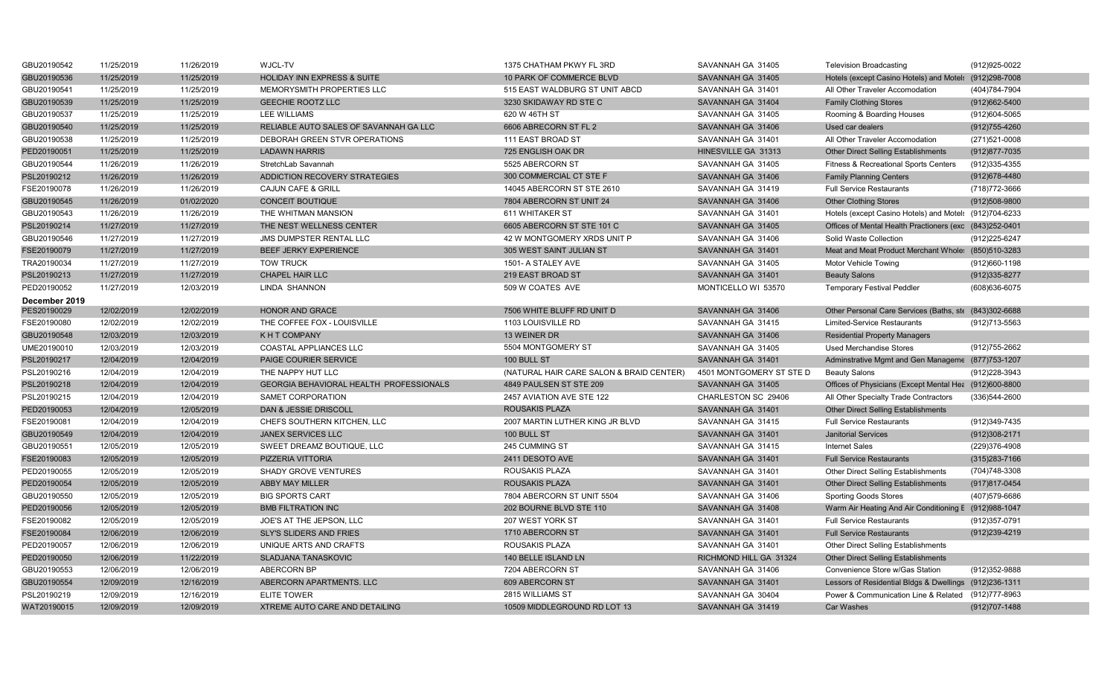| GBU20190542   | 11/25/2019 | 11/26/2019 | WJCL-TV                                 | 1375 CHATHAM PKWY FL 3RD                 | SAVANNAH GA 31405        | <b>Television Broadcasting</b>                          | (912) 925-0022 |
|---------------|------------|------------|-----------------------------------------|------------------------------------------|--------------------------|---------------------------------------------------------|----------------|
| GBU20190536   | 11/25/2019 | 11/25/2019 | HOLIDAY INN EXPRESS & SUITE             | 10 PARK OF COMMERCE BLVD                 | SAVANNAH GA 31405        | Hotels (except Casino Hotels) and Motels                | (912)298-7008  |
| GBU20190541   | 11/25/2019 | 11/25/2019 | MEMORYSMITH PROPERTIES LLC              | 515 EAST WALDBURG ST UNIT ABCD           | SAVANNAH GA 31401        | All Other Traveler Accomodation                         | (404) 784-7904 |
| GBU20190539   | 11/25/2019 | 11/25/2019 | <b>GEECHIE ROOTZ LLC</b>                | 3230 SKIDAWAY RD STE C                   | SAVANNAH GA 31404        | <b>Family Clothing Stores</b>                           | (912) 662-5400 |
| GBU20190537   | 11/25/2019 | 11/25/2019 | <b>LEE WILLIAMS</b>                     | 620 W 46TH ST                            | SAVANNAH GA 31405        | Rooming & Boarding Houses                               | (912)604-5065  |
| GBU20190540   | 11/25/2019 | 11/25/2019 | RELIABLE AUTO SALES OF SAVANNAH GA LLC  | 6606 ABRECORN ST FL 2                    | SAVANNAH GA 31406        | Used car dealers                                        | (912) 755-4260 |
| GBU20190538   | 11/25/2019 | 11/25/2019 | DEBORAH GREEN STVR OPERATIONS           | 111 EAST BROAD ST                        | SAVANNAH GA 31401        | All Other Traveler Accomodation                         | (271)521-0008  |
| PED20190051   | 11/25/2019 | 11/25/2019 | <b>LADAWN HARRIS</b>                    | 725 ENGLISH OAK DR                       | HINESVILLE GA 31313      | <b>Other Direct Selling Establishments</b>              | (912) 877-7035 |
| GBU20190544   | 11/26/2019 | 11/26/2019 | StretchLab Savannah                     | 5525 ABERCORN ST                         | SAVANNAH GA 31405        | <b>Fitness &amp; Recreational Sports Centers</b>        | (912) 335-4355 |
| PSL20190212   | 11/26/2019 | 11/26/2019 | ADDICTION RECOVERY STRATEGIES           | 300 COMMERCIAL CT STE F                  | SAVANNAH GA 31406        | <b>Family Planning Centers</b>                          | (912) 678-4480 |
| FSE20190078   | 11/26/2019 | 11/26/2019 | <b>CAJUN CAFE &amp; GRILL</b>           | 14045 ABERCORN ST STE 2610               | SAVANNAH GA 31419        | <b>Full Service Restaurants</b>                         | (718) 772-3666 |
| GBU20190545   | 11/26/2019 | 01/02/2020 | <b>CONCEIT BOUTIQUE</b>                 | 7804 ABERCORN ST UNIT 24                 | SAVANNAH GA 31406        | <b>Other Clothing Stores</b>                            | (912)508-9800  |
| GBU20190543   | 11/26/2019 | 11/26/2019 | THE WHITMAN MANSION                     | 611 WHITAKER ST                          | SAVANNAH GA 31401        | Hotels (except Casino Hotels) and Motel: (912)704-6233  |                |
| PSL20190214   | 11/27/2019 | 11/27/2019 | THE NEST WELLNESS CENTER                | 6605 ABERCORN ST STE 101 C               | SAVANNAH GA 31405        | Offices of Mental Health Practioners (exc (843)252-0401 |                |
| GBU20190546   | 11/27/2019 | 11/27/2019 | JMS DUMPSTER RENTAL LLC                 | 42 W MONTGOMERY XRDS UNIT P              | SAVANNAH GA 31406        | Solid Waste Collection                                  | (912) 225-6247 |
| FSE20190079   | 11/27/2019 | 11/27/2019 | BEEF JERKY EXPERIENCE                   | 305 WEST SAINT JULIAN ST                 | SAVANNAH GA 31401        | Meat and Meat Product Merchant Whole: (850)510-3283     |                |
| TRA20190034   | 11/27/2019 | 11/27/2019 | <b>TOW TRUCK</b>                        | 1501- A STALEY AVE                       | SAVANNAH GA 31405        | <b>Motor Vehicle Towing</b>                             | (912)660-1198  |
| PSL20190213   | 11/27/2019 | 11/27/2019 | <b>CHAPEL HAIR LLC</b>                  | 219 EAST BROAD ST                        | SAVANNAH GA 31401        | <b>Beauty Salons</b>                                    | (912) 335-8277 |
| PED20190052   | 11/27/2019 | 12/03/2019 | LINDA SHANNON                           | 509 W COATES AVE                         | MONTICELLO WI 53570      | <b>Temporary Festival Peddler</b>                       | (608) 636-6075 |
| December 2019 |            |            |                                         |                                          |                          |                                                         |                |
| PES20190029   | 12/02/2019 | 12/02/2019 | HONOR AND GRACE                         | 7506 WHITE BLUFF RD UNIT D               | SAVANNAH GA 31406        | Other Personal Care Services (Baths, ste (843)302-6688  |                |
| FSE20190080   | 12/02/2019 | 12/02/2019 | THE COFFEE FOX - LOUISVILLE             | 1103 LOUISVILLE RD                       | SAVANNAH GA 31415        | <b>Limited-Service Restaurants</b>                      | (912) 713-5563 |
| GBU20190548   | 12/03/2019 | 12/03/2019 | K H T COMPANY                           | 13 WEINER DR                             | SAVANNAH GA 31406        | <b>Residential Property Managers</b>                    |                |
| UME20190010   | 12/03/2019 | 12/03/2019 | COASTAL APPLIANCES LLC                  | 5504 MONTGOMERY ST                       | SAVANNAH GA 31405        | <b>Used Merchandise Stores</b>                          | (912) 755-2662 |
| PSL20190217   | 12/04/2019 | 12/04/2019 | <b>PAIGE COURIER SERVICE</b>            | 100 BULL ST                              | SAVANNAH GA 31401        | Adminstrative Mgmt and Gen Manageme (877)753-1207       |                |
| PSL20190216   | 12/04/2019 | 12/04/2019 | THE NAPPY HUT LLC                       | (NATURAL HAIR CARE SALON & BRAID CENTER) | 4501 MONTGOMERY ST STE D | <b>Beauty Salons</b>                                    | (912)228-3943  |
| PSL20190218   | 12/04/2019 | 12/04/2019 | GEORGIA BEHAVIORAL HEALTH PROFESSIONALS | 4849 PAULSEN ST STE 209                  | SAVANNAH GA 31405        | Offices of Physicians (Except Mental Hea (912)600-8800  |                |
| PSL20190215   | 12/04/2019 | 12/04/2019 | SAMET CORPORATION                       | 2457 AVIATION AVE STE 122                | CHARLESTON SC 29406      | All Other Specialty Trade Contractors                   | (336) 544-2600 |
| PED20190053   | 12/04/2019 | 12/05/2019 | DAN & JESSIE DRISCOLL                   | ROUSAKIS PLAZA                           | SAVANNAH GA 31401        | <b>Other Direct Selling Establishments</b>              |                |
| FSE20190081   | 12/04/2019 | 12/04/2019 | CHEFS SOUTHERN KITCHEN, LLC             | 2007 MARTIN LUTHER KING JR BLVD          | SAVANNAH GA 31415        | <b>Full Service Restaurants</b>                         | (912)349-7435  |
| GBU20190549   | 12/04/2019 | 12/04/2019 | <b>JANEX SERVICES LLC</b>               | 100 BULL ST                              | SAVANNAH GA 31401        | <b>Janitorial Services</b>                              | (912) 308-2171 |
| GBU20190551   | 12/05/2019 | 12/05/2019 | SWEET DREAMZ BOUTIQUE, LLC              | 245 CUMMING ST                           | SAVANNAH GA 31415        | <b>Internet Sales</b>                                   | (229)376-4908  |
| FSE20190083   | 12/05/2019 | 12/05/2019 | PIZZERIA VITTORIA                       | 2411 DESOTO AVE                          | SAVANNAH GA 31401        | <b>Full Service Restaurants</b>                         | (315) 283-7166 |
| PED20190055   | 12/05/2019 | 12/05/2019 | <b>SHADY GROVE VENTURES</b>             | ROUSAKIS PLAZA                           | SAVANNAH GA 31401        | Other Direct Selling Establishments                     | (704) 748-3308 |
| PED20190054   | 12/05/2019 | 12/05/2019 | <b>ABBY MAY MILLER</b>                  | <b>ROUSAKIS PLAZA</b>                    | SAVANNAH GA 31401        | Other Direct Selling Establishments                     | (917) 817-0454 |
| GBU20190550   | 12/05/2019 | 12/05/2019 | <b>BIG SPORTS CART</b>                  | 7804 ABERCORN ST UNIT 5504               | SAVANNAH GA 31406        | <b>Sporting Goods Stores</b>                            | (407) 579-6686 |
| PED20190056   | 12/05/2019 | 12/05/2019 | <b>BMB FILTRATION INC</b>               | 202 BOURNE BLVD STE 110                  | SAVANNAH GA 31408        | Warm Air Heating And Air Conditioning E (912)988-1047   |                |
| FSE20190082   | 12/05/2019 | 12/05/2019 | JOE'S AT THE JEPSON, LLC                | 207 WEST YORK ST                         | SAVANNAH GA 31401        | <b>Full Service Restaurants</b>                         | (912) 357-0791 |
| FSE20190084   | 12/06/2019 | 12/06/2019 | SLY'S SLIDERS AND FRIES                 | 1710 ABERCORN ST                         | SAVANNAH GA 31401        | <b>Full Service Restaurants</b>                         | (912)239-4219  |
| PED20190057   | 12/06/2019 | 12/06/2019 | UNIQUE ARTS AND CRAFTS                  | ROUSAKIS PLAZA                           | SAVANNAH GA 31401        | Other Direct Selling Establishments                     |                |
| PED20190050   | 12/06/2019 | 11/22/2019 | <b>SLADJANA TANASKOVIC</b>              | 140 BELLE ISLAND LN                      | RICHMOND HILL GA 31324   | Other Direct Selling Establishments                     |                |
| GBU20190553   | 12/06/2019 | 12/06/2019 | <b>ABERCORN BP</b>                      | 7204 ABERCORN ST                         | SAVANNAH GA 31406        | Convenience Store w/Gas Station                         | (912) 352-9888 |
| GBU20190554   | 12/09/2019 | 12/16/2019 | ABERCORN APARTMENTS. LLC                | 609 ABERCORN ST                          | SAVANNAH GA 31401        | Lessors of Residential Bldgs & Dwellings (912)236-1311  |                |
| PSL20190219   | 12/09/2019 | 12/16/2019 | <b>ELITE TOWER</b>                      | 2815 WILLIAMS ST                         | SAVANNAH GA 30404        | Power & Communication Line & Related (912)777-8963      |                |
| WAT20190015   | 12/09/2019 | 12/09/2019 | XTREME AUTO CARE AND DETAILING          | 10509 MIDDLEGROUND RD LOT 13             | SAVANNAH GA 31419        | Car Washes                                              | (912) 707-1488 |